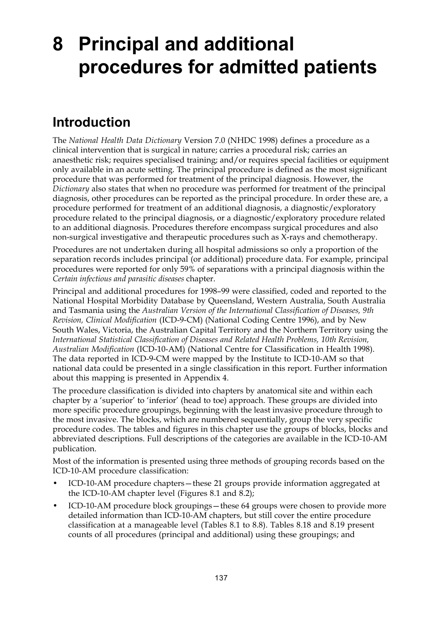# **8 Principal and additional procedures for admitted patients**

# **Introduction**

The *National Health Data Dictionary* Version 7.0 (NHDC 1998) defines a procedure as a clinical intervention that is surgical in nature; carries a procedural risk; carries an anaesthetic risk; requires specialised training; and/or requires special facilities or equipment only available in an acute setting. The principal procedure is defined as the most significant procedure that was performed for treatment of the principal diagnosis. However, the *Dictionary* also states that when no procedure was performed for treatment of the principal diagnosis, other procedures can be reported as the principal procedure. In order these are, a procedure performed for treatment of an additional diagnosis, a diagnostic/exploratory procedure related to the principal diagnosis, or a diagnostic/exploratory procedure related to an additional diagnosis. Procedures therefore encompass surgical procedures and also non-surgical investigative and therapeutic procedures such as X-rays and chemotherapy.

Procedures are not undertaken during all hospital admissions so only a proportion of the separation records includes principal (or additional) procedure data. For example, principal procedures were reported for only 59% of separations with a principal diagnosis within the *Certain infectious and parasitic diseases* chapter.

Principal and additional procedures for 1998–99 were classified, coded and reported to the National Hospital Morbidity Database by Queensland, Western Australia, South Australia and Tasmania using the *Australian Version of the International Classification of Diseases, 9th Revision, Clinical Modification* (ICD-9-CM) (National Coding Centre 1996), and by New South Wales, Victoria, the Australian Capital Territory and the Northern Territory using the *International Statistical Classification of Diseases and Related Health Problems, 10th Revision, Australian Modification* (ICD-10-AM) (National Centre for Classification in Health 1998). The data reported in ICD-9-CM were mapped by the Institute to ICD-10-AM so that national data could be presented in a single classification in this report. Further information about this mapping is presented in Appendix 4.

The procedure classification is divided into chapters by anatomical site and within each chapter by a 'superior' to 'inferior' (head to toe) approach. These groups are divided into more specific procedure groupings, beginning with the least invasive procedure through to the most invasive. The blocks, which are numbered sequentially, group the very specific procedure codes. The tables and figures in this chapter use the groups of blocks, blocks and abbreviated descriptions. Full descriptions of the categories are available in the ICD-10-AM publication.

Most of the information is presented using three methods of grouping records based on the ICD-10-AM procedure classification:

- ICD-10-AM procedure chapters—these 21 groups provide information aggregated at the ICD-10-AM chapter level (Figures 8.1 and 8.2);
- ICD-10-AM procedure block groupings—these 64 groups were chosen to provide more detailed information than ICD-10-AM chapters, but still cover the entire procedure classification at a manageable level (Tables 8.1 to 8.8). Tables 8.18 and 8.19 present counts of all procedures (principal and additional) using these groupings; and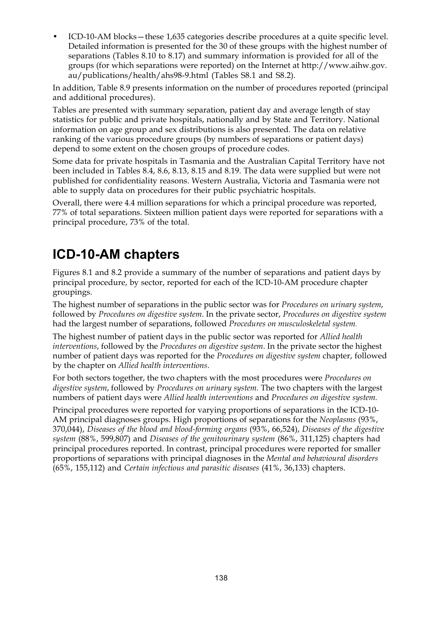• ICD-10-AM blocks—these 1,635 categories describe procedures at a quite specific level. Detailed information is presented for the 30 of these groups with the highest number of separations (Tables 8.10 to 8.17) and summary information is provided for all of the groups (for which separations were reported) on the Internet at http://www.aihw.gov. au/publications/health/ahs98-9.html (Tables S8.1 and S8.2).

In addition, Table 8.9 presents information on the number of procedures reported (principal and additional procedures).

Tables are presented with summary separation, patient day and average length of stay statistics for public and private hospitals, nationally and by State and Territory. National information on age group and sex distributions is also presented. The data on relative ranking of the various procedure groups (by numbers of separations or patient days) depend to some extent on the chosen groups of procedure codes.

Some data for private hospitals in Tasmania and the Australian Capital Territory have not been included in Tables 8.4, 8.6, 8.13, 8.15 and 8.19. The data were supplied but were not published for confidentiality reasons. Western Australia, Victoria and Tasmania were not able to supply data on procedures for their public psychiatric hospitals.

Overall, there were 4.4 million separations for which a principal procedure was reported, 77% of total separations. Sixteen million patient days were reported for separations with a principal procedure, 73% of the total.

## **ICD-10-AM chapters**

Figures 8.1 and 8.2 provide a summary of the number of separations and patient days by principal procedure, by sector, reported for each of the ICD-10-AM procedure chapter groupings.

The highest number of separations in the public sector was for *Procedures on urinary system*, followed by *Procedures on digestive system*. In the private sector, *Procedures on digestive system* had the largest number of separations, followed *Procedures on musculoskeletal system.*

The highest number of patient days in the public sector was reported for *Allied health interventions*, followed by the *Procedures on digestive system*. In the private sector the highest number of patient days was reported for the *Procedures on digestive system* chapter, followed by the chapter on *Allied health interventions*.

For both sectors together, the two chapters with the most procedures were *Procedures on digestive system*, followed by *Procedures on urinary system.* The two chapters with the largest numbers of patient days were *Allied health interventions* and *Procedures on digestive system.*

Principal procedures were reported for varying proportions of separations in the ICD-10- AM principal diagnoses groups. High proportions of separations for the *Neoplasms* (93%, 370,044), *Diseases of the blood and blood-forming organs* (93%, 66,524), *Diseases of the digestive system* (88%, 599,807) and *Diseases of the genitourinary system* (86%, 311,125) chapters had principal procedures reported. In contrast, principal procedures were reported for smaller proportions of separations with principal diagnoses in the *Mental and behavioural disorders* (65%, 155,112) and *Certain infectious and parasitic diseases* (41%, 36,133) chapters.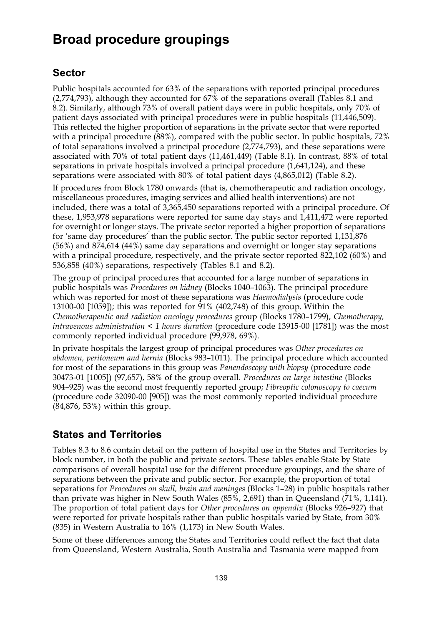# **Broad procedure groupings**

### **Sector**

Public hospitals accounted for 63% of the separations with reported principal procedures (2,774,793), although they accounted for 67% of the separations overall (Tables 8.1 and 8.2). Similarly, although 73% of overall patient days were in public hospitals, only 70% of patient days associated with principal procedures were in public hospitals (11,446,509). This reflected the higher proportion of separations in the private sector that were reported with a principal procedure  $(88%)$ , compared with the public sector. In public hospitals, 72% of total separations involved a principal procedure (2,774,793), and these separations were associated with 70% of total patient days (11,461,449) (Table 8.1). In contrast, 88% of total separations in private hospitals involved a principal procedure (1,641,124), and these separations were associated with 80% of total patient days (4,865,012) (Table 8.2).

If procedures from Block 1780 onwards (that is, chemotherapeutic and radiation oncology, miscellaneous procedures, imaging services and allied health interventions) are not included, there was a total of 3,365,450 separations reported with a principal procedure. Of these, 1,953,978 separations were reported for same day stays and 1,411,472 were reported for overnight or longer stays. The private sector reported a higher proportion of separations for 'same day procedures' than the public sector. The public sector reported 1,131,876 (56%) and 874,614 (44%) same day separations and overnight or longer stay separations with a principal procedure, respectively, and the private sector reported 822,102 (60%) and 536,858 (40%) separations, respectively (Tables 8.1 and 8.2).

The group of principal procedures that accounted for a large number of separations in public hospitals was *Procedures on kidney* (Blocks 1040–1063). The principal procedure which was reported for most of these separations was *Haemodialysis* (procedure code 13100-00 [1059]); this was reported for 91% (402,748) of this group*.* Within the *Chemotherapeutic and radiation oncology procedures* group (Blocks 1780–1799), *Chemotherapy, intravenous administration < 1 hours duration* (procedure code 13915-00 [1781]) was the most commonly reported individual procedure (99,978, 69%).

In private hospitals the largest group of principal procedures was *Other procedures on abdomen, peritoneum and hernia* (Blocks 983–1011). The principal procedure which accounted for most of the separations in this group was *Panendoscopy with biopsy* (procedure code 30473-01 [1005]) (97,657), 58% of the group overall. *Procedures on large intestine* (Blocks 904–925) was the second most frequently reported group; *Fibreoptic colonoscopy to caecum* (procedure code 32090-00 [905]) was the most commonly reported individual procedure (84,876, 53%) within this group.

### **States and Territories**

Tables 8.3 to 8.6 contain detail on the pattern of hospital use in the States and Territories by block number, in both the public and private sectors. These tables enable State by State comparisons of overall hospital use for the different procedure groupings, and the share of separations between the private and public sector. For example, the proportion of total separations for *Procedures on skull, brain and meninges* (Blocks 1–28) in public hospitals rather than private was higher in New South Wales (85%, 2,691) than in Queensland (71%, 1,141). The proportion of total patient days for *Other procedures on appendix* (Blocks 926–927) that were reported for private hospitals rather than public hospitals varied by State, from 30% (835) in Western Australia to 16% (1,173) in New South Wales.

Some of these differences among the States and Territories could reflect the fact that data from Queensland, Western Australia, South Australia and Tasmania were mapped from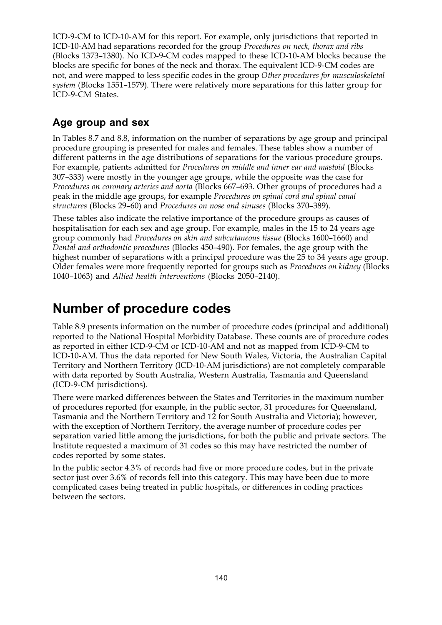ICD-9-CM to ICD-10-AM for this report. For example, only jurisdictions that reported in ICD-10-AM had separations recorded for the group *Procedures on neck, thorax and ribs* (Blocks 1373–1380). No ICD-9-CM codes mapped to these ICD-10-AM blocks because the blocks are specific for bones of the neck and thorax. The equivalent ICD-9-CM codes are not, and were mapped to less specific codes in the group *Other procedures for musculoskeletal system* (Blocks 1551–1579)*.* There were relatively more separations for this latter group for ICD-9-CM States.

### **Age group and sex**

In Tables 8.7 and 8.8, information on the number of separations by age group and principal procedure grouping is presented for males and females. These tables show a number of different patterns in the age distributions of separations for the various procedure groups. For example, patients admitted for *Procedures on middle and inner ear and mastoid* (Blocks 307–333) were mostly in the younger age groups, while the opposite was the case for *Procedures on coronary arteries and aorta* (Blocks 667–693. Other groups of procedures had a peak in the middle age groups, for example *Procedures on spinal cord and spinal canal structures* (Blocks 29–60) and *Procedures on nose and sinuses* (Blocks 370–389).

These tables also indicate the relative importance of the procedure groups as causes of hospitalisation for each sex and age group. For example, males in the 15 to 24 years age group commonly had *Procedures on skin and subcutaneous tissue* (Blocks 1600–1660) and *Dental and orthodontic procedures* (Blocks 450–490). For females, the age group with the highest number of separations with a principal procedure was the 25 to 34 years age group. Older females were more frequently reported for groups such as *Procedures on kidney* (Blocks 1040–1063) and *Allied health interventions* (Blocks 2050–2140).

### **Number of procedure codes**

Table 8.9 presents information on the number of procedure codes (principal and additional) reported to the National Hospital Morbidity Database. These counts are of procedure codes as reported in either ICD-9-CM or ICD-10-AM and not as mapped from ICD-9-CM to ICD-10-AM. Thus the data reported for New South Wales, Victoria, the Australian Capital Territory and Northern Territory (ICD-10-AM jurisdictions) are not completely comparable with data reported by South Australia, Western Australia, Tasmania and Queensland (ICD-9-CM jurisdictions).

There were marked differences between the States and Territories in the maximum number of procedures reported (for example, in the public sector, 31 procedures for Queensland, Tasmania and the Northern Territory and 12 for South Australia and Victoria); however, with the exception of Northern Territory, the average number of procedure codes per separation varied little among the jurisdictions, for both the public and private sectors. The Institute requested a maximum of 31 codes so this may have restricted the number of codes reported by some states.

In the public sector 4.3% of records had five or more procedure codes, but in the private sector just over 3.6% of records fell into this category. This may have been due to more complicated cases being treated in public hospitals, or differences in coding practices between the sectors.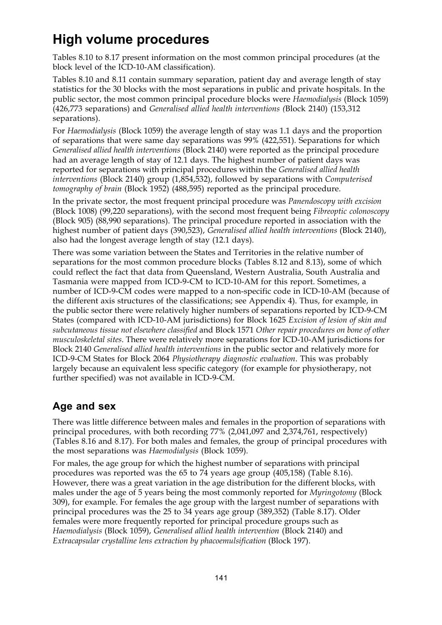# **High volume procedures**

Tables 8.10 to 8.17 present information on the most common principal procedures (at the block level of the ICD-10-AM classification).

Tables 8.10 and 8.11 contain summary separation, patient day and average length of stay statistics for the 30 blocks with the most separations in public and private hospitals. In the public sector, the most common principal procedure blocks were *Haemodialysis* (Block 1059) (426,773 separations) and *Generalised allied health interventions (*Block 2140) (153,312 separations).

For *Haemodialysis* (Block 1059) the average length of stay was 1.1 days and the proportion of separations that were same day separations was 99% (422,551). Separations for which *Generalised allied health interventions* (Block 2140) were reported as the principal procedure had an average length of stay of 12.1 days. The highest number of patient days was reported for separations with principal procedures within the *Generalised allied health interventions* (Block 2140) group (1,854,532), followed by separations with *Computerised tomography of brain* (Block 1952) (488,595) reported as the principal procedure.

In the private sector, the most frequent principal procedure was *Panendoscopy with excision* (Block 1008) (99,220 separations), with the second most frequent being *Fibreoptic colonoscopy* (Block 905) (88,990 separations). The principal procedure reported in association with the highest number of patient days (390,523), *Generalised allied health interventions* (Block 2140), also had the longest average length of stay (12.1 days).

There was some variation between the States and Territories in the relative number of separations for the most common procedure blocks (Tables 8.12 and 8.13), some of which could reflect the fact that data from Queensland, Western Australia, South Australia and Tasmania were mapped from ICD-9-CM to ICD-10-AM for this report. Sometimes, a number of ICD-9-CM codes were mapped to a non-specific code in ICD-10-AM (because of the different axis structures of the classifications; see Appendix 4). Thus, for example, in the public sector there were relatively higher numbers of separations reported by ICD-9-CM States (compared with ICD-10-AM jurisdictions) for Block 1625 *Excision of lesion of skin and subcutaneous tissue not elsewhere classified* and Block 1571 *Other repair procedures on bone of other musculoskeletal sites*. There were relatively more separations for ICD-10-AM jurisdictions for Block 2140 *Generalised allied health interventions* in the public sector and relatively more for ICD-9-CM States for Block 2064 *Physiotherapy diagnostic evaluation*. This was probably largely because an equivalent less specific category (for example for physiotherapy, not further specified) was not available in ICD-9-CM.

### **Age and sex**

There was little difference between males and females in the proportion of separations with principal procedures, with both recording 77% (2,041,097 and 2,374,761, respectively) (Tables 8.16 and 8.17). For both males and females, the group of principal procedures with the most separations was *Haemodialysis* (Block 1059).

For males, the age group for which the highest number of separations with principal procedures was reported was the 65 to 74 years age group (405,158) (Table 8.16). However, there was a great variation in the age distribution for the different blocks, with males under the age of 5 years being the most commonly reported for *Myringotomy* (Block 309), for example. For females the age group with the largest number of separations with principal procedures was the 25 to 34 years age group (389,352) (Table 8.17). Older females were more frequently reported for principal procedure groups such as *Haemodialysis* (Block 1059), *Generalised allied health intervention* (Block 2140) and *Extracapsular crystalline lens extraction by phacoemulsification* (Block 197).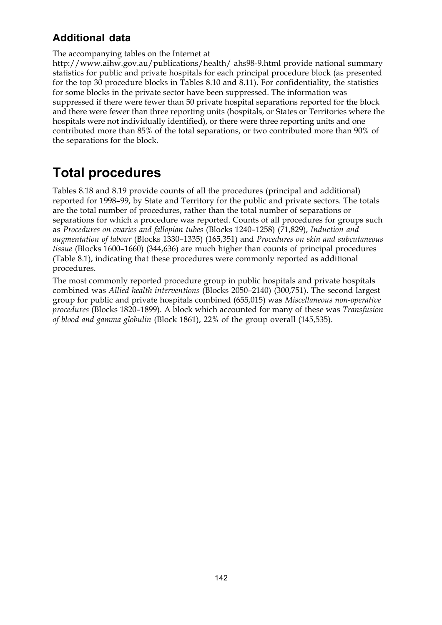### **Additional data**

#### The accompanying tables on the Internet at

http://www.aihw.gov.au/publications/health/ ahs98-9.html provide national summary statistics for public and private hospitals for each principal procedure block (as presented for the top 30 procedure blocks in Tables 8.10 and 8.11). For confidentiality, the statistics for some blocks in the private sector have been suppressed. The information was suppressed if there were fewer than 50 private hospital separations reported for the block and there were fewer than three reporting units (hospitals, or States or Territories where the hospitals were not individually identified), or there were three reporting units and one contributed more than 85% of the total separations, or two contributed more than 90% of the separations for the block.

# **Total procedures**

Tables 8.18 and 8.19 provide counts of all the procedures (principal and additional) reported for 1998–99, by State and Territory for the public and private sectors. The totals are the total number of procedures, rather than the total number of separations or separations for which a procedure was reported. Counts of all procedures for groups such as *Procedures on ovaries and fallopian tubes* (Blocks 1240–1258) (71,829), *Induction and augmentation of labour* (Blocks 1330–1335) (165,351) and *Procedures on skin and subcutaneous tissue* (Blocks 1600–1660) (344,636) are much higher than counts of principal procedures (Table 8.1), indicating that these procedures were commonly reported as additional procedures.

The most commonly reported procedure group in public hospitals and private hospitals combined was *Allied health interventions* (Blocks 2050–2140) (300,751). The second largest group for public and private hospitals combined (655,015) was *Miscellaneous non-operative procedures* (Blocks 1820–1899). A block which accounted for many of these was *Transfusion of blood and gamma globulin* (Block 1861), 22% of the group overall (145,535).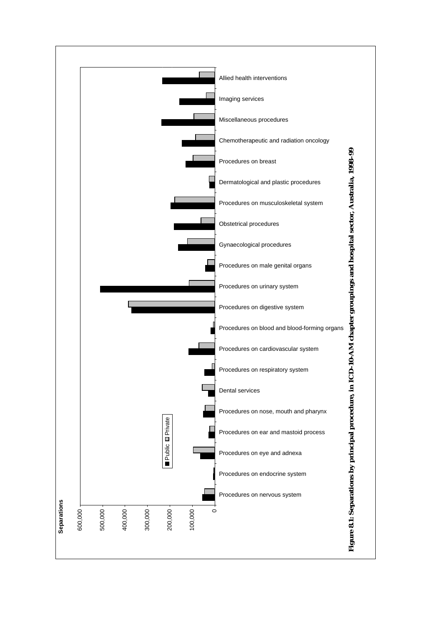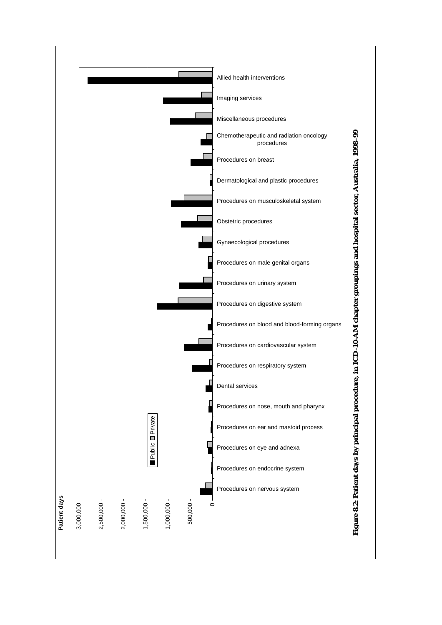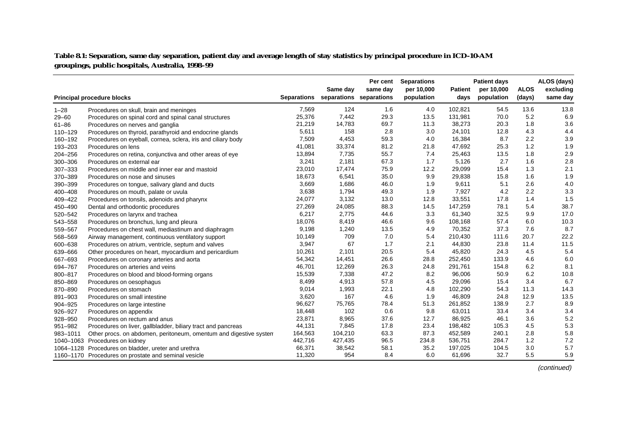**Table 8.1: Separation, same day separation, patient day and average length of stay statistics by principal procedure in ICD-10-AM groupings, public hospitals, Australia, 1998–99**

|           |                                                                   | Same day           |                         | Per cent | <b>Separations</b>       |                        | <b>Patient days</b>      |                       | ALOS (days)           |
|-----------|-------------------------------------------------------------------|--------------------|-------------------------|----------|--------------------------|------------------------|--------------------------|-----------------------|-----------------------|
|           | <b>Principal procedure blocks</b>                                 | <b>Separations</b> | separations separations | same day | per 10,000<br>population | <b>Patient</b><br>days | per 10,000<br>population | <b>ALOS</b><br>(days) | excluding<br>same day |
| $1 - 28$  | Procedures on skull, brain and meninges                           | 7,569              | 124                     | 1.6      | 4.0                      | 102,821                | 54.5                     | 13.6                  | 13.8                  |
| $29 - 60$ | Procedures on spinal cord and spinal canal structures             | 25,376             | 7,442                   | 29.3     | 13.5                     | 131,981                | 70.0                     | 5.2                   | 6.9                   |
| $61 - 86$ | Procedures on nerves and ganglia                                  | 21,219             | 14,783                  | 69.7     | 11.3                     | 38,273                 | 20.3                     | 1.8                   | 3.6                   |
| 110-129   | Procedures on thyroid, parathyroid and endocrine glands           | 5,611              | 158                     | 2.8      | 3.0                      | 24,101                 | 12.8                     | 4.3                   | 4.4                   |
| 160-192   | Procedures on eyeball, cornea, sclera, iris and ciliary body      | 7,509              | 4,453                   | 59.3     | 4.0                      | 16,384                 | 8.7                      | 2.2                   | 3.9                   |
| 193-203   | Procedures on lens                                                | 41,081             | 33,374                  | 81.2     | 21.8                     | 47,692                 | 25.3                     | 1.2                   | 1.9                   |
| 204-256   | Procedures on retina, conjunctiva and other areas of eye          | 13,894             | 7,735                   | 55.7     | 7.4                      | 25,463                 | 13.5                     | 1.8                   | 2.9                   |
| 300-306   | Procedures on external ear                                        | 3,241              | 2,181                   | 67.3     | 1.7                      | 5,126                  | 2.7                      | 1.6                   | 2.8                   |
| 307-333   | Procedures on middle and inner ear and mastoid                    | 23,010             | 17,474                  | 75.9     | 12.2                     | 29,099                 | 15.4                     | 1.3                   | 2.1                   |
| 370-389   | Procedures on nose and sinuses                                    | 18,673             | 6,541                   | 35.0     | 9.9                      | 29,838                 | 15.8                     | 1.6                   | 1.9                   |
| 390-399   | Procedures on tongue, salivary gland and ducts                    | 3,669              | 1,686                   | 46.0     | 1.9                      | 9,611                  | 5.1                      | 2.6                   | 4.0                   |
| 400-408   | Procedures on mouth, palate or uvula                              | 3,638              | 1,794                   | 49.3     | 1.9                      | 7,927                  | 4.2                      | 2.2                   | 3.3                   |
| 409-422   | Procedures on tonsils, adenoids and pharynx                       | 24,077             | 3,132                   | 13.0     | 12.8                     | 33,551                 | 17.8                     | 1.4                   | 1.5                   |
| 450-490   | Dental and orthodontic procedures                                 | 27,269             | 24,085                  | 88.3     | 14.5                     | 147,259                | 78.1                     | 5.4                   | 38.7                  |
| 520-542   | Procedures on larynx and trachea                                  | 6,217              | 2,775                   | 44.6     | 3.3                      | 61,340                 | 32.5                     | 9.9                   | 17.0                  |
| 543-558   | Procedures on bronchus, lung and pleura                           | 18,076             | 8,419                   | 46.6     | 9.6                      | 108,168                | 57.4                     | 6.0                   | 10.3                  |
| 559-567   | Procedures on chest wall, mediastinum and diaphragm               | 9,198              | 1,240                   | 13.5     | 4.9                      | 70,352                 | 37.3                     | 7.6                   | 8.7                   |
| 568-569   | Airway management, continuous ventilatory support                 | 10,149             | 709                     | 7.0      | 5.4                      | 210,430                | 111.6                    | 20.7                  | 22.2                  |
| 600-638   | Procedures on atrium, ventricle, septum and valves                | 3,947              | 67                      | 1.7      | 2.1                      | 44,830                 | 23.8                     | 11.4                  | 11.5                  |
| 639-666   | Other procedures on heart, myocardium and pericardium             | 10,261             | 2,101                   | 20.5     | 5.4                      | 45,820                 | 24.3                     | 4.5                   | 5.4                   |
| 667-693   | Procedures on coronary arteries and aorta                         | 54,342             | 14,451                  | 26.6     | 28.8                     | 252,450                | 133.9                    | 4.6                   | 6.0                   |
| 694-767   | Procedures on arteries and veins                                  | 46,701             | 12,269                  | 26.3     | 24.8                     | 291,761                | 154.8                    | 6.2                   | 8.1                   |
| 800-817   | Procedures on blood and blood-forming organs                      | 15,539             | 7,338                   | 47.2     | 8.2                      | 96,006                 | 50.9                     | 6.2                   | 10.8                  |
| 850-869   | Procedures on oesophagus                                          | 8,499              | 4,913                   | 57.8     | 4.5                      | 29,096                 | 15.4                     | 3.4                   | 6.7                   |
| 870-890   | Procedures on stomach                                             | 9,014              | 1,993                   | 22.1     | 4.8                      | 102,290                | 54.3                     | 11.3                  | 14.3                  |
| 891-903   | Procedures on small intestine                                     | 3,620              | 167                     | 4.6      | 1.9                      | 46,809                 | 24.8                     | 12.9                  | 13.5                  |
| 904-925   | Procedures on large intestine                                     | 96,627             | 75,765                  | 78.4     | 51.3                     | 261,852                | 138.9                    | 2.7                   | 8.9                   |
| 926-927   | Procedures on appendix                                            | 18,448             | 102                     | 0.6      | 9.8                      | 63,011                 | 33.4                     | 3.4                   | 3.4                   |
| 928-950   | Procedures on rectum and anus                                     | 23,871             | 8,965                   | 37.6     | 12.7                     | 86,925                 | 46.1                     | 3.6                   | 5.2                   |
| 951-982   | Procedures on liver, gallbladder, biliary tract and pancreas      | 44,131             | 7,845                   | 17.8     | 23.4                     | 198,482                | 105.3                    | 4.5                   | 5.3                   |
| 983-1011  | Other procs. on abdomen, peritoneum, omentum and digestive system | 164,563            | 104,210                 | 63.3     | 87.3                     | 452,589                | 240.1                    | 2.8                   | 5.8                   |
| 1040-1063 | Procedures on kidney                                              | 442,716            | 427,435                 | 96.5     | 234.8                    | 536,751                | 284.7                    | 1.2                   | 7.2                   |
| 1064-1128 | Procedures on bladder, ureter and urethra                         | 66,371             | 38,542                  | 58.1     | 35.2                     | 197,025                | 104.5                    | 3.0                   | 5.7                   |
|           | 1160-1170 Procedures on prostate and seminal vesicle              | 11,320             | 954                     | 8.4      | 6.0                      | 61,696                 | 32.7                     | 5.5                   | 5.9                   |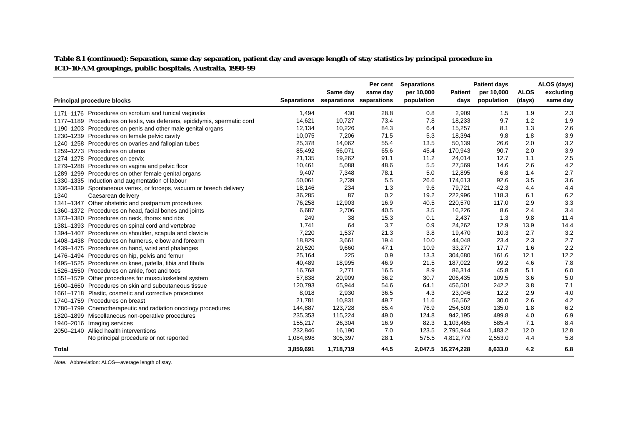**Table 8.1 (continued): Separation, same day separation, patient day and average length of stay statistics by principal procedure in ICD-10-AM groupings, public hospitals, Australia, 1998–99**

|              | <b>Principal procedure blocks</b>                                        | <b>Separations</b> | Same day  | Per cent<br>same day<br>separations separations | <b>Separations</b><br>per 10,000<br>population | <b>Patient</b><br>days | <b>Patient days</b><br>per 10,000<br>population | <b>ALOS</b><br>(days) | ALOS (days)<br>excluding<br>same day |
|--------------|--------------------------------------------------------------------------|--------------------|-----------|-------------------------------------------------|------------------------------------------------|------------------------|-------------------------------------------------|-----------------------|--------------------------------------|
|              | 1171–1176 Procedures on scrotum and tunical vaginalis                    | 1,494              | 430       | 28.8                                            | 0.8                                            | 2,909                  | 1.5                                             | 1.9                   | 2.3                                  |
|              | 1177-1189 Procedures on testis, vas deferens, epididymis, spermatic cord | 14,621             | 10,727    | 73.4                                            | 7.8                                            | 18,233                 | 9.7                                             | 1.2                   | 1.9                                  |
|              | 1190-1203 Procedures on penis and other male genital organs              | 12,134             | 10,226    | 84.3                                            | 6.4                                            | 15,257                 | 8.1                                             | 1.3                   | 2.6                                  |
|              | 1230-1239 Procedures on female pelvic cavity                             | 10,075             | 7,206     | 71.5                                            | 5.3                                            | 18,394                 | 9.8                                             | 1.8                   | 3.9                                  |
|              | 1240-1258 Procedures on ovaries and fallopian tubes                      | 25,378             | 14,062    | 55.4                                            | 13.5                                           | 50,139                 | 26.6                                            | 2.0                   | 3.2                                  |
|              | 1259-1273 Procedures on uterus                                           | 85,492             | 56,071    | 65.6                                            | 45.4                                           | 170,943                | 90.7                                            | 2.0                   | 3.9                                  |
|              | 1274-1278 Procedures on cervix                                           | 21,135             | 19,262    | 91.1                                            | 11.2                                           | 24,014                 | 12.7                                            | 1.1                   | 2.5                                  |
|              | 1279-1288 Procedures on vagina and pelvic floor                          | 10,461             | 5,088     | 48.6                                            | 5.5                                            | 27,569                 | 14.6                                            | 2.6                   | 4.2                                  |
|              | 1289-1299 Procedures on other female genital organs                      | 9,407              | 7,348     | 78.1                                            | 5.0                                            | 12,895                 | 6.8                                             | 1.4                   | 2.7                                  |
|              | 1330-1335 Induction and augmentation of labour                           | 50,061             | 2,739     | 5.5                                             | 26.6                                           | 174,613                | 92.6                                            | 3.5                   | 3.6                                  |
|              | 1336-1339 Spontaneous vertex, or forceps, vacuum or breech delivery      | 18,146             | 234       | 1.3                                             | 9.6                                            | 79,721                 | 42.3                                            | 4.4                   | 4.4                                  |
| 1340         | Caesarean delivery                                                       | 36,285             | 87        | 0.2                                             | 19.2                                           | 222,996                | 118.3                                           | 6.1                   | 6.2                                  |
|              | 1341-1347 Other obstetric and postpartum procedures                      | 76,258             | 12,903    | 16.9                                            | 40.5                                           | 220,570                | 117.0                                           | 2.9                   | 3.3                                  |
|              | 1360-1372 Procedures on head, facial bones and joints                    | 6,687              | 2,706     | 40.5                                            | 3.5                                            | 16,226                 | 8.6                                             | 2.4                   | 3.4                                  |
|              | 1373–1380 Procedures on neck, thorax and ribs                            | 249                | 38        | 15.3                                            | 0.1                                            | 2,437                  | 1.3                                             | 9.8                   | 11.4                                 |
|              | 1381-1393 Procedures on spinal cord and vertebrae                        | 1,741              | 64        | 3.7                                             | 0.9                                            | 24,262                 | 12.9                                            | 13.9                  | 14.4                                 |
|              | 1394-1407 Procedures on shoulder, scapula and clavicle                   | 7,220              | 1,537     | 21.3                                            | 3.8                                            | 19,470                 | 10.3                                            | 2.7                   | 3.2                                  |
|              | 1408-1438 Procedures on humerus, elbow and forearm                       | 18,829             | 3,661     | 19.4                                            | 10.0                                           | 44,048                 | 23.4                                            | 2.3                   | 2.7                                  |
|              | 1439–1475 Procedures on hand, wrist and phalanges                        | 20,520             | 9,660     | 47.1                                            | 10.9                                           | 33,277                 | 17.7                                            | 1.6                   | 2.2                                  |
|              | 1476-1494 Procedures on hip, pelvis and femur                            | 25,164             | 225       | 0.9                                             | 13.3                                           | 304,680                | 161.6                                           | 12.1                  | 12.2                                 |
|              | 1495-1525 Procedures on knee, patella, tibia and fibula                  | 40,489             | 18,995    | 46.9                                            | 21.5                                           | 187,022                | 99.2                                            | 4.6                   | 7.8                                  |
|              | 1526-1550 Procedures on ankle, foot and toes                             | 16,768             | 2,771     | 16.5                                            | 8.9                                            | 86,314                 | 45.8                                            | 5.1                   | 6.0                                  |
|              | 1551-1579 Other procedures for musculoskeletal system                    | 57,838             | 20,909    | 36.2                                            | 30.7                                           | 206,435                | 109.5                                           | 3.6                   | 5.0                                  |
|              | 1600–1660 Procedures on skin and subcutaneous tissue                     | 120,793            | 65,944    | 54.6                                            | 64.1                                           | 456,501                | 242.2                                           | 3.8                   | 7.1                                  |
|              | 1661-1718 Plastic, cosmetic and corrective procedures                    | 8,018              | 2,930     | 36.5                                            | 4.3                                            | 23,046                 | 12.2                                            | 2.9                   | 4.0                                  |
|              | 1740-1759 Procedures on breast                                           | 21,781             | 10,831    | 49.7                                            | 11.6                                           | 56,562                 | 30.0                                            | 2.6                   | 4.2                                  |
|              | 1780-1799 Chemotherapeutic and radiation oncology procedures             | 144,887            | 123,728   | 85.4                                            | 76.9                                           | 254,503                | 135.0                                           | 1.8                   | 6.2                                  |
|              | 1820-1899 Miscellaneous non-operative procedures                         | 235,353            | 115,224   | 49.0                                            | 124.8                                          | 942,195                | 499.8                                           | 4.0                   | 6.9                                  |
|              | 1940-2016 Imaging services                                               | 155,217            | 26,304    | 16.9                                            | 82.3                                           | 1,103,465              | 585.4                                           | 7.1                   | 8.4                                  |
|              | 2050-2140 Allied health interventions                                    | 232,846            | 16,190    | 7.0                                             | 123.5                                          | 2,795,944              | 1,483.2                                         | 12.0                  | 12.8                                 |
|              | No principal procedure or not reported                                   | 1,084,898          | 305,397   | 28.1                                            | 575.5                                          | 4,812,779              | 2,553.0                                         | 4.4                   | 5.8                                  |
| <b>Total</b> |                                                                          | 3,859,691          | 1,718,719 | 44.5                                            | 2,047.5                                        | 16,274,228             | 8,633.0                                         | 4.2                   | 6.8                                  |

Note: Abbreviation: ALOS—average length of stay.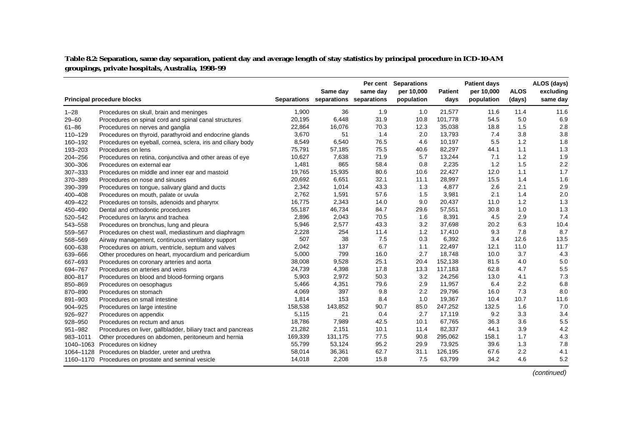#### **Table 8.2: Separation, same day separation, patient day and average length of stay statistics by principal procedure in ICD-10-AM groupings, private hospitals, Australia, 1998–99**

|             |                                                              |         | Same day                            | Per cent<br>same day | <b>Separations</b><br>per 10,000 | <b>Patient</b> | <b>Patient days</b><br>per 10,000 | <b>ALOS</b> | ALOS (days)<br>excluding |
|-------------|--------------------------------------------------------------|---------|-------------------------------------|----------------------|----------------------------------|----------------|-----------------------------------|-------------|--------------------------|
|             | <b>Principal procedure blocks</b>                            |         | Separations separations separations |                      | population                       | days           | population                        | (days)      | same day                 |
| $1 - 28$    | Procedures on skull, brain and meninges                      | 1,900   | 36                                  | 1.9                  | 1.0                              | 21,577         | 11.6                              | 11.4        | 11.6                     |
| $29 - 60$   | Procedures on spinal cord and spinal canal structures        | 20,195  | 6,448                               | 31.9                 | 10.8                             | 101,778        | 54.5                              | 5.0         | 6.9                      |
| $61 - 86$   | Procedures on nerves and ganglia                             | 22,864  | 16,076                              | 70.3                 | 12.3                             | 35,038         | 18.8                              | 1.5         | 2.8                      |
| $110 - 129$ | Procedures on thyroid, parathyroid and endocrine glands      | 3,670   | 51                                  | 1.4                  | 2.0                              | 13,793         | 7.4                               | 3.8         | 3.8                      |
| 160-192     | Procedures on eyeball, cornea, sclera, iris and ciliary body | 8,549   | 6,540                               | 76.5                 | 4.6                              | 10,197         | 5.5                               | 1.2         | 1.8                      |
| 193-203     | Procedures on lens                                           | 75,791  | 57,185                              | 75.5                 | 40.6                             | 82,297         | 44.1                              | 1.1         | 1.3                      |
| $204 - 256$ | Procedures on retina, conjunctiva and other areas of eye     | 10,627  | 7,638                               | 71.9                 | 5.7                              | 13,244         | 7.1                               | 1.2         | 1.9                      |
| 300-306     | Procedures on external ear                                   | 1,481   | 865                                 | 58.4                 | 0.8                              | 2,235          | 1.2                               | 1.5         | 2.2                      |
| 307-333     | Procedures on middle and inner ear and mastoid               | 19,765  | 15,935                              | 80.6                 | 10.6                             | 22,427         | 12.0                              | 1.1         | 1.7                      |
| 370-389     | Procedures on nose and sinuses                               | 20,692  | 6,651                               | 32.1                 | 11.1                             | 28,997         | 15.5                              | 1.4         | 1.6                      |
| 390-399     | Procedures on tongue, salivary gland and ducts               | 2,342   | 1,014                               | 43.3                 | 1.3                              | 4,877          | 2.6                               | 2.1         | 2.9                      |
| 400-408     | Procedures on mouth, palate or uvula                         | 2,762   | 1,591                               | 57.6                 | 1.5                              | 3,981          | 2.1                               | 1.4         | 2.0                      |
| 409-422     | Procedures on tonsils, adenoids and pharynx                  | 16,775  | 2,343                               | 14.0                 | 9.0                              | 20,437         | 11.0                              | 1.2         | 1.3                      |
| 450-490     | Dental and orthodontic procedures                            | 55,187  | 46,734                              | 84.7                 | 29.6                             | 57,551         | 30.8                              | 1.0         | 1.3                      |
| 520-542     | Procedures on larynx and trachea                             | 2,896   | 2,043                               | 70.5                 | 1.6                              | 8,391          | 4.5                               | 2.9         | 7.4                      |
| 543-558     | Procedures on bronchus, lung and pleura                      | 5,946   | 2,577                               | 43.3                 | 3.2                              | 37,698         | 20.2                              | 6.3         | 10.4                     |
| 559-567     | Procedures on chest wall, mediastinum and diaphragm          | 2,228   | 254                                 | 11.4                 | 1.2                              | 17,410         | 9.3                               | 7.8         | 8.7                      |
| 568-569     | Airway management, continuous ventilatory support            | 507     | 38                                  | 7.5                  | 0.3                              | 6,392          | 3.4                               | 12.6        | 13.5                     |
| 600-638     | Procedures on atrium, ventricle, septum and valves           | 2,042   | 137                                 | 6.7                  | 1.1                              | 22,497         | 12.1                              | 11.0        | 11.7                     |
| 639-666     | Other procedures on heart, myocardium and pericardium        | 5,000   | 799                                 | 16.0                 | 2.7                              | 18,748         | 10.0                              | 3.7         | 4.3                      |
| 667-693     | Procedures on coronary arteries and aorta                    | 38,008  | 9,528                               | 25.1                 | 20.4                             | 152,138        | 81.5                              | 4.0         | 5.0                      |
| 694-767     | Procedures on arteries and veins                             | 24,739  | 4,398                               | 17.8                 | 13.3                             | 117,183        | 62.8                              | 4.7         | 5.5                      |
| 800-817     | Procedures on blood and blood-forming organs                 | 5,903   | 2,972                               | 50.3                 | 3.2                              | 24,256         | 13.0                              | 4.1         | 7.3                      |
| 850-869     | Procedures on oesophagus                                     | 5,466   | 4,351                               | 79.6                 | 2.9                              | 11,957         | 6.4                               | 2.2         | 6.8                      |
| 870-890     | Procedures on stomach                                        | 4,069   | 397                                 | 9.8                  | 2.2                              | 29,796         | 16.0                              | 7.3         | 8.0                      |
| 891-903     | Procedures on small intestine                                | 1,814   | 153                                 | 8.4                  | 1.0                              | 19,367         | 10.4                              | 10.7        | 11.6                     |
| 904-925     | Procedures on large intestine                                | 158,538 | 143,852                             | 90.7                 | 85.0                             | 247,252        | 132.5                             | 1.6         | 7.0                      |
| 926-927     | Procedures on appendix                                       | 5,115   | 21                                  | 0.4                  | 2.7                              | 17,119         | 9.2                               | 3.3         | 3.4                      |
| 928-950     | Procedures on rectum and anus                                | 18,786  | 7,989                               | 42.5                 | 10.1                             | 67,765         | 36.3                              | 3.6         | 5.5                      |
| 951-982     | Procedures on liver, gallbladder, biliary tract and pancreas | 21,282  | 2,151                               | 10.1                 | 11.4                             | 82,337         | 44.1                              | 3.9         | 4.2                      |
| 983-1011    | Other procedures on abdomen, peritoneum and hernia           | 169,339 | 131,175                             | 77.5                 | 90.8                             | 295,062        | 158.1                             | 1.7         | 4.3                      |
| 1040-1063   | Procedures on kidney                                         | 55,799  | 53,124                              | 95.2                 | 29.9                             | 73,925         | 39.6                              | 1.3         | 7.8                      |
| 1064-1128   | Procedures on bladder, ureter and urethra                    | 58,014  | 36,361                              | 62.7                 | 31.1                             | 126,195        | 67.6                              | 2.2         | 4.1                      |
|             | 1160–1170 Procedures on prostate and seminal vesicle         | 14,018  | 2,208                               | 15.8                 | 7.5                              | 63,799         | 34.2                              | 4.6         | 5.2                      |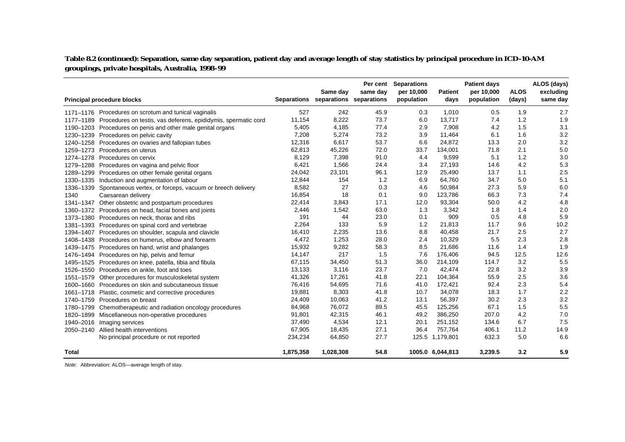**Table 8.2 (continued): Separation, same day separation, patient day and average length of stay statistics by principal procedure in ICD-10-AM groupings, private hospitals, Australia, 1998–99**

|              |                                                                          |           | Same day                            | Per cent<br>same day | <b>Separations</b><br>per 10,000 | <b>Patient</b>   | <b>Patient days</b><br>per 10,000 | <b>ALOS</b> | ALOS (days)<br>excluding |
|--------------|--------------------------------------------------------------------------|-----------|-------------------------------------|----------------------|----------------------------------|------------------|-----------------------------------|-------------|--------------------------|
|              | <b>Principal procedure blocks</b>                                        |           | Separations separations separations |                      | population                       | days             | population                        | (days)      | same day                 |
|              | 1171–1176 Procedures on scrotum and tunical vaginalis                    | 527       | 242                                 | 45.9                 | 0.3                              | 1,010            | 0.5                               | 1.9         | 2.7                      |
|              | 1177-1189 Procedures on testis, vas deferens, epididymis, spermatic cord | 11,154    | 8,222                               | 73.7                 | 6.0                              | 13,717           | 7.4                               | 1.2         | 1.9                      |
|              | 1190–1203 Procedures on penis and other male genital organs              | 5,405     | 4,185                               | 77.4                 | 2.9                              | 7,908            | 4.2                               | 1.5         | 3.1                      |
|              | 1230-1239 Procedures on pelvic cavity                                    | 7,208     | 5,274                               | 73.2                 | 3.9                              | 11,464           | 6.1                               | 1.6         | 3.2                      |
|              | 1240–1258 Procedures on ovaries and fallopian tubes                      | 12,316    | 6,617                               | 53.7                 | 6.6                              | 24,872           | 13.3                              | 2.0         | 3.2                      |
| 1259-1273    | Procedures on uterus                                                     | 62,813    | 45,226                              | 72.0                 | 33.7                             | 134,001          | 71.8                              | 2.1         | 5.0                      |
| 1274-1278    | Procedures on cervix                                                     | 8,129     | 7,398                               | 91.0                 | 4.4                              | 9,599            | 5.1                               | 1.2         | 3.0                      |
|              | 1279-1288 Procedures on vagina and pelvic floor                          | 6,421     | 1,566                               | 24.4                 | 3.4                              | 27,193           | 14.6                              | 4.2         | 5.3                      |
|              | 1289-1299 Procedures on other female genital organs                      | 24,042    | 23,101                              | 96.1                 | 12.9                             | 25,490           | 13.7                              | 1.1         | 2.5                      |
|              | 1330-1335 Induction and augmentation of labour                           | 12,844    | 154                                 | 1.2                  | 6.9                              | 64,760           | 34.7                              | 5.0         | 5.1                      |
| 1336-1339    | Spontaneous vertex, or forceps, vacuum or breech delivery                | 8,582     | 27                                  | 0.3                  | 4.6                              | 50,984           | 27.3                              | 5.9         | 6.0                      |
| 1340         | Caesarean delivery                                                       | 16,854    | 18                                  | 0.1                  | 9.0                              | 123,786          | 66.3                              | 7.3         | 7.4                      |
|              | 1341-1347 Other obstetric and postpartum procedures                      | 22,414    | 3,843                               | 17.1                 | 12.0                             | 93,304           | 50.0                              | 4.2         | 4.8                      |
|              | 1360-1372 Procedures on head, facial bones and joints                    | 2,446     | 1,542                               | 63.0                 | 1.3                              | 3,342            | 1.8                               | 1.4         | 2.0                      |
|              | 1373–1380 Procedures on neck, thorax and ribs                            | 191       | 44                                  | 23.0                 | 0.1                              | 909              | 0.5                               | 4.8         | 5.9                      |
|              | 1381-1393 Procedures on spinal cord and vertebrae                        | 2,264     | 133                                 | 5.9                  | 1.2                              | 21,813           | 11.7                              | 9.6         | 10.2                     |
|              | 1394-1407 Procedures on shoulder, scapula and clavicle                   | 16,410    | 2,235                               | 13.6                 | 8.8                              | 40,458           | 21.7                              | 2.5         | 2.7                      |
|              | 1408-1438 Procedures on humerus, elbow and forearm                       | 4,472     | 1,253                               | 28.0                 | 2.4                              | 10,329           | 5.5                               | 2.3         | 2.8                      |
|              | 1439–1475 Procedures on hand, wrist and phalanges                        | 15,932    | 9,282                               | 58.3                 | 8.5                              | 21,686           | 11.6                              | 1.4         | 1.9                      |
|              | 1476-1494 Procedures on hip, pelvis and femur                            | 14,147    | 217                                 | 1.5                  | 7.6                              | 176,406          | 94.5                              | 12.5        | 12.6                     |
|              | 1495-1525 Procedures on knee, patella, tibia and fibula                  | 67,115    | 34,450                              | 51.3                 | 36.0                             | 214,109          | 114.7                             | 3.2         | 5.5                      |
|              | 1526-1550 Procedures on ankle, foot and toes                             | 13,133    | 3,116                               | 23.7                 | 7.0                              | 42,474           | 22.8                              | 3.2         | 3.9                      |
| 1551-1579    | Other procedures for musculoskeletal system                              | 41,326    | 17,261                              | 41.8                 | 22.1                             | 104,364          | 55.9                              | 2.5         | 3.6                      |
| 1600-1660    | Procedures on skin and subcutaneous tissue                               | 76,416    | 54,695                              | 71.6                 | 41.0                             | 172,421          | 92.4                              | 2.3         | 5.4                      |
| 1661-1718    | Plastic, cosmetic and corrective procedures                              | 19,881    | 8,303                               | 41.8                 | 10.7                             | 34,078           | 18.3                              | 1.7         | 2.2                      |
| 1740-1759    | Procedures on breast                                                     | 24,409    | 10,063                              | 41.2                 | 13.1                             | 56,397           | 30.2                              | 2.3         | 3.2                      |
| 1780-1799    | Chemotherapeutic and radiation oncology procedures                       | 84,968    | 76,072                              | 89.5                 | 45.5                             | 125,256          | 67.1                              | 1.5         | 5.5                      |
| 1820-1899    | Miscellaneous non-operative procedures                                   | 91,801    | 42,315                              | 46.1                 | 49.2                             | 386,250          | 207.0                             | 4.2         | 7.0                      |
|              | 1940-2016 Imaging services                                               | 37,490    | 4,534                               | 12.1                 | 20.1                             | 251,152          | 134.6                             | 6.7         | 7.5                      |
|              | 2050-2140 Allied health interventions                                    | 67,905    | 18,435                              | 27.1                 | 36.4                             | 757,764          | 406.1                             | 11.2        | 14.9                     |
|              | No principal procedure or not reported                                   | 234,234   | 64,850                              | 27.7                 |                                  | 125.5 1,179,801  | 632.3                             | 5.0         | 6.6                      |
| <b>Total</b> |                                                                          | 1,875,358 | 1,028,308                           | 54.8                 |                                  | 1005.0 6,044,813 | 3,239.5                           | 3.2         | 5.9                      |

Note: Abbreviation: ALOS—average length of stay.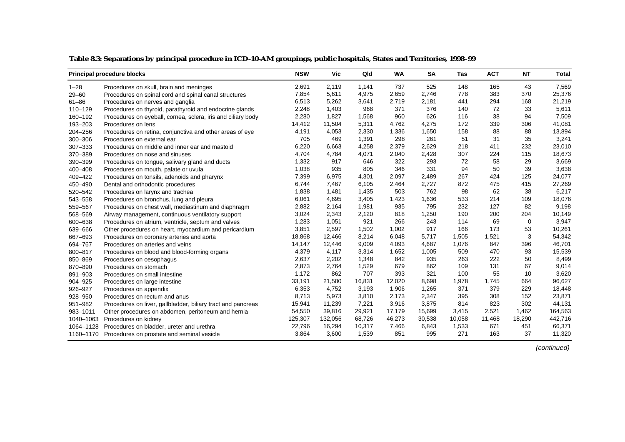|             | <b>Principal procedure blocks</b>                            | <b>NSW</b> | Vic     | Qld    | WA     | <b>SA</b> | Tas    | <b>ACT</b> | NT     | <b>Total</b> |
|-------------|--------------------------------------------------------------|------------|---------|--------|--------|-----------|--------|------------|--------|--------------|
| $1 - 28$    | Procedures on skull, brain and meninges                      | 2,691      | 2,119   | 1,141  | 737    | 525       | 148    | 165        | 43     | 7,569        |
| $29 - 60$   | Procedures on spinal cord and spinal canal structures        | 7,854      | 5,611   | 4,975  | 2,659  | 2,746     | 778    | 383        | 370    | 25,376       |
| $61 - 86$   | Procedures on nerves and ganglia                             | 6,513      | 5,262   | 3,641  | 2,719  | 2,181     | 441    | 294        | 168    | 21,219       |
| 110-129     | Procedures on thyroid, parathyroid and endocrine glands      | 2,248      | 1,403   | 968    | 371    | 376       | 140    | 72         | 33     | 5,611        |
| 160-192     | Procedures on eyeball, cornea, sclera, iris and ciliary body | 2,280      | 1,827   | 1,568  | 960    | 626       | 116    | 38         | 94     | 7,509        |
| 193-203     | Procedures on lens                                           | 14,412     | 11,504  | 5,311  | 4,762  | 4,275     | 172    | 339        | 306    | 41,081       |
| $204 - 256$ | Procedures on retina, conjunctiva and other areas of eye     | 4,191      | 4,053   | 2,330  | 1,336  | 1,650     | 158    | 88         | 88     | 13,894       |
| 300-306     | Procedures on external ear                                   | 705        | 469     | 1,391  | 298    | 261       | 51     | 31         | 35     | 3,241        |
| 307-333     | Procedures on middle and inner ear and mastoid               | 6,220      | 6,663   | 4,258  | 2,379  | 2,629     | 218    | 411        | 232    | 23,010       |
| 370-389     | Procedures on nose and sinuses                               | 4,704      | 4,784   | 4,071  | 2,040  | 2,428     | 307    | 224        | 115    | 18,673       |
| 390-399     | Procedures on tongue, salivary gland and ducts               | 1,332      | 917     | 646    | 322    | 293       | 72     | 58         | 29     | 3,669        |
| 400-408     | Procedures on mouth, palate or uvula                         | 1,038      | 935     | 805    | 346    | 331       | 94     | 50         | 39     | 3,638        |
| 409-422     | Procedures on tonsils, adenoids and pharynx                  | 7,399      | 6,975   | 4,301  | 2,097  | 2,489     | 267    | 424        | 125    | 24,077       |
| 450-490     | Dental and orthodontic procedures                            | 6,744      | 7,467   | 6,105  | 2,464  | 2,727     | 872    | 475        | 415    | 27,269       |
| 520-542     | Procedures on larynx and trachea                             | 1,838      | 1,481   | 1,435  | 503    | 762       | 98     | 62         | 38     | 6,217        |
| 543-558     | Procedures on bronchus, lung and pleura                      | 6,061      | 4,695   | 3,405  | 1,423  | 1,636     | 533    | 214        | 109    | 18,076       |
| 559-567     | Procedures on chest wall, mediastinum and diaphragm          | 2,882      | 2,164   | 1,981  | 935    | 795       | 232    | 127        | 82     | 9,198        |
| 568-569     | Airway management, continuous ventilatory support            | 3,024      | 2,343   | 2,120  | 818    | 1,250     | 190    | 200        | 204    | 10,149       |
| 600-638     | Procedures on atrium, ventricle, septum and valves           | 1,283      | 1,051   | 921    | 266    | 243       | 114    | 69         | 0      | 3,947        |
| 639-666     | Other procedures on heart, myocardium and pericardium        | 3,851      | 2,597   | 1,502  | 1,002  | 917       | 166    | 173        | 53     | 10,261       |
| 667-693     | Procedures on coronary arteries and aorta                    | 18,868     | 12,466  | 8,214  | 6,048  | 5,717     | 1,505  | 1,521      | 3      | 54,342       |
| 694-767     | Procedures on arteries and veins                             | 14,147     | 12,446  | 9,009  | 4,093  | 4,687     | 1,076  | 847        | 396    | 46,701       |
| 800-817     | Procedures on blood and blood-forming organs                 | 4,379      | 4,117   | 3,314  | 1,652  | 1,005     | 509    | 470        | 93     | 15,539       |
| 850-869     | Procedures on oesophagus                                     | 2,637      | 2,202   | 1,348  | 842    | 935       | 263    | 222        | 50     | 8,499        |
| 870-890     | Procedures on stomach                                        | 2,873      | 2,764   | 1,529  | 679    | 862       | 109    | 131        | 67     | 9,014        |
| 891-903     | Procedures on small intestine                                | 1,172      | 862     | 707    | 393    | 321       | 100    | 55         | 10     | 3,620        |
| 904-925     | Procedures on large intestine                                | 33,191     | 21,500  | 16,831 | 12,020 | 8,698     | 1,978  | 1,745      | 664    | 96,627       |
| 926-927     | Procedures on appendix                                       | 6,353      | 4,752   | 3,193  | 1,906  | 1,265     | 371    | 379        | 229    | 18,448       |
| 928-950     | Procedures on rectum and anus                                | 8,713      | 5,973   | 3,810  | 2,173  | 2,347     | 395    | 308        | 152    | 23,871       |
| 951-982     | Procedures on liver, gallbladder, biliary tract and pancreas | 15,941     | 11,239  | 7,221  | 3,916  | 3,875     | 814    | 823        | 302    | 44,131       |
| 983-1011    | Other procedures on abdomen, peritoneum and hernia           | 54,550     | 39,816  | 29,921 | 17,179 | 15,699    | 3,415  | 2,521      | 1,462  | 164,563      |
| 1040-1063   | Procedures on kidney                                         | 125,307    | 132,056 | 68,726 | 46,273 | 30,538    | 10,058 | 11,468     | 18,290 | 442,716      |
| 1064-1128   | Procedures on bladder, ureter and urethra                    | 22,796     | 16,294  | 10,317 | 7,466  | 6,843     | 1,533  | 671        | 451    | 66,371       |
|             | 1160-1170 Procedures on prostate and seminal vesicle         | 3,864      | 3,600   | 1,539  | 851    | 995       | 271    | 163        | 37     | 11,320       |

#### **Table 8.3: Separations by principal procedure in ICD-10-AM groupings, public hospitals, States and Territories, 1998–99**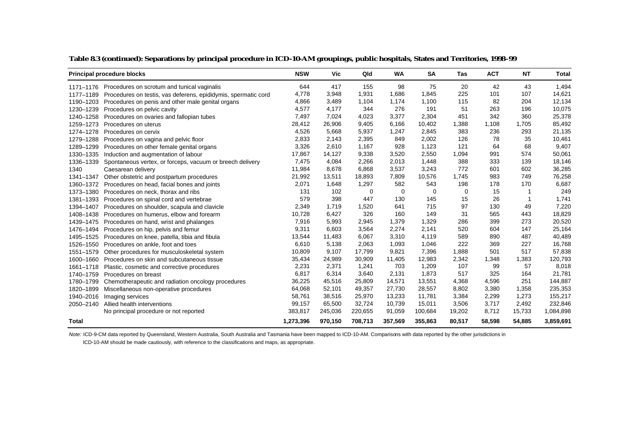|           | <b>Principal procedure blocks</b>                                        | <b>NSW</b> | Vic     | Qld     | WA          | <b>SA</b> | Tas    | <b>ACT</b> | NT     | Total     |
|-----------|--------------------------------------------------------------------------|------------|---------|---------|-------------|-----------|--------|------------|--------|-----------|
|           | 1171–1176 Procedures on scrotum and tunical vaginalis                    | 644        | 417     | 155     | 98          | 75        | 20     | 42         | 43     | 1,494     |
|           | 1177–1189 Procedures on testis, vas deferens, epididymis, spermatic cord | 4,778      | 3,948   | 1,931   | 1,686       | 1,845     | 225    | 101        | 107    | 14,621    |
|           | 1190-1203 Procedures on penis and other male genital organs              | 4,866      | 3,489   | 1,104   | 1,174       | 1,100     | 115    | 82         | 204    | 12,134    |
| 1230-1239 | Procedures on pelvic cavity                                              | 4,577      | 4,177   | 344     | 276         | 191       | 51     | 263        | 196    | 10,075    |
| 1240-1258 | Procedures on ovaries and fallopian tubes                                | 7,497      | 7,024   | 4,023   | 3,377       | 2,304     | 451    | 342        | 360    | 25,378    |
| 1259-1273 | Procedures on uterus                                                     | 28,412     | 26,906  | 9,405   | 6,166       | 10,402    | 1,388  | 1,108      | 1,705  | 85,492    |
| 1274-1278 | Procedures on cervix                                                     | 4,526      | 5,668   | 5,937   | 1,247       | 2,845     | 383    | 236        | 293    | 21,135    |
| 1279-1288 | Procedures on vagina and pelvic floor                                    | 2,833      | 2,143   | 2,395   | 849         | 2,002     | 126    | 78         | 35     | 10,461    |
| 1289-1299 | Procedures on other female genital organs                                | 3,326      | 2,610   | 1,167   | 928         | 1,123     | 121    | 64         | 68     | 9,407     |
| 1330-1335 | Induction and augmentation of labour                                     | 17,867     | 14,127  | 9,338   | 3,520       | 2,550     | 1,094  | 991        | 574    | 50,061    |
| 1336-1339 | Spontaneous vertex, or forceps, vacuum or breech delivery                | 7,475      | 4,084   | 2,266   | 2,013       | 1,448     | 388    | 333        | 139    | 18,146    |
| 1340      | Caesarean delivery                                                       | 11,984     | 8,678   | 6,868   | 3,537       | 3,243     | 772    | 601        | 602    | 36,285    |
| 1341-1347 | Other obstetric and postpartum procedures                                | 21,992     | 13,511  | 18,893  | 7,809       | 10,576    | 1.745  | 983        | 749    | 76,258    |
| 1360-1372 | Procedures on head, facial bones and joints                              | 2,071      | 1,648   | 1,297   | 582         | 543       | 198    | 178        | 170    | 6,687     |
|           | 1373–1380 Procedures on neck, thorax and ribs                            | 131        | 102     | 0       | $\mathbf 0$ | 0         | 0      | 15         |        | 249       |
| 1381-1393 | Procedures on spinal cord and vertebrae                                  | 579        | 398     | 447     | 130         | 145       | 15     | 26         | 1      | 1,741     |
| 1394-1407 | Procedures on shoulder, scapula and clavicle                             | 2,349      | 1,719   | 1,520   | 641         | 715       | 97     | 130        | 49     | 7,220     |
| 1408-1438 | Procedures on humerus, elbow and forearm                                 | 10,728     | 6,427   | 326     | 160         | 149       | 31     | 565        | 443    | 18,829    |
| 1439-1475 | Procedures on hand, wrist and phalanges                                  | 7,916      | 5,993   | 2,945   | 1,379       | 1,329     | 286    | 399        | 273    | 20,520    |
| 1476–1494 | Procedures on hip, pelvis and femur                                      | 9,311      | 6,603   | 3,564   | 2,274       | 2,141     | 520    | 604        | 147    | 25,164    |
|           | 1495-1525 Procedures on knee, patella, tibia and fibula                  | 13,544     | 11,483  | 6,067   | 3,310       | 4,119     | 589    | 890        | 487    | 40,489    |
|           | 1526-1550 Procedures on ankle, foot and toes                             | 6,610      | 5,138   | 2,063   | 1,093       | 1,046     | 222    | 369        | 227    | 16,768    |
| 1551-1579 | Other procedures for musculoskeletal system                              | 10,809     | 9,107   | 17,799  | 9,821       | 7,396     | 1,888  | 501        | 517    | 57,838    |
| 1600-1660 | Procedures on skin and subcutaneous tissue                               | 35,434     | 24,989  | 30,909  | 11,405      | 12,983    | 2,342  | 1,348      | 1,383  | 120,793   |
| 1661-1718 | Plastic, cosmetic and corrective procedures                              | 2,231      | 2,371   | 1,241   | 703         | 1,209     | 107    | 99         | 57     | 8,018     |
| 1740-1759 | Procedures on breast                                                     | 6,817      | 6,314   | 3,640   | 2,131       | 1,873     | 517    | 325        | 164    | 21,781    |
|           | 1780-1799 Chemotherapeutic and radiation oncology procedures             | 36,225     | 45,516  | 25,809  | 14,571      | 13,551    | 4,368  | 4,596      | 251    | 144,887   |
| 1820-1899 | Miscellaneous non-operative procedures                                   | 64,068     | 52,101  | 49,357  | 27,730      | 28,557    | 8,802  | 3,380      | 1,358  | 235,353   |
| 1940-2016 | Imaging services                                                         | 58,761     | 38,516  | 25,970  | 13,233      | 11,781    | 3,384  | 2,299      | 1,273  | 155,217   |
| 2050-2140 | Allied health interventions                                              | 99,157     | 65,500  | 32,724  | 10,739      | 15,011    | 3,506  | 3,717      | 2,492  | 232,846   |
|           | No principal procedure or not reported                                   | 383,817    | 245,036 | 220,655 | 91,059      | 100,684   | 19,202 | 8,712      | 15,733 | 1,084,898 |
| Total     |                                                                          | 1,273,396  | 970,150 | 708,713 | 357,569     | 355,863   | 80,517 | 58,598     | 54,885 | 3,859,691 |

#### **Table 8.3 (continued): Separations by principal procedure in ICD-10-AM groupings, public hospitals, States and Territories, 1998–99**

Note: ICD-9-CM data reported by Queensland, Western Australia, South Australia and Tasmania have been mapped to ICD-10-AM. Comparisons with data reported by the other jurisdictions in

ICD-10-AM should be made cautiously, with reference to the classifications and maps, as appropriate.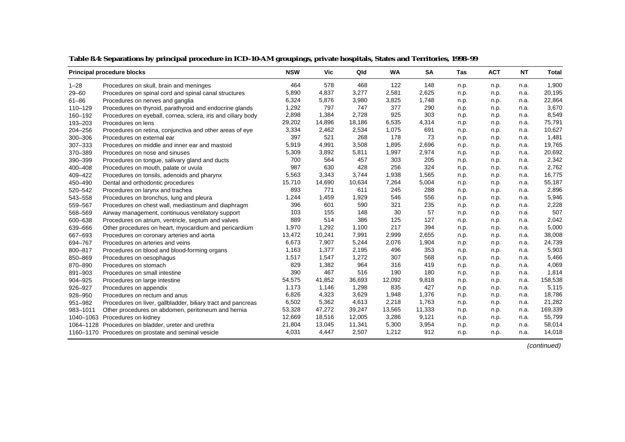|             | <b>Principal procedure blocks</b>                            | <b>NSW</b> | Vic    | Qld    | <b>WA</b> | <b>SA</b> | <b>Tas</b> | <b>ACT</b> | <b>NT</b> | Total   |
|-------------|--------------------------------------------------------------|------------|--------|--------|-----------|-----------|------------|------------|-----------|---------|
| $1 - 28$    | Procedures on skull, brain and meninges                      | 464        | 578    | 468    | 122       | 148       | n.p.       | n.p.       | n.a.      | 1,900   |
| $29 - 60$   | Procedures on spinal cord and spinal canal structures        | 5,890      | 4,837  | 3,277  | 2,581     | 2,625     | n.p.       | n.p.       | n.a.      | 20,195  |
| $61 - 86$   | Procedures on nerves and ganglia                             | 6,324      | 5,876  | 3,980  | 3,825     | 1,748     | n.p.       | n.p.       | n.a.      | 22,864  |
| 110-129     | Procedures on thyroid, parathyroid and endocrine glands      | 1,292      | 797    | 747    | 377       | 290       | n.p.       | n.p.       | n.a.      | 3,670   |
| 160-192     | Procedures on eyeball, cornea, sclera, iris and ciliary body | 2,898      | 1,384  | 2,728  | 925       | 303       | n.p.       | n.p.       | n.a.      | 8,549   |
| 193-203     | Procedures on lens                                           | 29,202     | 14,896 | 18,186 | 6,535     | 4,314     | n.p.       | n.p.       | n.a.      | 75,791  |
| $204 - 256$ | Procedures on retina, conjunctiva and other areas of eye     | 3,334      | 2,462  | 2,534  | 1,075     | 691       | n.p.       | n.p.       | n.a.      | 10,627  |
| 300-306     | Procedures on external ear                                   | 397        | 521    | 268    | 178       | 73        | n.p.       | n.p.       | n.a.      | 1,481   |
| 307-333     | Procedures on middle and inner ear and mastoid               | 5,919      | 4,991  | 3,508  | 1,895     | 2,696     | n.p.       | n.p.       | n.a.      | 19,765  |
| 370-389     | Procedures on nose and sinuses                               | 5,309      | 3,892  | 5,811  | 1,997     | 2,974     | n.p.       | n.p.       | n.a.      | 20,692  |
| 390-399     | Procedures on tongue, salivary gland and ducts               | 700        | 564    | 457    | 303       | 205       | n.p.       | n.p.       | n.a.      | 2,342   |
| 400-408     | Procedures on mouth, palate or uvula                         | 987        | 630    | 428    | 256       | 324       | n.p.       | n.p.       | n.a.      | 2,762   |
| 409-422     | Procedures on tonsils, adenoids and pharynx                  | 5,563      | 3,343  | 3,744  | 1,938     | 1,565     | n.p.       | n.p.       | n.a.      | 16,775  |
| 450-490     | Dental and orthodontic procedures                            | 15,710     | 14,690 | 10,634 | 7,264     | 5,004     | n.p.       | n.p.       | n.a.      | 55,187  |
| 520-542     | Procedures on larynx and trachea                             | 893        | 771    | 611    | 245       | 288       | n.p.       | n.p.       | n.a.      | 2,896   |
| 543-558     | Procedures on bronchus, lung and pleura                      | 1,244      | 1,459  | 1,929  | 546       | 556       | n.p.       | n.p.       | n.a.      | 5,946   |
| 559-567     | Procedures on chest wall, mediastinum and diaphragm          | 396        | 601    | 590    | 321       | 235       | n.p.       | n.p.       | n.a.      | 2,228   |
| 568-569     | Airway management, continuous ventilatory support            | 103        | 155    | 148    | 30        | 57        | n.p.       | n.p.       | n.a.      | 507     |
| 600-638     | Procedures on atrium, ventricle, septum and valves           | 889        | 514    | 386    | 125       | 127       | n.p.       | n.p.       | n.a.      | 2,042   |
| 639-666     | Other procedures on heart, myocardium and pericardium        | 1,970      | 1,292  | 1,100  | 217       | 394       | n.p.       | n.p.       | n.a.      | 5,000   |
| 667-693     | Procedures on coronary arteries and aorta                    | 13,472     | 10,241 | 7,991  | 2,999     | 2,655     | n.p.       | n.p.       | n.a.      | 38,008  |
| 694-767     | Procedures on arteries and veins                             | 6,673      | 7,907  | 5,244  | 2,076     | 1,904     | n.p.       | n.p.       | n.a.      | 24,739  |
| 800-817     | Procedures on blood and blood-forming organs                 | 1,163      | 1,377  | 2,195  | 496       | 353       | n.p.       | n.p.       | n.a.      | 5,903   |
| 850-869     | Procedures on oesophagus                                     | 1,517      | 1,547  | 1,272  | 307       | 568       | n.p.       | n.p.       | n.a.      | 5,466   |
| 870-890     | Procedures on stomach                                        | 829        | 1,382  | 964    | 316       | 419       | n.p.       | n.p.       | n.a.      | 4,069   |
| 891-903     | Procedures on small intestine                                | 390        | 467    | 516    | 190       | 180       | n.p.       | n.p.       | n.a.      | 1,814   |
| 904-925     | Procedures on large intestine                                | 54,575     | 41,852 | 36,693 | 12,092    | 9,818     | n.p.       | n.p.       | n.a.      | 158,538 |
| 926-927     | Procedures on appendix                                       | 1,173      | 1,146  | 1,298  | 835       | 427       | n.p.       | n.p.       | n.a.      | 5,115   |
| 928-950     | Procedures on rectum and anus                                | 6,826      | 4,323  | 3,629  | 1,948     | 1,376     | n.p.       | n.p.       | n.a.      | 18,786  |
| 951-982     | Procedures on liver, gallbladder, biliary tract and pancreas | 6,502      | 5,362  | 4,613  | 2,218     | 1,763     | n.p.       | n.p.       | n.a.      | 21,282  |
| 983-1011    | Other procedures on abdomen, peritoneum and hernia           | 53,328     | 47,272 | 39,247 | 13,565    | 11,333    | n.p.       | n.p.       | n.a.      | 169,339 |
|             | 1040-1063 Procedures on kidney                               | 12,669     | 18,516 | 12,005 | 3,286     | 9,121     | n.p.       | n.p.       | n.a.      | 55,799  |
|             | 1064-1128 Procedures on bladder, ureter and urethra          | 21,804     | 13,045 | 11,341 | 5,300     | 3,954     | n.p.       | n.p.       | n.a.      | 58,014  |
|             | 1160–1170 Procedures on prostate and seminal vesicle         | 4,031      | 4,447  | 2,507  | 1,212     | 912       | n.p.       | n.p.       | n.a.      | 14,018  |

**Table 8.4: Separations by principal procedure in ICD-10-AM groupings, private hospitals, States and Territories, 1998–99**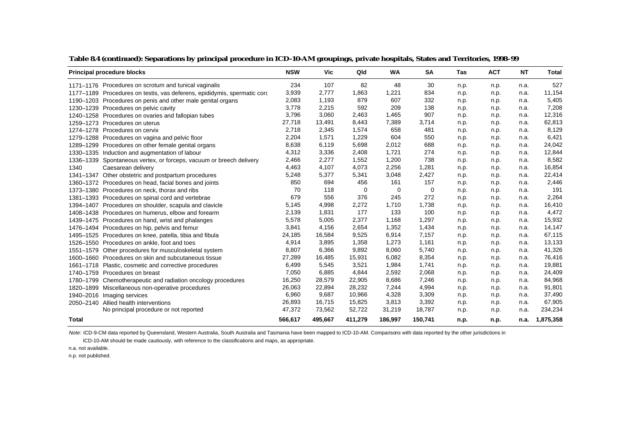| <b>Principal procedure blocks</b>                                        | <b>NSW</b> | Vic     | Qld      | <b>WA</b> | <b>SA</b> | <b>Tas</b> | <b>ACT</b> | <b>NT</b> | Total     |
|--------------------------------------------------------------------------|------------|---------|----------|-----------|-----------|------------|------------|-----------|-----------|
| 1171–1176 Procedures on scrotum and tunical vaginalis                    | 234        | 107     | 82       | 48        | 30        | n.p.       | n.p.       | n.a.      | 527       |
| 1177-1189 Procedures on testis, vas deferens, epididymis, spermatic cord | 3,939      | 2,777   | 1,863    | 1,221     | 834       | n.p.       | n.p.       | n.a.      | 11,154    |
| 1190-1203 Procedures on penis and other male genital organs              | 2,083      | 1,193   | 879      | 607       | 332       | n.p.       | n.p.       | n.a.      | 5,405     |
| 1230-1239 Procedures on pelvic cavity                                    | 3,778      | 2,215   | 592      | 209       | 138       | n.p.       | n.p.       | n.a.      | 7,208     |
| 1240-1258 Procedures on ovaries and fallopian tubes                      | 3,796      | 3,060   | 2,463    | 1,465     | 907       | n.p.       | n.p.       | n.a.      | 12,316    |
| 1259-1273 Procedures on uterus                                           | 27,718     | 13,491  | 8,443    | 7,389     | 3,714     | n.p.       | n.p.       | n.a.      | 62,813    |
| 1274-1278 Procedures on cervix                                           | 2.718      | 2,345   | 1,574    | 658       | 481       | n.p.       | n.p.       | n.a.      | 8,129     |
| 1279-1288 Procedures on vagina and pelvic floor                          | 2,204      | 1,571   | 1,229    | 604       | 550       | n.p.       | n.p.       | n.a.      | 6,421     |
| 1289-1299 Procedures on other female genital organs                      | 8,638      | 6,119   | 5,698    | 2,012     | 688       | n.p.       | n.p.       | n.a.      | 24,042    |
| 1330-1335 Induction and augmentation of labour                           | 4,312      | 3,336   | 2,408    | 1,721     | 274       | n.p.       | n.p.       | n.a.      | 12,844    |
| 1336-1339 Spontaneous vertex, or forceps, vacuum or breech delivery      | 2,466      | 2,277   | 1,552    | 1,200     | 738       | n.p.       | n.p.       | n.a.      | 8,582     |
| 1340<br>Caesarean delivery                                               | 4,463      | 4,107   | 4,073    | 2,256     | 1,281     | n.p.       | n.p.       | n.a.      | 16,854    |
| 1341-1347 Other obstetric and postpartum procedures                      | 5,248      | 5,377   | 5,341    | 3,048     | 2,427     | n.p.       | n.p.       | n.a.      | 22,414    |
| 1360-1372 Procedures on head, facial bones and joints                    | 850        | 694     | 456      | 161       | 157       | n.p.       | n.p.       | n.a.      | 2,446     |
| 1373-1380 Procedures on neck, thorax and ribs                            | 70         | 118     | $\Omega$ | 0         | 0         | n.p.       | n.p.       | n.a.      | 191       |
| 1381–1393 Procedures on spinal cord and vertebrae                        | 679        | 556     | 376      | 245       | 272       | n.p.       | n.p.       | n.a.      | 2,264     |
| 1394-1407 Procedures on shoulder, scapula and clavicle                   | 5,145      | 4,998   | 2,272    | 1,710     | 1,738     | n.p.       | n.p.       | n.a.      | 16,410    |
| 1408-1438 Procedures on humerus, elbow and forearm                       | 2,139      | 1,831   | 177      | 133       | 100       | n.p.       | n.p.       | n.a.      | 4,472     |
| 1439–1475 Procedures on hand, wrist and phalanges                        | 5,578      | 5,005   | 2,377    | 1,168     | 1,297     | n.p.       | n.p.       | n.a.      | 15,932    |
| 1476-1494 Procedures on hip, pelvis and femur                            | 3,841      | 4,156   | 2,654    | 1,352     | 1,434     | n.p.       | n.p.       | n.a.      | 14,147    |
| 1495-1525 Procedures on knee, patella, tibia and fibula                  | 24,185     | 16,584  | 9,525    | 6,914     | 7,157     | n.p.       | n.p.       | n.a.      | 67,115    |
| 1526-1550 Procedures on ankle, foot and toes                             | 4,914      | 3,895   | 1,358    | 1,273     | 1,161     | n.p.       | n.p.       | n.a.      | 13,133    |
| 1551-1579 Other procedures for musculoskeletal system                    | 8,807      | 6,366   | 9,892    | 8,060     | 5,740     | n.p.       | n.p.       | n.a.      | 41,326    |
| 1600–1660 Procedures on skin and subcutaneous tissue                     | 27,289     | 16,485  | 15,931   | 6,082     | 8,354     | n.p.       | n.p.       | n.a.      | 76,416    |
| 1661-1718 Plastic, cosmetic and corrective procedures                    | 6,499      | 5,545   | 3,521    | 1,984     | 1,741     | n.p.       | n.p.       | n.a.      | 19,881    |
| 1740-1759 Procedures on breast                                           | 7,050      | 6,885   | 4,844    | 2,592     | 2,068     | n.p.       | n.p.       | n.a.      | 24,409    |
| 1780-1799 Chemotherapeutic and radiation oncology procedures             | 16,250     | 28,579  | 22,905   | 8,686     | 7,246     | n.p.       | n.p.       | n.a.      | 84,968    |
| 1820–1899 Miscellaneous non-operative procedures                         | 26,063     | 22,894  | 28,232   | 7,244     | 4,994     | n.p.       | n.p.       | n.a.      | 91,801    |
| 1940-2016 Imaging services                                               | 6,960      | 9,687   | 10,966   | 4,328     | 3,309     | n.p.       | n.p.       | n.a.      | 37,490    |
| 2050-2140 Allied health interventions                                    | 26,893     | 16,715  | 15,825   | 3,813     | 3,392     | n.p.       | n.p.       | n.a.      | 67,905    |
| No principal procedure or not reported                                   | 47,372     | 73,562  | 52,722   | 31,219    | 18,787    | n.p.       | n.p.       | n.a.      | 234,234   |
| <b>Total</b>                                                             | 566,617    | 495,667 | 411,279  | 186,997   | 150,741   | n.p.       | n.p.       | n.a.      | 1,875,358 |

#### **Table 8.4 (continued): Separations by principal procedure in ICD-10-AM groupings, private hospitals, States and Territories, 1998–99**

Note: ICD-9-CM data reported by Queensland, Western Australia, South Australia and Tasmania have been mapped to ICD-10-AM. Comparisons with data reported by the other jurisdictions in

ICD-10-AM should be made cautiously, with reference to the classifications and maps, as appropriate.

n.a. not available.

n.p. not published.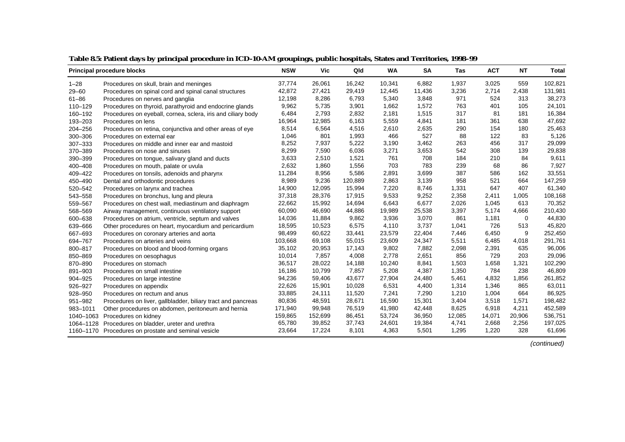|           | <b>Principal procedure blocks</b>                            | <b>NSW</b> | Vic     | Qld     | <b>WA</b> | <b>SA</b> | <b>Tas</b> | <b>ACT</b> | <b>NT</b> | <b>Total</b> |
|-----------|--------------------------------------------------------------|------------|---------|---------|-----------|-----------|------------|------------|-----------|--------------|
| $1 - 28$  | Procedures on skull, brain and meninges                      | 37,774     | 26,061  | 16,242  | 10,341    | 6,882     | 1,937      | 3,025      | 559       | 102,821      |
| $29 - 60$ | Procedures on spinal cord and spinal canal structures        | 42,872     | 27,421  | 29,419  | 12,445    | 11,436    | 3,236      | 2,714      | 2,438     | 131,981      |
| $61 - 86$ | Procedures on nerves and ganglia                             | 12,198     | 8,286   | 6,793   | 5,340     | 3,848     | 971        | 524        | 313       | 38,273       |
| 110-129   | Procedures on thyroid, parathyroid and endocrine glands      | 9,962      | 5,735   | 3,901   | 1,662     | 1,572     | 763        | 401        | 105       | 24,101       |
| 160-192   | Procedures on eyeball, cornea, sclera, iris and ciliary body | 6,484      | 2,793   | 2,832   | 2,181     | 1,515     | 317        | 81         | 181       | 16,384       |
| 193-203   | Procedures on lens                                           | 16,964     | 12,985  | 6,163   | 5,559     | 4,841     | 181        | 361        | 638       | 47,692       |
| 204-256   | Procedures on retina, conjunctiva and other areas of eye     | 8,514      | 6,564   | 4,516   | 2,610     | 2,635     | 290        | 154        | 180       | 25,463       |
| 300-306   | Procedures on external ear                                   | 1,046      | 801     | 1,993   | 466       | 527       | 88         | 122        | 83        | 5,126        |
| 307-333   | Procedures on middle and inner ear and mastoid               | 8,252      | 7,937   | 5,222   | 3,190     | 3,462     | 263        | 456        | 317       | 29,099       |
| 370-389   | Procedures on nose and sinuses                               | 8,299      | 7,590   | 6,036   | 3,271     | 3,653     | 542        | 308        | 139       | 29,838       |
| 390-399   | Procedures on tongue, salivary gland and ducts               | 3,633      | 2,510   | 1,521   | 761       | 708       | 184        | 210        | 84        | 9,611        |
| 400-408   | Procedures on mouth, palate or uvula                         | 2,632      | 1,860   | 1,556   | 703       | 783       | 239        | 68         | 86        | 7,927        |
| 409-422   | Procedures on tonsils, adenoids and pharynx                  | 11,284     | 8,956   | 5,586   | 2,891     | 3,699     | 387        | 586        | 162       | 33,551       |
| 450-490   | Dental and orthodontic procedures                            | 8,989      | 9,236   | 120,889 | 2,863     | 3,139     | 958        | 521        | 664       | 147,259      |
| 520-542   | Procedures on larynx and trachea                             | 14,900     | 12,095  | 15,994  | 7,220     | 8,746     | 1,331      | 647        | 407       | 61,340       |
| 543-558   | Procedures on bronchus, lung and pleura                      | 37,318     | 28,376  | 17,915  | 9,533     | 9,252     | 2,358      | 2,411      | 1,005     | 108,168      |
| 559-567   | Procedures on chest wall, mediastinum and diaphragm          | 22,662     | 15,992  | 14,694  | 6,643     | 6,677     | 2,026      | 1,045      | 613       | 70,352       |
| 568-569   | Airway management, continuous ventilatory support            | 60,090     | 46,690  | 44,886  | 19,989    | 25,538    | 3,397      | 5,174      | 4,666     | 210,430      |
| 600-638   | Procedures on atrium, ventricle, septum and valves           | 14,036     | 11,884  | 9,862   | 3,936     | 3,070     | 861        | 1,181      | 0         | 44,830       |
| 639-666   | Other procedures on heart, myocardium and pericardium        | 18,595     | 10,523  | 6,575   | 4,110     | 3,737     | 1,041      | 726        | 513       | 45,820       |
| 667-693   | Procedures on coronary arteries and aorta                    | 98,499     | 60,622  | 33,441  | 23,579    | 22,404    | 7,446      | 6,450      | 9         | 252,450      |
| 694-767   | Procedures on arteries and veins                             | 103,668    | 69,108  | 55,015  | 23,609    | 24,347    | 5,511      | 6,485      | 4,018     | 291,761      |
| 800-817   | Procedures on blood and blood-forming organs                 | 35,102     | 20,953  | 17,143  | 9,802     | 7,882     | 2,098      | 2,391      | 635       | 96,006       |
| 850-869   | Procedures on oesophagus                                     | 10,014     | 7,857   | 4,008   | 2,778     | 2,651     | 856        | 729        | 203       | 29,096       |
| 870-890   | Procedures on stomach                                        | 36,517     | 28,022  | 14,188  | 10,240    | 8,841     | 1,503      | 1,658      | 1,321     | 102,290      |
| 891-903   | Procedures on small intestine                                | 16,186     | 10,799  | 7,857   | 5,208     | 4,387     | 1,350      | 784        | 238       | 46,809       |
| 904-925   | Procedures on large intestine                                | 94,236     | 59,406  | 43,677  | 27,904    | 24,480    | 5,461      | 4,832      | 1,856     | 261,852      |
| 926-927   | Procedures on appendix                                       | 22,626     | 15,901  | 10,028  | 6,531     | 4,400     | 1,314      | 1,346      | 865       | 63,011       |
| 928-950   | Procedures on rectum and anus                                | 33,885     | 24,111  | 11,520  | 7,241     | 7,290     | 1,210      | 1,004      | 664       | 86,925       |
| 951-982   | Procedures on liver, gallbladder, biliary tract and pancreas | 80,836     | 48,591  | 28,671  | 16,590    | 15,301    | 3,404      | 3,518      | 1,571     | 198,482      |
| 983-1011  | Other procedures on abdomen, peritoneum and hernia           | 171,940    | 99,948  | 76,519  | 41,980    | 42,448    | 8,625      | 6,918      | 4,211     | 452,589      |
| 1040-1063 | Procedures on kidney                                         | 159,865    | 152,699 | 86,451  | 53,724    | 36,950    | 12,085     | 14,071     | 20,906    | 536,751      |
| 1064-1128 | Procedures on bladder, ureter and urethra                    | 65,780     | 39,852  | 37,743  | 24,601    | 19,384    | 4,741      | 2,668      | 2,256     | 197,025      |
|           | 1160-1170 Procedures on prostate and seminal vesicle         | 23,664     | 17,224  | 8,101   | 4,363     | 5,501     | 1,295      | 1,220      | 328       | 61,696       |

**Table 8.5: Patient days by principal procedure in ICD-10-AM groupings, public hospitals, States and Territories, 1998–99**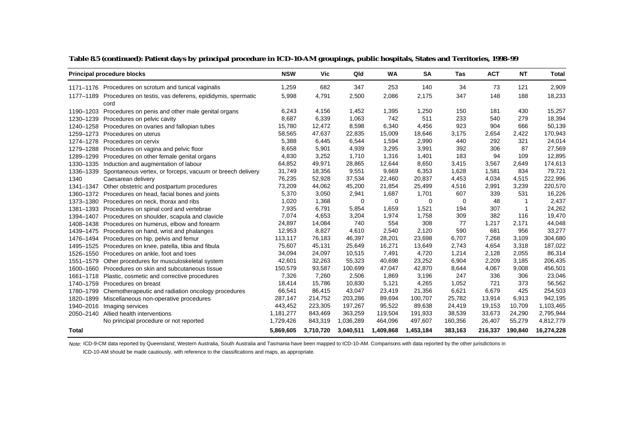|              | <b>Principal procedure blocks</b>                                           | <b>NSW</b> | Vic       | Qld       | <b>WA</b> | <b>SA</b> | Tas     | <b>ACT</b> | <b>NT</b>    | <b>Total</b> |
|--------------|-----------------------------------------------------------------------------|------------|-----------|-----------|-----------|-----------|---------|------------|--------------|--------------|
|              | 1171–1176 Procedures on scrotum and tunical vaginalis                       | 1,259      | 682       | 347       | 253       | 140       | 34      | 73         | 121          | 2,909        |
|              | 1177-1189 Procedures on testis, vas deferens, epididymis, spermatic<br>cord | 5,998      | 4,791     | 2,500     | 2,086     | 2,175     | 347     | 148        | 188          | 18,233       |
| 1190-1203    | Procedures on penis and other male genital organs                           | 6,243      | 4,156     | 1,452     | 1,395     | 1,250     | 150     | 181        | 430          | 15,257       |
| 1230-1239    | Procedures on pelvic cavity                                                 | 8,687      | 6,339     | 1,063     | 742       | 511       | 233     | 540        | 279          | 18,394       |
|              | 1240-1258 Procedures on ovaries and fallopian tubes                         | 15,780     | 12,472    | 8,598     | 6,340     | 4,456     | 923     | 904        | 666          | 50,139       |
| 1259-1273    | Procedures on uterus                                                        | 58,565     | 47,637    | 22,835    | 15,009    | 18,646    | 3,175   | 2,654      | 2,422        | 170,943      |
| 1274-1278    | Procedures on cervix                                                        | 5,388      | 6,445     | 6,544     | 1,594     | 2,990     | 440     | 292        | 321          | 24,014       |
|              | 1279–1288 Procedures on vagina and pelvic floor                             | 8,658      | 5,901     | 4,939     | 3,295     | 3,991     | 392     | 306        | 87           | 27,569       |
|              | 1289-1299 Procedures on other female genital organs                         | 4,830      | 3,252     | 1,710     | 1,316     | 1,401     | 183     | 94         | 109          | 12,895       |
| 1330-1335    | Induction and augmentation of labour                                        | 64,852     | 49,971    | 28,865    | 12,644    | 8,650     | 3,415   | 3,567      | 2,649        | 174,613      |
|              | 1336-1339 Spontaneous vertex, or forceps, vacuum or breech delivery         | 31,749     | 18,356    | 9,551     | 9,669     | 6,353     | 1,628   | 1,581      | 834          | 79,721       |
| 1340         | Caesarean delivery                                                          | 76,235     | 52,928    | 37,534    | 22,460    | 20,837    | 4,453   | 4,034      | 4,515        | 222,996      |
| 1341-1347    | Other obstetric and postpartum procedures                                   | 73,209     | 44,062    | 45,200    | 21,854    | 25,499    | 4,516   | 2,991      | 3,239        | 220,570      |
|              | 1360-1372 Procedures on head, facial bones and joints                       | 5,370      | 3,050     | 2,941     | 1,687     | 1,701     | 607     | 339        | 531          | 16,226       |
|              | 1373-1380 Procedures on neck, thorax and ribs                               | 1,020      | 1,368     | 0         | 0         | 0         | 0       | 48         | $\mathbf 1$  | 2,437        |
|              | 1381-1393 Procedures on spinal cord and vertebrae                           | 7,935      | 6,791     | 5,854     | 1,659     | 1,521     | 194     | 307        | $\mathbf{1}$ | 24,262       |
| 1394-1407    | Procedures on shoulder, scapula and clavicle                                | 7,074      | 4,653     | 3,204     | 1,974     | 1,758     | 309     | 382        | 116          | 19,470       |
|              | 1408-1438 Procedures on humerus, elbow and forearm                          | 24,897     | 14,084    | 740       | 554       | 308       | 77      | 1,217      | 2,171        | 44,048       |
|              | 1439–1475 Procedures on hand, wrist and phalanges                           | 12,953     | 8,827     | 4,610     | 2,540     | 2,120     | 590     | 681        | 956          | 33,277       |
|              | 1476-1494 Procedures on hip, pelvis and femur                               | 113,117    | 76,183    | 46,397    | 28,201    | 23,698    | 6,707   | 7.268      | 3,109        | 304,680      |
|              | 1495-1525 Procedures on knee, patella, tibia and fibula                     | 75,607     | 45,131    | 25,649    | 16,271    | 13,649    | 2,743   | 4,654      | 3,318        | 187,022      |
|              | 1526-1550 Procedures on ankle, foot and toes                                | 34,094     | 24,097    | 10,515    | 7,491     | 4,720     | 1,214   | 2,128      | 2,055        | 86,314       |
| 1551-1579    | Other procedures for musculoskeletal system                                 | 42,601     | 32,263    | 55,323    | 40,698    | 23,252    | 6,904   | 2,209      | 3,185        | 206,435      |
|              | 1600–1660 Procedures on skin and subcutaneous tissue                        | 150,579    | 93,587    | 100,699   | 47,047    | 42,870    | 8,644   | 4,067      | 9,008        | 456,501      |
|              | 1661-1718 Plastic, cosmetic and corrective procedures                       | 7,326      | 7,260     | 2,506     | 1,869     | 3,196     | 247     | 336        | 306          | 23,046       |
|              | 1740-1759 Procedures on breast                                              | 18,414     | 15,786    | 10,830    | 5,121     | 4,265     | 1,052   | 721        | 373          | 56,562       |
|              | 1780-1799 Chemotherapeutic and radiation oncology procedures                | 66,541     | 86,415    | 43,047    | 23,419    | 21,356    | 6,621   | 6,679      | 425          | 254,503      |
| 1820-1899    | Miscellaneous non-operative procedures                                      | 287,147    | 214,752   | 203,286   | 89,694    | 100,707   | 25,782  | 13,914     | 6,913        | 942,195      |
| 1940-2016    | Imaging services                                                            | 443,452    | 223,305   | 197,267   | 95,522    | 89,638    | 24,419  | 19,153     | 10,709       | 1,103,465    |
| 2050-2140    | Allied health interventions                                                 | 1,181,277  | 843,469   | 363,259   | 119,504   | 191,933   | 38,539  | 33,673     | 24,290       | 2,795,944    |
|              | No principal procedure or not reported                                      | 1,729,426  | 843,319   | 1,036,289 | 464,096   | 497,607   | 160,356 | 26,407     | 55,279       | 4,812,779    |
| <b>Total</b> |                                                                             | 5,869,605  | 3,710,720 | 3,040,511 | 1,409,868 | 1,453,184 | 383,163 | 216,337    | 190,840      | 16,274,228   |

**Table 8.5 (continued): Patient days by principal procedure in ICD-10-AM groupings, public hospitals, States and Territories, 1998–99**

Note: ICD-9-CM data reported by Queensland, Western Australia, South Australia and Tasmania have been mapped to ICD-10-AM. Comparisons with data reported by the other jurisdictions in

ICD-10-AM should be made cautiously, with reference to the classifications and maps, as appropriate.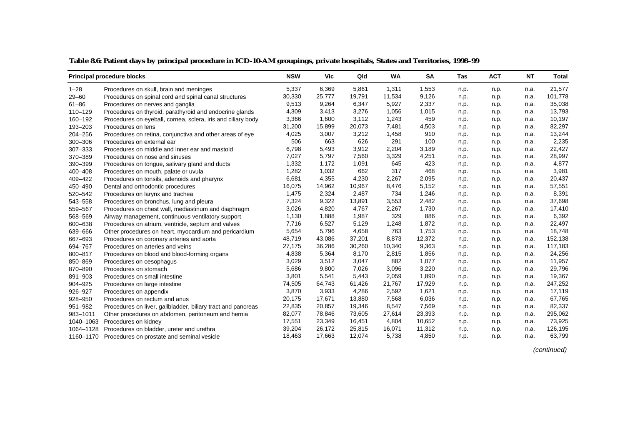|           | <b>Principal procedure blocks</b>                            | <b>NSW</b> | Vic    | Qld    | <b>WA</b> | <b>SA</b> | Tas  | <b>ACT</b> | <b>NT</b> | <b>Total</b> |
|-----------|--------------------------------------------------------------|------------|--------|--------|-----------|-----------|------|------------|-----------|--------------|
| $1 - 28$  | Procedures on skull, brain and meninges                      | 5,337      | 6,369  | 5,861  | 1,311     | 1,553     | n.p. | n.p.       | n.a.      | 21,577       |
| $29 - 60$ | Procedures on spinal cord and spinal canal structures        | 30,330     | 25,777 | 19,791 | 11,534    | 9,126     | n.p. | n.p.       | n.a.      | 101,778      |
| $61 - 86$ | Procedures on nerves and ganglia                             | 9,513      | 9,264  | 6,347  | 5,927     | 2,337     | n.p. | n.p.       | n.a.      | 35,038       |
| 110-129   | Procedures on thyroid, parathyroid and endocrine glands      | 4,309      | 3,413  | 3,276  | 1,056     | 1,015     | n.p. | n.p.       | n.a.      | 13,793       |
| 160-192   | Procedures on eyeball, cornea, sclera, iris and ciliary body | 3,366      | 1,600  | 3,112  | 1,243     | 459       | n.p. | n.p.       | n.a.      | 10,197       |
| 193-203   | Procedures on lens                                           | 31,200     | 15,899 | 20,073 | 7,481     | 4,503     | n.p. | n.p.       | n.a.      | 82,297       |
| 204-256   | Procedures on retina, conjunctiva and other areas of eye     | 4,025      | 3,007  | 3,212  | 1,458     | 910       | n.p. | n.p.       | n.a.      | 13,244       |
| 300-306   | Procedures on external ear                                   | 506        | 663    | 626    | 291       | 100       | n.p. | n.p.       | n.a.      | 2,235        |
| 307-333   | Procedures on middle and inner ear and mastoid               | 6,798      | 5,493  | 3,912  | 2,204     | 3,189     | n.p. | n.p.       | n.a.      | 22,427       |
| 370-389   | Procedures on nose and sinuses                               | 7,027      | 5,797  | 7,560  | 3,329     | 4,251     | n.p. | n.p.       | n.a.      | 28,997       |
| 390-399   | Procedures on tongue, salivary gland and ducts               | 1,332      | 1,172  | 1,091  | 645       | 423       | n.p. | n.p.       | n.a.      | 4,877        |
| 400-408   | Procedures on mouth, palate or uvula                         | 1,282      | 1,032  | 662    | 317       | 468       | n.p. | n.p.       | n.a.      | 3,981        |
| 409-422   | Procedures on tonsils, adenoids and pharynx                  | 6,681      | 4,355  | 4,230  | 2,267     | 2,095     | n.p. | n.p.       | n.a.      | 20,437       |
| 450-490   | Dental and orthodontic procedures                            | 16,075     | 14,962 | 10,967 | 8,476     | 5,152     | n.p. | n.p.       | n.a.      | 57,551       |
| 520-542   | Procedures on larynx and trachea                             | 1,475      | 2,324  | 2,487  | 734       | 1,246     | n.p. | n.p.       | n.a.      | 8,391        |
| 543-558   | Procedures on bronchus, lung and pleura                      | 7,324      | 9,322  | 13,891 | 3,553     | 2,482     | n.p. | n.p.       | n.a.      | 37,698       |
| 559-567   | Procedures on chest wall, mediastinum and diaphragm          | 3,026      | 4,820  | 4,767  | 2,267     | 1,730     | n.p. | n.p.       | n.a.      | 17,410       |
| 568-569   | Airway management, continuous ventilatory support            | 1,130      | 1,888  | 1,987  | 329       | 886       | n.p. | n.p.       | n.a.      | 6,392        |
| 600-638   | Procedures on atrium, ventricle, septum and valves           | 7,716      | 6,527  | 5,129  | 1,248     | 1,872     | n.p. | n.p.       | n.a.      | 22,497       |
| 639-666   | Other procedures on heart, myocardium and pericardium        | 5,654      | 5,796  | 4,658  | 763       | 1,753     | n.p. | n.p.       | n.a.      | 18,748       |
| 667-693   | Procedures on coronary arteries and aorta                    | 48,719     | 43,086 | 37,201 | 8,873     | 12,372    | n.p. | n.p.       | n.a.      | 152,138      |
| 694-767   | Procedures on arteries and veins                             | 27,175     | 36,286 | 30,260 | 10,340    | 9,363     | n.p. | n.p.       | n.a.      | 117,183      |
| 800-817   | Procedures on blood and blood-forming organs                 | 4,838      | 5,364  | 8,170  | 2,815     | 1,856     | n.p. | n.p.       | n.a.      | 24,256       |
| 850-869   | Procedures on oesophagus                                     | 3,029      | 3,512  | 3,047  | 882       | 1,077     | n.p. | n.p.       | n.a.      | 11,957       |
| 870-890   | Procedures on stomach                                        | 5,686      | 9,800  | 7,026  | 3,096     | 3,220     | n.p. | n.p.       | n.a.      | 29,796       |
| 891-903   | Procedures on small intestine                                | 3,801      | 5,541  | 5,443  | 2,059     | 1,890     | n.p. | n.p.       | n.a.      | 19,367       |
| 904-925   | Procedures on large intestine                                | 74,505     | 64,743 | 61,426 | 21,767    | 17,929    | n.p. | n.p.       | n.a.      | 247,252      |
| 926-927   | Procedures on appendix                                       | 3,870      | 3,933  | 4,286  | 2,592     | 1,621     | n.p. | n.p.       | n.a.      | 17,119       |
| 928-950   | Procedures on rectum and anus                                | 20,175     | 17,671 | 13,880 | 7,568     | 6,036     | n.p. | n.p.       | n.a.      | 67,765       |
| 951-982   | Procedures on liver, gallbladder, biliary tract and pancreas | 22,835     | 20,857 | 19,346 | 8,547     | 7,569     | n.p. | n.p.       | n.a.      | 82,337       |
| 983-1011  | Other procedures on abdomen, peritoneum and hernia           | 82,077     | 78,846 | 73,605 | 27,614    | 23,393    | n.p. | n.p.       | n.a.      | 295,062      |
| 1040-1063 | Procedures on kidney                                         | 17,551     | 23,349 | 16,451 | 4,804     | 10,652    | n.p. | n.p.       | n.a.      | 73,925       |
| 1064-1128 | Procedures on bladder, ureter and urethra                    | 39,204     | 26,172 | 25,815 | 16,071    | 11,312    | n.p. | n.p.       | n.a.      | 126,195      |
|           | 1160–1170 Procedures on prostate and seminal vesicle         | 18,463     | 17,663 | 12,074 | 5,738     | 4,850     | n.p. | n.p.       | n.a.      | 63,799       |

**Table 8.6: Patient days by principal procedure in ICD-10-AM groupings, private hospitals, States and Territories, 1998–99**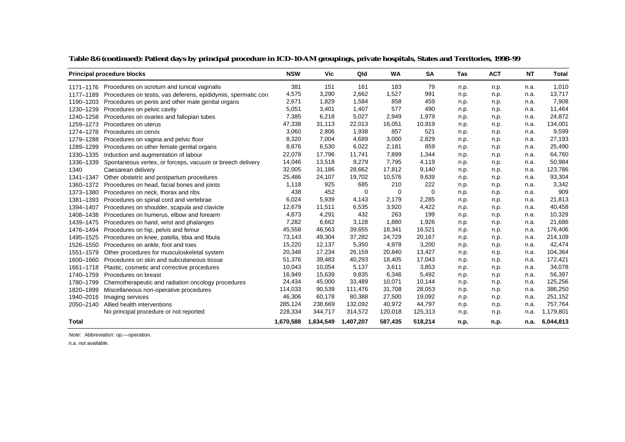|           | <b>Principal procedure blocks</b>                                          | <b>NSW</b> | <b>Vic</b> | Qld       | <b>WA</b> | <b>SA</b> | Tas  | <b>ACT</b> | <b>NT</b> | Total     |
|-----------|----------------------------------------------------------------------------|------------|------------|-----------|-----------|-----------|------|------------|-----------|-----------|
|           | 1171–1176 Procedures on scrotum and tunical vaginalis                      | 381        | 151        | 161       | 183       | 79        | n.p. | n.p.       | n.a.      | 1,010     |
|           | 1177–1189 Procedures on testis, vas deferens, epididymis, spermatic corder | 4,575      | 3,290      | 2,662     | 1,527     | 991       | n.p. | n.p.       | n.a.      | 13,717    |
|           | 1190-1203 Procedures on penis and other male genital organs                | 2,671      | 1,829      | 1,584     | 858       | 459       | n.p. | n.p.       | n.a.      | 7,908     |
| 1230-1239 | Procedures on pelvic cavity                                                | 5,051      | 3,401      | 1,407     | 577       | 490       | n.p. | n.p.       | n.a.      | 11,464    |
| 1240-1258 | Procedures on ovaries and fallopian tubes                                  | 7,385      | 6,218      | 5,027     | 2,949     | 1,979     | n.p. | n.p.       | n.a.      | 24,872    |
| 1259-1273 | Procedures on uterus                                                       | 47,338     | 31,113     | 22,013    | 16,051    | 10,919    | n.p. | n.p.       | n.a.      | 134,001   |
| 1274-1278 | Procedures on cervix                                                       | 3,060      | 2,806      | 1,938     | 857       | 521       | n.p. | n.p.       | n.a.      | 9,599     |
|           | 1279-1288 Procedures on vagina and pelvic floor                            | 8,320      | 7,004      | 4,689     | 3,000     | 2,829     | n.p. | n.p.       | n.a.      | 27,193    |
| 1289-1299 | Procedures on other female genital organs                                  | 8,876      | 6,530      | 6,022     | 2,181     | 859       | n.p. | n.p.       | n.a.      | 25,490    |
| 1330-1335 | Induction and augmentation of labour                                       | 22,078     | 17,796     | 11,741    | 7,899     | 1,344     | n.p. | n.p.       | n.a.      | 64,760    |
| 1336-1339 | Spontaneous vertex, or forceps, vacuum or breech delivery                  | 14,046     | 13,518     | 9,279     | 7,795     | 4,119     | n.p. | n.p.       | n.a.      | 50,984    |
| 1340      | Caesarean delivery                                                         | 32,005     | 31,186     | 28,662    | 17,812    | 9,140     | n.p. | n.p.       | n.a.      | 123,786   |
| 1341-1347 | Other obstetric and postpartum procedures                                  | 25,486     | 24,107     | 19,702    | 10,576    | 9,639     | n.p. | n.p.       | n.a.      | 93,304    |
| 1360-1372 | Procedures on head, facial bones and joints                                | 1,118      | 925        | 685       | 210       | 222       | n.p. | n.p.       | n.a.      | 3,342     |
|           | 1373–1380 Procedures on neck, thorax and ribs                              | 438        | 452        | 0         | 0         | 0         | n.p. | n.p.       | n.a.      | 909       |
| 1381-1393 | Procedures on spinal cord and vertebrae                                    | 6,024      | 5,939      | 4,143     | 2,179     | 2,285     | n.p. | n.p.       | n.a.      | 21,813    |
| 1394-1407 | Procedures on shoulder, scapula and clavicle                               | 12,679     | 11,511     | 6,535     | 3,920     | 4,422     | n.p. | n.p.       | n.a.      | 40,458    |
| 1408-1438 | Procedures on humerus, elbow and forearm                                   | 4,873      | 4,291      | 432       | 263       | 199       | n.p. | n.p.       | n.a.      | 10,329    |
|           | 1439–1475 Procedures on hand, wrist and phalanges                          | 7,282      | 6,662      | 3,128     | 1,880     | 1,926     | n.p. | n.p.       | n.a.      | 21,686    |
|           | 1476-1494 Procedures on hip, pelvis and femur                              | 45,558     | 46,563     | 39,655    | 18,341    | 16,521    | n.p. | n.p.       | n.a.      | 176,406   |
|           | 1495-1525 Procedures on knee, patella, tibia and fibula                    | 73,143     | 49,304     | 37,282    | 24,729    | 20,167    | n.p. | n.p.       | n.a.      | 214,109   |
|           | 1526-1550 Procedures on ankle, foot and toes                               | 15,220     | 12,137     | 5,350     | 4,978     | 3,200     | n.p. | n.p.       | n.a.      | 42,474    |
| 1551-1579 | Other procedures for musculoskeletal system                                | 20,348     | 17,234     | 26,159    | 20,840    | 13,427    | n.p. | n.p.       | n.a.      | 104,364   |
| 1600-1660 | Procedures on skin and subcutaneous tissue                                 | 51,376     | 39,483     | 40,293    | 18,405    | 17,043    | n.p. | n.p.       | n.a.      | 172,421   |
| 1661-1718 | Plastic, cosmetic and corrective procedures                                | 10,043     | 10,054     | 5,137     | 3,611     | 3,853     | n.p. | n.p.       | n.a.      | 34,078    |
| 1740-1759 | Procedures on breast                                                       | 16,949     | 15,639     | 9,835     | 6,346     | 5,492     | n.p. | n.p.       | n.a.      | 56,397    |
| 1780-1799 | Chemotherapeutic and radiation oncology procedures                         | 24,434     | 45,000     | 33,489    | 10,071    | 10,144    | n.p. | n.p.       | n.a.      | 125,256   |
| 1820-1899 | Miscellaneous non-operative procedures                                     | 114,033    | 90,539     | 111,476   | 31,708    | 28,053    | n.p. | n.p.       | n.a.      | 386,250   |
| 1940-2016 | Imaging services                                                           | 46,306     | 60,178     | 80,388    | 27,500    | 19,092    | n.p. | n.p.       | n.a.      | 251,152   |
| 2050-2140 | Allied health interventions                                                | 285,124    | 238,669    | 132,092   | 40,972    | 44,797    | n.p. | n.p.       | n.a.      | 757,764   |
|           | No principal procedure or not reported                                     | 228,334    | 344,717    | 314,572   | 120,018   | 125,313   | n.p. | n.p.       | n.a.      | 1,179,801 |
| Total     |                                                                            | 1,670,588  | 1,634,549  | 1,407,207 | 587,435   | 518,214   | n.p. | n.p.       | n.a.      | 6,044,813 |

#### **Table 8.6 (continued): Patient days by principal procedure in ICD-10-AM groupings, private hospitals, States and Territories, 1998–99**

Note: Abbreviation: op.—operation.

n.a. not available.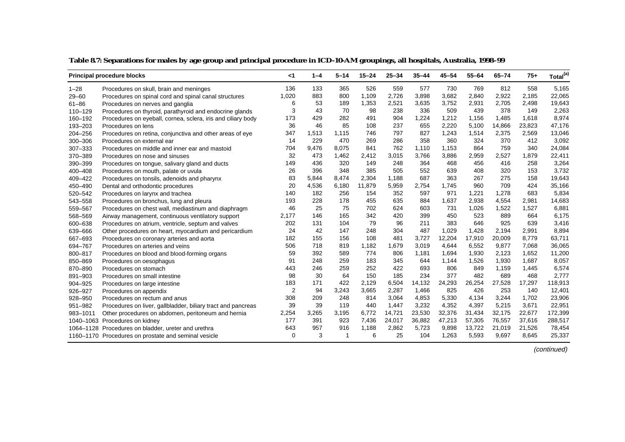|             | <b>Principal procedure blocks</b>                            | $<$ 1    | $1 - 4$ | $5 - 14$ | $15 - 24$ | $25 - 34$ | $35 - 44$ | $45 - 54$ | $55 - 64$ | $65 - 74$ | $75+$  | Total <sup>(a)</sup> |
|-------------|--------------------------------------------------------------|----------|---------|----------|-----------|-----------|-----------|-----------|-----------|-----------|--------|----------------------|
| $1 - 28$    | Procedures on skull, brain and meninges                      | 136      | 133     | 365      | 526       | 559       | 577       | 730       | 769       | 812       | 558    | 5,165                |
| $29 - 60$   | Procedures on spinal cord and spinal canal structures        | 1,020    | 883     | 800      | 1,109     | 2,726     | 3,898     | 3,682     | 2,840     | 2,922     | 2,185  | 22,065               |
| $61 - 86$   | Procedures on nerves and ganglia                             | 6        | 53      | 189      | 1,353     | 2,521     | 3,635     | 3,752     | 2,931     | 2,705     | 2,498  | 19,643               |
| $110 - 129$ | Procedures on thyroid, parathyroid and endocrine glands      | 3        | 43      | 70       | 98        | 238       | 336       | 509       | 439       | 378       | 149    | 2,263                |
| 160-192     | Procedures on eyeball, cornea, sclera, iris and ciliary body | 173      | 429     | 282      | 491       | 904       | 1,224     | 1,212     | 1,156     | 1,485     | 1,618  | 8,974                |
| 193-203     | Procedures on lens                                           | 36       | 46      | 85       | 108       | 237       | 655       | 2,220     | 5,100     | 14,866    | 23,823 | 47,176               |
| 204-256     | Procedures on retina, conjunctiva and other areas of eye     | 347      | 1,513   | 1.115    | 746       | 797       | 827       | 1.243     | 1,514     | 2,375     | 2,569  | 13,046               |
| 300-306     | Procedures on external ear                                   | 14       | 229     | 470      | 269       | 286       | 358       | 360       | 324       | 370       | 412    | 3,092                |
| 307-333     | Procedures on middle and inner ear and mastoid               | 704      | 9,476   | 8,075    | 841       | 762       | 1,110     | 1,153     | 864       | 759       | 340    | 24,084               |
| 370-389     | Procedures on nose and sinuses                               | 32       | 473     | 1,462    | 2,412     | 3,015     | 3,766     | 3,886     | 2,959     | 2,527     | 1,879  | 22,411               |
| 390-399     | Procedures on tongue, salivary gland and ducts               | 149      | 436     | 320      | 149       | 248       | 364       | 468       | 456       | 416       | 258    | 3,264                |
| 400-408     | Procedures on mouth, palate or uvula                         | 26       | 396     | 348      | 385       | 505       | 552       | 639       | 408       | 320       | 153    | 3,732                |
| 409-422     | Procedures on tonsils, adenoids and pharynx                  | 83       | 5.844   | 8,474    | 2,304     | 1,188     | 687       | 363       | 267       | 275       | 158    | 19,643               |
| 450-490     | Dental and orthodontic procedures                            | 20       | 4,536   | 6,180    | 11,879    | 5,959     | 2,754     | 1,745     | 960       | 709       | 424    | 35,166               |
| 520-542     | Procedures on larynx and trachea                             | 140      | 182     | 256      | 154       | 352       | 597       | 971       | 1,221     | 1,278     | 683    | 5,834                |
| 543-558     | Procedures on bronchus, lung and pleura                      | 193      | 228     | 178      | 455       | 635       | 884       | 1,637     | 2,938     | 4,554     | 2,981  | 14,683               |
| 559-567     | Procedures on chest wall, mediastinum and diaphragm          | 46       | 25      | 75       | 702       | 624       | 603       | 731       | 1,026     | 1,522     | 1,527  | 6,881                |
| 568-569     | Airway management, continuous ventilatory support            | 2,177    | 146     | 165      | 342       | 420       | 399       | 450       | 523       | 889       | 664    | 6,175                |
| 600-638     | Procedures on atrium, ventricle, septum and valves           | 202      | 131     | 104      | 79        | 96        | 211       | 383       | 646       | 925       | 639    | 3,416                |
| 639-666     | Other procedures on heart, myocardium and pericardium        | 24       | 42      | 147      | 248       | 304       | 487       | 1,029     | 1,428     | 2,194     | 2,991  | 8,894                |
| 667-693     | Procedures on coronary arteries and aorta                    | 182      | 155     | 156      | 108       | 481       | 3,727     | 12,204    | 17,910    | 20,009    | 8,779  | 63,711               |
| 694-767     | Procedures on arteries and veins                             | 506      | 718     | 819      | 1,182     | 1,679     | 3,019     | 4.644     | 6,552     | 9,877     | 7,068  | 36,065               |
| 800-817     | Procedures on blood and blood-forming organs                 | 59       | 392     | 589      | 774       | 806       | 1,181     | 1.694     | 1,930     | 2,123     | 1,652  | 11,200               |
| 850-869     | Procedures on oesophagus                                     | 91       | 248     | 259      | 183       | 345       | 644       | 1,144     | 1,526     | 1,930     | 1,687  | 8,057                |
| 870-890     | Procedures on stomach                                        | 443      | 246     | 259      | 252       | 422       | 693       | 806       | 849       | 1,159     | 1,445  | 6,574                |
| 891-903     | Procedures on small intestine                                | 98       | 30      | 64       | 150       | 185       | 234       | 377       | 482       | 689       | 468    | 2,777                |
| 904-925     | Procedures on large intestine                                | 183      | 171     | 422      | 2,129     | 6,504     | 14,132    | 24,293    | 26,254    | 27,528    | 17,297 | 118,913              |
| 926-927     | Procedures on appendix                                       | 2        | 94      | 3,243    | 3,665     | 2,287     | 1,466     | 825       | 426       | 253       | 140    | 12,401               |
| 928-950     | Procedures on rectum and anus                                | 308      | 209     | 248      | 814       | 3,064     | 4,853     | 5,330     | 4,134     | 3,244     | 1,702  | 23,906               |
| 951-982     | Procedures on liver, gallbladder, biliary tract and pancreas | 39       | 39      | 119      | 440       | 1,447     | 3,232     | 4,352     | 4,397     | 5,215     | 3,671  | 22,951               |
| 983-1011    | Other procedures on abdomen, peritoneum and hernia           | 2,254    | 3,265   | 3,195    | 6,772     | 14,721    | 23,530    | 32,376    | 31,434    | 32,175    | 22,677 | 172,399              |
|             | 1040-1063 Procedures on kidney                               | 177      | 391     | 923      | 7,436     | 24,017    | 36,882    | 47,213    | 57,305    | 76,557    | 37,616 | 288,517              |
|             | 1064-1128 Procedures on bladder, ureter and urethra          | 643      | 957     | 916      | 1,188     | 2,862     | 5,723     | 9,898     | 13,722    | 21,019    | 21,526 | 78,454               |
|             | 1160-1170 Procedures on prostate and seminal vesicle         | $\Omega$ | 3       | -1       | 6         | 25        | 104       | 1,263     | 5,593     | 9,697     | 8,645  | 25,337               |

#### **Table 8.7: Separations for males by age group and principal procedure in ICD-10-AM groupings, all hospitals, Australia, 1998–99**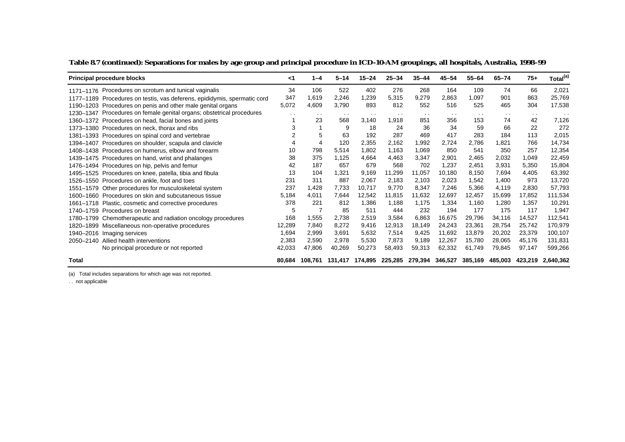| <b>Principal procedure blocks</b>                                        | <1     | $1 - 4$       | $5 - 14$ | $15 - 24$     | $25 - 34$     | $35 - 44$     | $45 - 54$     | $55 - 64$     | $65 - 74$     | $75+$         | Total <sup>(a)</sup> |
|--------------------------------------------------------------------------|--------|---------------|----------|---------------|---------------|---------------|---------------|---------------|---------------|---------------|----------------------|
| 1171–1176 Procedures on scrotum and tunical vaginalis                    | 34     | 106           | 522      | 402           | 276           | 268           | 164           | 109           | 74            | 66            | 2,021                |
| 1177-1189 Procedures on testis, vas deferens, epididymis, spermatic cord | 347    | 1,619         | 2,246    | 1,239         | 5,315         | 9.279         | 2.863         | 1.097         | 901           | 863           | 25,769               |
| 1190–1203 Procedures on penis and other male genital organs              | 5,072  | 4,609         | 3.790    | 893           | 812           | 552           | 516           | 525           | 465           | 304           | 17,538               |
| 1230–1347 Procedures on female genital organs; obstetrical procedures    | $\sim$ | $\sim$ $\sim$ | $\sim$   | $\sim$ $\sim$ | $\sim$ $\sim$ | $\sim$ $\sim$ | $\sim$ $\sim$ | $\sim$ $\sim$ | $\sim$ $\sim$ | $\sim$ $\sim$ | $\sim$ $\sim$        |
| 1360–1372 Procedures on head, facial bones and joints                    |        | 23            | 568      | 3.140         | 1,918         | 851           | 356           | 153           | 74            | 42            | 7,126                |
| 1373-1380 Procedures on neck, thorax and ribs                            |        |               | 9        | 18            | 24            | 36            | 34            | 59            | 66            | 22            | 272                  |
| 1381-1393 Procedures on spinal cord and vertebrae                        |        |               | 63       | 192           | 287           | 469           | 417           | 283           | 184           | 113           | 2,015                |
| 1394–1407 Procedures on shoulder, scapula and clavicle                   |        |               | 120      | 2,355         | 2.162         | 1.992         | 2.724         | 2.786         | 1.821         | 766           | 14,734               |
| 1408-1438 Procedures on humerus, elbow and forearm                       | 10     | 798           | 5,514    | 1.802         | 1.163         | 1,069         | 850           | 541           | 350           | 257           | 12,354               |
| 1439–1475 Procedures on hand, wrist and phalanges                        | 38     | 375           | 1,125    | 4.664         | 4.463         | 3.347         | 2.901         | 2.465         | 2.032         | 1,049         | 22,459               |
| 1476-1494 Procedures on hip, pelvis and femur                            | 42     | 187           | 657      | 679           | 568           | 702           | 1,237         | 2,451         | 3,931         | 5,350         | 15,804               |
| 1495–1525 Procedures on knee, patella, tibia and fibula                  | 13     | 104           | 1,321    | 9.169         | 11.299        | 11.057        | 10.180        | 8.150         | 7.694         | 4.405         | 63,392               |
| 1526-1550 Procedures on ankle, foot and toes                             | 231    | 311           | 887      | 2,067         | 2,183         | 2,103         | 2,023         | 1,542         | 1.400         | 973           | 13,720               |
| 1551–1579 Other procedures for musculoskeletal system                    | 237    | 1,428         | 7,733    | 10.717        | 9,770         | 8,347         | 7.246         | 5,366         | 4.119         | 2,830         | 57,793               |
| 1600–1660 Procedures on skin and subcutaneous tissue                     | 5.184  | 4.011         | 7,644    | 12,542        | 11,815        | 11,632        | 12,697        | 12,457        | 15,699        | 17,852        | 111,534              |
| 1661–1718 Plastic, cosmetic and corrective procedures                    | 378    | 221           | 812      | 1,386         | 1.188         | 1.175         | 1,334         | 1.160         | 1,280         | 1.357         | 10,291               |
| 1740-1759 Procedures on breast                                           | 5      | 7             | 85       | 511           | 444           | 232           | 194           | 177           | 175           | 117           | 1,947                |
| 1780–1799 Chemotherapeutic and radiation oncology procedures             | 168    | 1,555         | 2.738    | 2,519         | 3,584         | 6,863         | 16,675        | 29,796        | 34,116        | 14,527        | 112,541              |
| 1820-1899 Miscellaneous non-operative procedures                         | 12,289 | 7.840         | 8.272    | 9,416         | 12,913        | 18.149        | 24,243        | 23,361        | 28.754        | 25,742        | 170,979              |
| 1940-2016 Imaging services                                               | 1,694  | 2,999         | 3.691    | 5.632         | 7,514         | 9.425         | 11,692        | 13,879        | 20,202        | 23,379        | 100.107              |
| Allied health interventions<br>2050-2140                                 | 2,383  | 2,590         | 2,978    | 5,530         | 7,873         | 9,189         | 12,267        | 15,780        | 28,065        | 45,176        | 131,831              |
| No principal procedure or not reported                                   | 42,033 | 47,806        | 40,269   | 50,273        | 58,493        | 59,313        | 62,332        | 61,749        | 79,845        | 97,147        | 599,266              |
| <b>Total</b>                                                             | 80.684 | 108.761       | 131.417  | 174.895       | 225,285       | 279,394       | 346,527       | 385,169       | 485.003       | 423.219       | 2.640.362            |

#### **Table 8.7 (continued): Separations for males by age group and principal procedure in ICD-10-AM groupings, all hospitals, Australia, 1998–99**

(a) Total includes separations for which age was not reported.

. . not applicable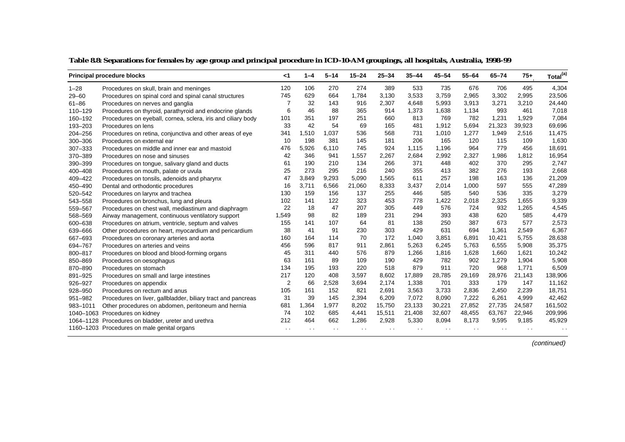|             | <b>Principal procedure blocks</b>                            | ا>             | $1 - 4$ | $5 - 14$ | $15 - 24$ | $25 - 34$ | $35 - 44$ | $45 - 54$ | $55 - 64$ | $65 - 74$ | $75+$  | Total <sup>(a)</sup> |
|-------------|--------------------------------------------------------------|----------------|---------|----------|-----------|-----------|-----------|-----------|-----------|-----------|--------|----------------------|
| $1 - 28$    | Procedures on skull, brain and meninges                      | 120            | 106     | 270      | 274       | 389       | 533       | 735       | 676       | 706       | 495    | 4,304                |
| $29 - 60$   | Procedures on spinal cord and spinal canal structures        | 745            | 629     | 664      | 1,784     | 3,130     | 3,533     | 3,759     | 2,965     | 3,302     | 2,995  | 23,506               |
| $61 - 86$   | Procedures on nerves and ganglia                             | 7              | 32      | 143      | 916       | 2,307     | 4,648     | 5,993     | 3,913     | 3,271     | 3,210  | 24,440               |
| $110 - 129$ | Procedures on thyroid, parathyroid and endocrine glands      | 6              | 46      | 88       | 365       | 914       | 1,373     | 1,638     | 1,134     | 993       | 461    | 7,018                |
| 160-192     | Procedures on eyeball, cornea, sclera, iris and ciliary body | 101            | 351     | 197      | 251       | 660       | 813       | 769       | 782       | 1,231     | 1,929  | 7,084                |
| 193-203     | Procedures on lens                                           | 33             | 42      | 54       | 69        | 165       | 481       | 1,912     | 5,694     | 21,323    | 39,923 | 69,696               |
| 204-256     | Procedures on retina, conjunctiva and other areas of eye     | 341            | 1,510   | 1,037    | 536       | 568       | 731       | 1,010     | 1,277     | 1,949     | 2,516  | 11,475               |
| 300-306     | Procedures on external ear                                   | 10             | 198     | 381      | 145       | 181       | 206       | 165       | 120       | 115       | 109    | 1,630                |
| 307-333     | Procedures on middle and inner ear and mastoid               | 476            | 5,926   | 6,110    | 745       | 924       | 1,115     | 1,196     | 964       | 779       | 456    | 18,691               |
| 370-389     | Procedures on nose and sinuses                               | 42             | 346     | 941      | 1,557     | 2,267     | 2,684     | 2,992     | 2,327     | 1,986     | 1,812  | 16,954               |
| 390-399     | Procedures on tongue, salivary gland and ducts               | 61             | 190     | 210      | 134       | 266       | 371       | 448       | 402       | 370       | 295    | 2,747                |
| 400-408     | Procedures on mouth, palate or uvula                         | 25             | 273     | 295      | 216       | 240       | 355       | 413       | 382       | 276       | 193    | 2,668                |
| 409-422     | Procedures on tonsils, adenoids and pharynx                  | 47             | 3,849   | 9,293    | 5,090     | 1,565     | 611       | 257       | 198       | 163       | 136    | 21,209               |
| 450-490     | Dental and orthodontic procedures                            | 16             | 3,711   | 6,566    | 21,060    | 8,333     | 3,437     | 2,014     | 1,000     | 597       | 555    | 47,289               |
| 520-542     | Procedures on larynx and trachea                             | 130            | 159     | 156      | 137       | 255       | 446       | 585       | 540       | 536       | 335    | 3,279                |
| 543-558     | Procedures on bronchus, lung and pleura                      | 102            | 141     | 122      | 323       | 453       | 778       | 1,422     | 2,018     | 2,325     | 1,655  | 9,339                |
| 559-567     | Procedures on chest wall, mediastinum and diaphragm          | 22             | 18      | 47       | 207       | 305       | 449       | 576       | 724       | 932       | 1,265  | 4,545                |
| 568-569     | Airway management, continuous ventilatory support            | 1,549          | 98      | 82       | 189       | 231       | 294       | 393       | 438       | 620       | 585    | 4,479                |
| 600-638     | Procedures on atrium, ventricle, septum and valves           | 155            | 141     | 107      | 64        | 81        | 138       | 250       | 387       | 673       | 577    | 2,573                |
| 639-666     | Other procedures on heart, myocardium and pericardium        | 38             | 41      | 91       | 230       | 303       | 429       | 631       | 694       | 1,361     | 2,549  | 6,367                |
| 667-693     | Procedures on coronary arteries and aorta                    | 160            | 164     | 114      | 70        | 172       | 1,040     | 3,851     | 6,891     | 10,421    | 5,755  | 28,638               |
| 694-767     | Procedures on arteries and veins                             | 456            | 596     | 817      | 911       | 2,861     | 5,263     | 6,245     | 5,763     | 6,555     | 5,908  | 35,375               |
| 800-817     | Procedures on blood and blood-forming organs                 | 45             | 311     | 440      | 576       | 879       | 1,266     | 1,816     | 1,628     | 1,660     | 1,621  | 10,242               |
| 850-869     | Procedures on oesophagus                                     | 63             | 161     | 89       | 109       | 190       | 429       | 782       | 902       | 1,279     | 1,904  | 5,908                |
| 870-890     | Procedures on stomach                                        | 134            | 195     | 193      | 220       | 518       | 879       | 911       | 720       | 968       | 1,771  | 6,509                |
| 891-925     | Procedures on small and large intestines                     | 217            | 120     | 408      | 3,597     | 8,602     | 17,889    | 28,785    | 29,169    | 28,976    | 21,143 | 138,906              |
| 926-927     | Procedures on appendix                                       | $\overline{2}$ | 66      | 2,528    | 3,694     | 2,174     | 1,338     | 701       | 333       | 179       | 147    | 11,162               |
| 928-950     | Procedures on rectum and anus                                | 105            | 161     | 152      | 821       | 2,691     | 3,563     | 3,733     | 2,836     | 2,450     | 2,239  | 18,751               |
| 951-982     | Procedures on liver, gallbladder, biliary tract and pancreas | 31             | 39      | 145      | 2,394     | 6,209     | 7,072     | 8,090     | 7,222     | 6,261     | 4,999  | 42,462               |
| 983-1011    | Other procedures on abdomen, peritoneum and hernia           | 681            | 1,364   | 1,977    | 8,202     | 15,750    | 23,133    | 30,221    | 27,852    | 27,735    | 24,587 | 161,502              |
|             | 1040-1063 Procedures on kidney                               | 74             | 102     | 685      | 4,441     | 15,511    | 21,408    | 32,607    | 48,455    | 63,767    | 22,946 | 209,996              |
|             | 1064-1128 Procedures on bladder, ureter and urethra          | 212            | 464     | 662      | 1,286     | 2,928     | 5,330     | 8,094     | 8,173     | 9,595     | 9,185  | 45,929               |
|             | 1160-1203 Procedures on male genital organs                  |                |         |          |           |           |           |           |           |           |        |                      |

**Table 8.8: Separations for females by age group and principal procedure in ICD-10-AM groupings, all hospitals, Australia, 1998–99**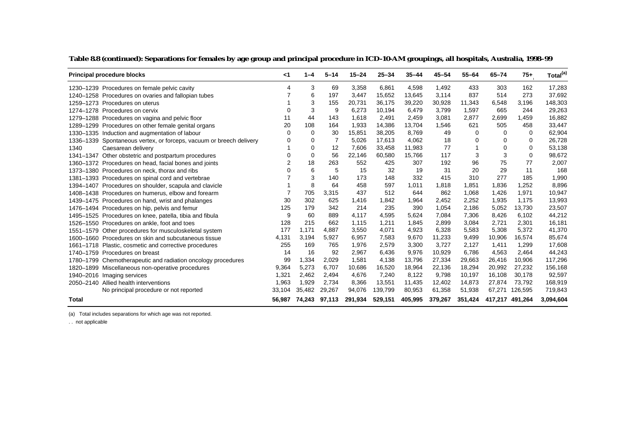| <b>Principal procedure blocks</b>                                   | $\leq$ 1       | $1 - 4$     | $5 - 14$ | $15 - 24$ | $25 - 34$ | $35 - 44$ | $45 - 54$ | $55 - 64$ | $65 - 74$ | 75+             | Total <sup>(a)</sup> |
|---------------------------------------------------------------------|----------------|-------------|----------|-----------|-----------|-----------|-----------|-----------|-----------|-----------------|----------------------|
| 1230-1239 Procedures on female pelvic cavity                        | 4              | 3           | 69       | 3,358     | 6,861     | 4,598     | 1,492     | 433       | 303       | 162             | 17,283               |
| 1240-1258 Procedures on ovaries and fallopian tubes                 |                | 6           | 197      | 3.447     | 15,652    | 13,645    | 3.114     | 837       | 514       | 273             | 37,692               |
| 1259-1273 Procedures on uterus                                      |                | 3           | 155      | 20,731    | 36,175    | 39,220    | 30,928    | 11,343    | 6,548     | 3,196           | 148,303              |
| 1274-1278 Procedures on cervix                                      | $\Omega$       | 3           | 9        | 6,273     | 10,194    | 6,479     | 3,799     | 1,597     | 665       | 244             | 29,263               |
| 1279-1288 Procedures on vagina and pelvic floor                     | 11             | 44          | 143      | 1,618     | 2,491     | 2,459     | 3,081     | 2,877     | 2,699     | 1,459           | 16,882               |
| 1289-1299 Procedures on other female genital organs                 | 20             | 108         | 164      | 1,933     | 14,386    | 13,704    | 1,546     | 621       | 505       | 458             | 33,447               |
| 1330-1335 Induction and augmentation of labour                      | 0              | $\mathbf 0$ | 30       | 15,851    | 38,205    | 8,769     | 49        | $\Omega$  | $\Omega$  | $\Omega$        | 62,904               |
| 1336–1339 Spontaneous vertex, or forceps, vacuum or breech delivery |                | 0           | 7        | 5,026     | 17,613    | 4,062     | 18        | 0         | $\Omega$  | 0               | 26,728               |
| 1340<br>Caesarean delivery                                          |                | $\mathbf 0$ | 12       | 7,606     | 33,458    | 11,983    | 77        |           | $\Omega$  | $\Omega$        | 53,138               |
| 1341-1347 Other obstetric and postpartum procedures                 | 0              | $\mathbf 0$ | 56       | 22,146    | 60,580    | 15,766    | 117       | 3         | 3         | 0               | 98,672               |
| 1360-1372 Procedures on head, facial bones and joints               | $\overline{2}$ | 18          | 263      | 552       | 425       | 307       | 192       | 96        | 75        | 77              | 2,007                |
| 1373–1380 Procedures on neck, thorax and ribs                       | U              | 6           | 5        | 15        | 32        | 19        | 31        | 20        | 29        | 11              | 168                  |
| 1381-1393 Procedures on spinal cord and vertebrae                   |                | 3           | 140      | 173       | 148       | 332       | 415       | 310       | 277       | 185             | 1,990                |
| 1394-1407 Procedures on shoulder, scapula and clavicle              |                | 8           | 64       | 458       | 597       | 1,011     | 1,818     | 1,851     | 1,836     | 1,252           | 8,896                |
| 1408-1438 Procedures on humerus, elbow and forearm                  |                | 705         | 3,315    | 437       | 512       | 644       | 862       | 1,068     | 1,426     | 1,971           | 10,947               |
| 1439–1475 Procedures on hand, wrist and phalanges                   | 30             | 302         | 625      | 1,416     | 1,842     | 1,964     | 2,452     | 2,252     | 1,935     | 1,175           | 13,993               |
| 1476-1494 Procedures on hip, pelvis and femur                       | 125            | 179         | 342      | 214       | 235       | 390       | 1,054     | 2,186     | 5,052     | 13,730          | 23,507               |
| 1495-1525 Procedures on knee, patella, tibia and fibula             | 9              | 60          | 889      | 4.117     | 4,595     | 5,624     | 7,084     | 7,306     | 8,426     | 6,102           | 44,212               |
| 1526-1550 Procedures on ankle, foot and toes                        | 128            | 215         | 662      | 1.115     | 1.211     | 1.845     | 2.899     | 3.084     | 2.721     | 2.301           | 16,181               |
| 1551–1579 Other procedures for musculoskeletal system               | 177            | 1.171       | 4,887    | 3,550     | 4,071     | 4,923     | 6,328     | 5,583     | 5,308     | 5,372           | 41,370               |
| 1600–1660 Procedures on skin and subcutaneous tissue                | 4,131          | 3,194       | 5,927    | 6,957     | 7,583     | 9,670     | 11,233    | 9,499     | 10,906    | 16,574          | 85,674               |
| 1661-1718 Plastic, cosmetic and corrective procedures               | 255            | 169         | 765      | 1,976     | 2,579     | 3,300     | 3,727     | 2,127     | 1,411     | 1,299           | 17,608               |
| 1740-1759 Procedures on breast                                      | 14             | 16          | 92       | 2,967     | 6,436     | 9,976     | 10,929    | 6.786     | 4,563     | 2.464           | 44,243               |
| 1780-1799 Chemotherapeutic and radiation oncology procedures        | 99             | 1,334       | 2,029    | 1,581     | 4,138     | 13,796    | 27,334    | 29,663    | 26,416    | 10,906          | 117,296              |
| 1820-1899 Miscellaneous non-operative procedures                    | 9,364          | 5,273       | 6,707    | 10,686    | 16,520    | 18,964    | 22,136    | 18,294    | 20,992    | 27,232          | 156,168              |
| 1940-2016 Imaging services                                          | 1,321          | 2,462       | 2,494    | 4,676     | 7,240     | 8,122     | 9,798     | 10,197    | 16,108    | 30,178          | 92,597               |
| 2050-2140 Allied health interventions                               | 1,963          | 1,929       | 2,734    | 8,366     | 13,551    | 11,435    | 12,402    | 14,873    | 27,874    | 73,792          | 168,919              |
| No principal procedure or not reported                              | 33,104         | 35,482      | 29,267   | 94,076    | 139,799   | 80,953    | 61,358    | 51,938    | 67,271    | 126,595         | 719,843              |
| <b>Total</b>                                                        | 56,987         | 74,243      | 97,113   | 291,934   | 529,151   | 405,995   | 379,267   | 351,424   |           | 417,217 491,264 | 3,094,604            |

#### **Table 8.8 (continued): Separations for females by age group and principal procedure in ICD-10-AM groupings, all hospitals, Australia, 1998–99**

(a) Total includes separations for which age was not reported.

. . not applicable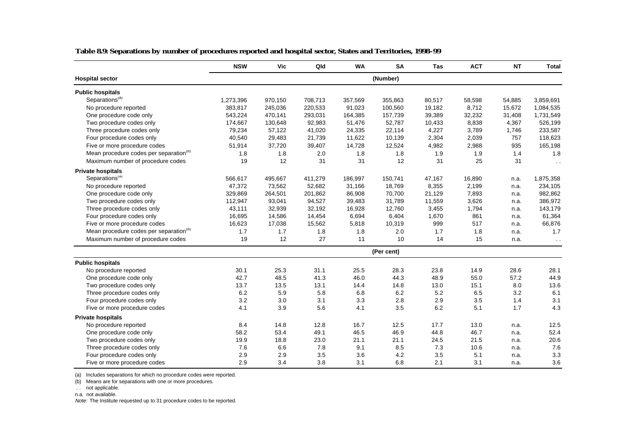|                                                    | <b>NSW</b> | <b>Vic</b> | Qld     | <b>WA</b> | <b>SA</b>  | Tas    | <b>ACT</b> | <b>NT</b> | <b>Total</b>  |
|----------------------------------------------------|------------|------------|---------|-----------|------------|--------|------------|-----------|---------------|
| <b>Hospital sector</b>                             |            |            |         |           | (Number)   |        |            |           |               |
| <b>Public hospitals</b>                            |            |            |         |           |            |        |            |           |               |
| Separations <sup>(a)</sup>                         | 1,273,396  | 970,150    | 708,713 | 357,569   | 355,863    | 80,517 | 58,598     | 54,885    | 3,859,691     |
| No procedure reported                              | 383,817    | 245,036    | 220,533 | 91,023    | 100,560    | 19,182 | 8,712      | 15,672    | 1,084,535     |
| One procedure code only                            | 543,224    | 470,141    | 293,031 | 164,385   | 157,739    | 39,389 | 32,232     | 31,408    | 1,731,549     |
| Two procedure codes only                           | 174,667    | 130,648    | 92,983  | 51,476    | 52,787     | 10,433 | 8,838      | 4,367     | 526,199       |
| Three procedure codes only                         | 79,234     | 57,122     | 41,020  | 24,335    | 22,114     | 4,227  | 3,789      | 1,746     | 233,587       |
| Four procedure codes only                          | 40,540     | 29,483     | 21,739  | 11,622    | 10,139     | 2,304  | 2,039      | 757       | 118,623       |
| Five or more procedure codes                       | 51,914     | 37,720     | 39,407  | 14,728    | 12,524     | 4,982  | 2,988      | 935       | 165,198       |
| Mean procedure codes per separation <sup>(D)</sup> | 1.8        | 1.8        | 2.0     | 1.8       | 1.8        | 1.9    | 1.9        | 1.4       | 1.8           |
| Maximum number of procedure codes                  | 19         | 12         | 31      | 31        | 12         | 31     | 25         | 31        | $\sim$ $\sim$ |
| <b>Private hospitals</b>                           |            |            |         |           |            |        |            |           |               |
| Separations <sup>(a)</sup>                         | 566,617    | 495,667    | 411,279 | 186,997   | 150,741    | 47,167 | 16,890     | n.a.      | 1,875,358     |
| No procedure reported                              | 47,372     | 73,562     | 52,682  | 31,166    | 18,769     | 8,355  | 2,199      | n.a.      | 234,105       |
| One procedure code only                            | 329,869    | 264,501    | 201,862 | 86,908    | 70,700     | 21,129 | 7,893      | n.a.      | 982,862       |
| Two procedure codes only                           | 112,947    | 93,041     | 94,527  | 39,483    | 31,789     | 11,559 | 3,626      | n.a.      | 386,972       |
| Three procedure codes only                         | 43,111     | 32,939     | 32,192  | 16,928    | 12,760     | 3,455  | 1,794      | n.a.      | 143,179       |
| Four procedure codes only                          | 16,695     | 14,586     | 14,454  | 6,694     | 6,404      | 1,670  | 861        | n.a.      | 61,364        |
| Five or more procedure codes                       | 16,623     | 17,038     | 15,562  | 5,818     | 10,319     | 999    | 517        | n.a.      | 66,876        |
| Mean procedure codes per separation <sup>(b)</sup> | 1.7        | 1.7        | 1.8     | 1.8       | 2.0        | 1.7    | 1.8        | n.a.      | 1.7           |
| Maximum number of procedure codes                  | 19         | 12         | 27      | 11        | 10         | 14     | 15         | n.a.      | $\sim$        |
|                                                    |            |            |         |           | (Per cent) |        |            |           |               |
| <b>Public hospitals</b>                            |            |            |         |           |            |        |            |           |               |
| No procedure reported                              | 30.1       | 25.3       | 31.1    | 25.5      | 28.3       | 23.8   | 14.9       | 28.6      | 28.1          |
| One procedure code only                            | 42.7       | 48.5       | 41.3    | 46.0      | 44.3       | 48.9   | 55.0       | 57.2      | 44.9          |
| Two procedure codes only                           | 13.7       | 13.5       | 13.1    | 14.4      | 14.8       | 13.0   | 15.1       | 8.0       | 13.6          |
| Three procedure codes only                         | 6.2        | 5.9        | 5.8     | 6.8       | 6.2        | 5.2    | 6.5        | 3.2       | 6.1           |
| Four procedure codes only                          | 3.2        | 3.0        | 3.1     | 3.3       | 2.8        | 2.9    | 3.5        | 1.4       | 3.1           |
| Five or more procedure codes                       | 4.1        | 3.9        | 5.6     | 4.1       | 3.5        | 6.2    | 5.1        | 1.7       | 4.3           |
| <b>Private hospitals</b>                           |            |            |         |           |            |        |            |           |               |
| No procedure reported                              | 8.4        | 14.8       | 12.8    | 16.7      | 12.5       | 17.7   | 13.0       | n.a.      | 12.5          |
| One procedure code only                            | 58.2       | 53.4       | 49.1    | 46.5      | 46.9       | 44.8   | 46.7       | n.a.      | 52.4          |
| Two procedure codes only                           | 19.9       | 18.8       | 23.0    | 21.1      | 21.1       | 24.5   | 21.5       | n.a.      | 20.6          |
| Three procedure codes only                         | 7.6        | 6.6        | 7.8     | 9.1       | 8.5        | 7.3    | 10.6       | n.a.      | 7.6           |
| Four procedure codes only                          | 2.9        | 2.9        | 3.5     | 3.6       | 4.2        | 3.5    | 5.1        | n.a.      | 3.3           |
| Five or more procedure codes                       | 2.9        | 3.4        | 3.8     | 3.1       | 6.8        | 2.1    | 3.1        | n.a.      | 3.6           |

#### **Table 8.9: Separations by number of procedures reported and hospital sector, States and Territories, 1998–99**

(a) Includes separations for which no procedure codes were reported.

(b) Means are for separations with one or more procedures.

. . not applicable.

n.a. not available.

Note: The Institute requested up to 31 procedure codes to be reported.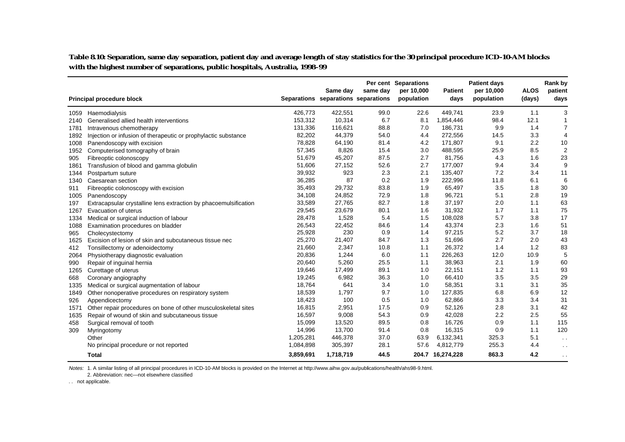**Table 8.10: Separation, same day separation, patient day and average length of stay statistics for the 30 principal procedure ICD-10-AM blocks with the highest number of separations, public hospitals, Australia, 1998–99**

|      | <b>Principal procedure block</b>                                 |           | Same day<br>Separations separations separations | same day | Per cent Separations<br>per 10,000<br>population | <b>Patient</b><br>days | <b>Patient days</b><br>per 10,000<br>population | <b>ALOS</b><br>(days) | Rank by<br>patient<br>days |
|------|------------------------------------------------------------------|-----------|-------------------------------------------------|----------|--------------------------------------------------|------------------------|-------------------------------------------------|-----------------------|----------------------------|
|      |                                                                  |           |                                                 |          |                                                  |                        |                                                 |                       |                            |
|      | 1059 Haemodialysis                                               | 426,773   | 422,551                                         | 99.0     | 22.6                                             | 449,741                | 23.9                                            | 1.1                   | 3                          |
| 2140 | Generalised allied health interventions                          | 153,312   | 10,314                                          | 6.7      | 8.1                                              | 1,854,446              | 98.4                                            | 12.1<br>1.4           | 1                          |
| 1781 | Intravenous chemotherapy                                         | 131,336   | 116,621                                         | 88.8     | 7.0                                              | 186,731                | 9.9                                             |                       | $\overline{7}$             |
| 1892 | Injection or infusion of therapeutic or prophylactic substance   | 82,202    | 44,379                                          | 54.0     | 4.4                                              | 272,556                | 14.5                                            | 3.3                   | 4                          |
| 1008 | Panendoscopy with excision                                       | 78,828    | 64,190                                          | 81.4     | 4.2                                              | 171,807                | 9.1                                             | 2.2                   | 10                         |
| 1952 | Computerised tomography of brain                                 | 57,345    | 8,826                                           | 15.4     | 3.0                                              | 488,595                | 25.9                                            | 8.5                   | $\overline{2}$             |
| 905  | Fibreoptic colonoscopy                                           | 51,679    | 45,207                                          | 87.5     | 2.7                                              | 81,756                 | 4.3                                             | 1.6                   | 23                         |
| 1861 | Transfusion of blood and gamma globulin                          | 51,606    | 27,152                                          | 52.6     | 2.7                                              | 177,007                | 9.4                                             | 3.4                   | 9                          |
| 1344 | Postpartum suture                                                | 39,932    | 923                                             | 2.3      | 2.1                                              | 135,407                | 7.2                                             | 3.4                   | 11                         |
| 1340 | Caesarean section                                                | 36,285    | 87                                              | 0.2      | 1.9                                              | 222,996                | 11.8                                            | 6.1                   | 6                          |
| 911  | Fibreoptic colonoscopy with excision                             | 35,493    | 29,732                                          | 83.8     | 1.9                                              | 65,497                 | 3.5                                             | 1.8                   | 30                         |
| 1005 | Panendoscopy                                                     | 34,108    | 24,852                                          | 72.9     | 1.8                                              | 96,721                 | 5.1                                             | 2.8                   | 19                         |
| 197  | Extracapsular crystalline lens extraction by phacoemulsification | 33,589    | 27,765                                          | 82.7     | 1.8                                              | 37,197                 | 2.0                                             | 1.1                   | 63                         |
| 1267 | Evacuation of uterus                                             | 29,545    | 23,679                                          | 80.1     | 1.6                                              | 31,932                 | 1.7                                             | 1.1                   | 75                         |
| 1334 | Medical or surgical induction of labour                          | 28,478    | 1,528                                           | 5.4      | 1.5                                              | 108,028                | 5.7                                             | 3.8                   | 17                         |
| 1088 | Examination procedures on bladder                                | 26,543    | 22,452                                          | 84.6     | 1.4                                              | 43,374                 | 2.3                                             | 1.6                   | 51                         |
| 965  | Cholecystectomy                                                  | 25,928    | 230                                             | 0.9      | 1.4                                              | 97,215                 | 5.2                                             | 3.7                   | 18                         |
| 1625 | Excision of lesion of skin and subcutaneous tissue nec           | 25,270    | 21,407                                          | 84.7     | 1.3                                              | 51,696                 | 2.7                                             | 2.0                   | 43                         |
| 412  | Tonsillectomy or adenoidectomy                                   | 21,660    | 2,347                                           | 10.8     | 1.1                                              | 26,372                 | 1.4                                             | 1.2                   | 83                         |
| 2064 | Physiotherapy diagnostic evaluation                              | 20,836    | 1,244                                           | 6.0      | 1.1                                              | 226,263                | 12.0                                            | 10.9                  | 5                          |
| 990  | Repair of inguinal hernia                                        | 20,640    | 5,260                                           | 25.5     | 1.1                                              | 38,963                 | 2.1                                             | 1.9                   | 60                         |
| 1265 | Curettage of uterus                                              | 19,646    | 17,499                                          | 89.1     | 1.0                                              | 22,151                 | 1.2                                             | 1.1                   | 93                         |
| 668  | Coronary angiography                                             | 19,245    | 6,982                                           | 36.3     | 1.0                                              | 66,410                 | 3.5                                             | 3.5                   | 29                         |
| 1335 | Medical or surgical augmentation of labour                       | 18,764    | 641                                             | 3.4      | 1.0                                              | 58,351                 | 3.1                                             | 3.1                   | 35                         |
| 1849 | Other nonoperative procedures on respiratory system              | 18,539    | 1,797                                           | 9.7      | 1.0                                              | 127,835                | 6.8                                             | 6.9                   | 12                         |
| 926  | Appendicectomy                                                   | 18,423    | 100                                             | 0.5      | 1.0                                              | 62,866                 | 3.3                                             | 3.4                   | 31                         |
| 1571 | Other repair procedures on bone of other musculoskeletal sites   | 16,815    | 2,951                                           | 17.5     | 0.9                                              | 52,126                 | 2.8                                             | 3.1                   | 42                         |
| 1635 | Repair of wound of skin and subcutaneous tissue                  | 16,597    | 9,008                                           | 54.3     | 0.9                                              | 42,028                 | 2.2                                             | 2.5                   | 55                         |
| 458  | Surgical removal of tooth                                        | 15,099    | 13,520                                          | 89.5     | 0.8                                              | 16,726                 | 0.9                                             | 1.1                   | 115                        |
| 309  | Myringotomy                                                      | 14,996    | 13,700                                          | 91.4     | 0.8                                              | 16,315                 | 0.9                                             | 1.1                   | 120                        |
|      | Other                                                            | 1,205,281 | 446,378                                         | 37.0     | 63.9                                             | 6,132,341              | 325.3                                           | 5.1                   | $\sim$ $\sim$              |
|      | No principal procedure or not reported                           | 1,084,898 | 305,397                                         | 28.1     | 57.6                                             | 4,812,779              | 255.3                                           | 4.4                   | $\sim$ $\sim$              |
|      | <b>Total</b>                                                     | 3,859,691 | 1,718,719                                       | 44.5     |                                                  | 204.7 16,274,228       | 863.3                                           | 4.2                   | $\sim$ $\sim$              |

Notes: 1. A similar listing of all principal procedures in ICD-10-AM blocks is provided on the Internet at http://www.aihw.gov.au/publications/health/ahs98-9.html.

2. Abbreviation: nec—not elsewhere classified

. . not applicable.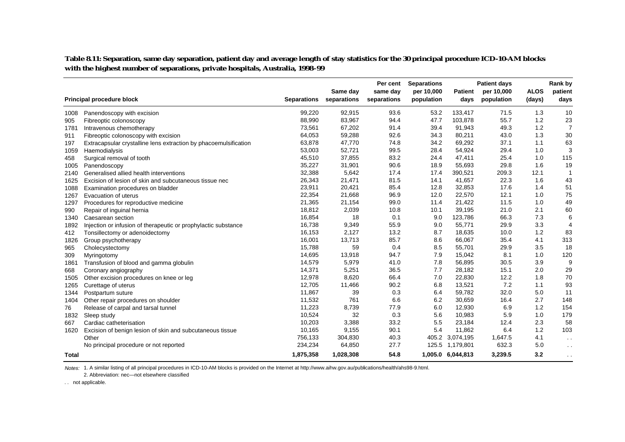**Table 8.11: Separation, same day separation, patient day and average length of stay statistics for the 30 principal procedure ICD-10-AM blocks with the highest number of separations, private hospitals, Australia, 1998–99**

|              |                                                                  |                    |                         | Per cent                | <b>Separations</b>       |                        | <b>Patient days</b>      |                       | Rank by         |
|--------------|------------------------------------------------------------------|--------------------|-------------------------|-------------------------|--------------------------|------------------------|--------------------------|-----------------------|-----------------|
|              | Principal procedure block                                        | <b>Separations</b> | Same day<br>separations | same day<br>separations | per 10,000<br>population | <b>Patient</b><br>days | per 10,000<br>population | <b>ALOS</b><br>(days) | patient<br>days |
| 1008         | Panendoscopy with excision                                       | 99,220             | 92,915                  | 93.6                    | 53.2                     | 133,417                | 71.5                     | 1.3                   | 10              |
| 905          | Fibreoptic colonoscopy                                           | 88,990             | 83,967                  | 94.4                    | 47.7                     | 103,878                | 55.7                     | 1.2                   | 23              |
| 1781         | Intravenous chemotherapy                                         | 73,561             | 67,202                  | 91.4                    | 39.4                     | 91,943                 | 49.3                     | 1.2                   | $\overline{7}$  |
| 911          | Fibreoptic colonoscopy with excision                             | 64,053             | 59,288                  | 92.6                    | 34.3                     | 80,211                 | 43.0                     | 1.3                   | 30              |
| 197          | Extracapsular crystalline lens extraction by phacoemulsification | 63,878             | 47,770                  | 74.8                    | 34.2                     | 69,292                 | 37.1                     | 1.1                   | 63              |
| 1059         | Haemodialysis                                                    | 53,003             | 52,721                  | 99.5                    | 28.4                     | 54,924                 | 29.4                     | 1.0                   | 3               |
| 458          | Surgical removal of tooth                                        | 45,510             | 37,855                  | 83.2                    | 24.4                     | 47,411                 | 25.4                     | 1.0                   | 115             |
| 1005         | Panendoscopy                                                     | 35,227             | 31,901                  | 90.6                    | 18.9                     | 55,693                 | 29.8                     | 1.6                   | 19              |
| 2140         | Generalised allied health interventions                          | 32,388             | 5,642                   | 17.4                    | 17.4                     | 390,521                | 209.3                    | 12.1                  | $\overline{1}$  |
| 1625         | Excision of lesion of skin and subcutaneous tissue nec           | 26,343             | 21,471                  | 81.5                    | 14.1                     | 41,657                 | 22.3                     | 1.6                   | 43              |
| 1088         | Examination procedures on bladder                                | 23,911             | 20,421                  | 85.4                    | 12.8                     | 32,853                 | 17.6                     | 1.4                   | 51              |
| 1267         | Evacuation of uterus                                             | 22,354             | 21,668                  | 96.9                    | 12.0                     | 22,570                 | 12.1                     | 1.0                   | 75              |
| 1297         | Procedures for reproductive medicine                             | 21,365             | 21,154                  | 99.0                    | 11.4                     | 21,422                 | 11.5                     | 1.0                   | 49              |
| 990          | Repair of inguinal hernia                                        | 18,812             | 2,039                   | 10.8                    | 10.1                     | 39,195                 | 21.0                     | 2.1                   | 60              |
| 1340         | Caesarean section                                                | 16,854             | 18                      | 0.1                     | 9.0                      | 123,786                | 66.3                     | 7.3                   | 6               |
| 1892         | Injection or infusion of therapeutic or prophylactic substance   | 16,738             | 9,349                   | 55.9                    | 9.0                      | 55,771                 | 29.9                     | 3.3                   | $\overline{4}$  |
| 412          | Tonsillectomy or adenoidectomy                                   | 16,153             | 2,127                   | 13.2                    | 8.7                      | 18,635                 | 10.0                     | 1.2                   | 83              |
| 1826         | Group psychotherapy                                              | 16,001             | 13,713                  | 85.7                    | 8.6                      | 66,067                 | 35.4                     | 4.1                   | 313             |
| 965          | Cholecystectomy                                                  | 15,788             | 59                      | 0.4                     | 8.5                      | 55,701                 | 29.9                     | 3.5                   | 18              |
| 309          | Myringotomy                                                      | 14,695             | 13,918                  | 94.7                    | 7.9                      | 15,042                 | 8.1                      | 1.0                   | 120             |
| 1861         | Transfusion of blood and gamma globulin                          | 14,579             | 5,979                   | 41.0                    | 7.8                      | 56,895                 | 30.5                     | 3.9                   | 9               |
| 668          | Coronary angiography                                             | 14,371             | 5,251                   | 36.5                    | 7.7                      | 28,182                 | 15.1                     | 2.0                   | 29              |
| 1505         | Other excision procedures on knee or leg                         | 12,978             | 8,620                   | 66.4                    | 7.0                      | 22,830                 | 12.2                     | 1.8                   | 70              |
| 1265         | Curettage of uterus                                              | 12,705             | 11,466                  | 90.2                    | 6.8                      | 13,521                 | 7.2                      | 1.1                   | 93              |
| 1344         | Postpartum suture                                                | 11,867             | 39                      | 0.3                     | 6.4                      | 59,782                 | 32.0                     | 5.0                   | 11              |
| 1404         | Other repair procedures on shoulder                              | 11,532             | 761                     | 6.6                     | 6.2                      | 30,659                 | 16.4                     | 2.7                   | 148             |
| 76           | Release of carpal and tarsal tunnel                              | 11,223             | 8,739                   | 77.9                    | 6.0                      | 12,930                 | 6.9                      | 1.2                   | 154             |
| 1832         | Sleep study                                                      | 10,524             | 32                      | 0.3                     | 5.6                      | 10,983                 | 5.9                      | 1.0                   | 179             |
| 667          | Cardiac catheterisation                                          | 10,203             | 3,388                   | 33.2                    | 5.5                      | 23,184                 | 12.4                     | 2.3                   | 58              |
| 1620         | Excision of benign lesion of skin and subcutaneous tissue        | 10,165             | 9,155                   | 90.1                    | 5.4                      | 11,862                 | 6.4                      | 1.2                   | 103             |
|              | Other                                                            | 756,133            | 304,830                 | 40.3                    | 405.2                    | 3,074,195              | 1,647.5                  | 4.1                   | $\sim$ $\sim$   |
|              | No principal procedure or not reported                           | 234,234            | 64,850                  | 27.7                    | 125.5                    | 1,179,801              | 632.3                    | 5.0                   | $\sim$ $\sim$   |
| <b>Total</b> |                                                                  | 1,875,358          | 1,028,308               | 54.8                    |                          | 1,005.0 6,044,813      | 3,239.5                  | 3.2                   | $\sim$          |

Notes: 1. A similar listing of all principal procedures in ICD-10-AM blocks is provided on the Internet at http://www.aihw.gov.au/publications/health/ahs98-9.html.

2. Abbreviation: nec—not elsewhere classified

. . not applicable.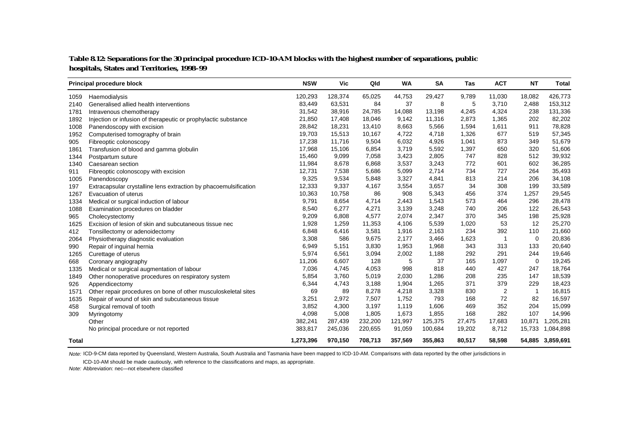#### **Table 8.12: Separations for the 30 principal procedure ICD-10-AM blocks with the highest number of separations, public hospitals, States and Territories, 1998–99**

|              | Principal procedure block                                        | <b>NSW</b> | Vic     | Qld     | WA      | <b>SA</b> | Tas    | <b>ACT</b>     | <b>NT</b>   | <b>Total</b>     |
|--------------|------------------------------------------------------------------|------------|---------|---------|---------|-----------|--------|----------------|-------------|------------------|
| 1059         | Haemodialysis                                                    | 120,293    | 128,374 | 65,025  | 44,753  | 29,427    | 9,789  | 11,030         | 18,082      | 426,773          |
| 2140         | Generalised allied health interventions                          | 83,449     | 63,531  | 84      | 37      | 8         | 5      | 3,710          | 2,488       | 153,312          |
| 1781         | Intravenous chemotherapy                                         | 31,542     | 38,916  | 24,785  | 14,088  | 13,198    | 4,245  | 4,324          | 238         | 131,336          |
| 1892         | Injection or infusion of therapeutic or prophylactic substance   | 21,850     | 17,408  | 18,046  | 9,142   | 11,316    | 2,873  | 1,365          | 202         | 82,202           |
| 1008         | Panendoscopy with excision                                       | 28,842     | 18,231  | 13,410  | 8,663   | 5,566     | 1,594  | 1,611          | 911         | 78,828           |
| 1952         | Computerised tomography of brain                                 | 19,703     | 15,513  | 10,167  | 4,722   | 4,718     | 1,326  | 677            | 519         | 57,345           |
| 905          | Fibreoptic colonoscopy                                           | 17,238     | 11,716  | 9,504   | 6,032   | 4,926     | 1,041  | 873            | 349         | 51,679           |
| 1861         | Transfusion of blood and gamma globulin                          | 17,968     | 15,106  | 6,854   | 3,719   | 5,592     | 1,397  | 650            | 320         | 51,606           |
| 1344         | Postpartum suture                                                | 15,460     | 9,099   | 7,058   | 3,423   | 2,805     | 747    | 828            | 512         | 39,932           |
| 1340         | Caesarean section                                                | 11,984     | 8,678   | 6,868   | 3,537   | 3,243     | 772    | 601            | 602         | 36,285           |
| 911          | Fibreoptic colonoscopy with excision                             | 12,731     | 7,538   | 5,686   | 5,099   | 2,714     | 734    | 727            | 264         | 35,493           |
| 1005         | Panendoscopy                                                     | 9,325      | 9,534   | 5,848   | 3,327   | 4,841     | 813    | 214            | 206         | 34,108           |
| 197          | Extracapsular crystalline lens extraction by phacoemulsification | 12,333     | 9,337   | 4,167   | 3,554   | 3,657     | 34     | 308            | 199         | 33,589           |
| 1267         | Evacuation of uterus                                             | 10,363     | 10,758  | 86      | 908     | 5,343     | 456    | 374            | 1,257       | 29,545           |
| 1334         | Medical or surgical induction of labour                          | 9,791      | 8,654   | 4,714   | 2,443   | 1,543     | 573    | 464            | 296         | 28,478           |
| 1088         | Examination procedures on bladder                                | 8,540      | 6,277   | 4,271   | 3,139   | 3,248     | 740    | 206            | 122         | 26,543           |
| 965          | Cholecystectomy                                                  | 9,209      | 6,808   | 4,577   | 2,074   | 2,347     | 370    | 345            | 198         | 25,928           |
| 1625         | Excision of lesion of skin and subcutaneous tissue nec           | 1,928      | 1,259   | 11,353  | 4,106   | 5,539     | 1,020  | 53             | 12          | 25,270           |
| 412          | Tonsillectomy or adenoidectomy                                   | 6,848      | 6,416   | 3,581   | 1,916   | 2,163     | 234    | 392            | 110         | 21,660           |
| 2064         | Physiotherapy diagnostic evaluation                              | 3,308      | 586     | 9,675   | 2,177   | 3,466     | 1,623  |                | 0           | 20,836           |
| 990          | Repair of inguinal hernia                                        | 6,949      | 5,151   | 3,830   | 1,953   | 1,968     | 343    | 313            | 133         | 20,640           |
| 1265         | Curettage of uterus                                              | 5,974      | 6,561   | 3,094   | 2,002   | 1,188     | 292    | 291            | 244         | 19,646           |
| 668          | Coronary angiography                                             | 11,206     | 6,607   | 128     | 5       | 37        | 165    | 1,097          | $\mathbf 0$ | 19,245           |
| 1335         | Medical or surgical augmentation of labour                       | 7,036      | 4,745   | 4,053   | 998     | 818       | 440    | 427            | 247         | 18,764           |
| 1849         | Other nonoperative procedures on respiratory system              | 5,854      | 3,760   | 5,019   | 2,030   | 1,286     | 208    | 235            | 147         | 18,539           |
| 926          | Appendicectomy                                                   | 6,344      | 4,743   | 3,188   | 1,904   | 1,265     | 371    | 379            | 229         | 18,423           |
| 1571         | Other repair procedures on bone of other musculoskeletal sites   | 69         | 89      | 8,278   | 4,218   | 3,328     | 830    | $\overline{2}$ | $\mathbf 1$ | 16,815           |
| 1635         | Repair of wound of skin and subcutaneous tissue                  | 3,251      | 2,972   | 7,507   | 1,752   | 793       | 168    | 72             | 82          | 16,597           |
| 458          | Surgical removal of tooth                                        | 3,852      | 4,300   | 3,197   | 1,119   | 1,606     | 469    | 352            | 204         | 15,099           |
| 309          | Myringotomy                                                      | 4,098      | 5,008   | 1,805   | 1,673   | 1,855     | 168    | 282            | 107         | 14,996           |
|              | Other                                                            | 382,241    | 287,439 | 232,200 | 121,997 | 125,375   | 27,475 | 17,683         | 10,871      | 1,205,281        |
|              | No principal procedure or not reported                           | 383,817    | 245,036 | 220,655 | 91,059  | 100,684   | 19,202 | 8,712          | 15,733      | 1,084,898        |
| <b>Total</b> |                                                                  | 1,273,396  | 970,150 | 708,713 | 357,569 | 355,863   | 80,517 | 58,598         |             | 54,885 3,859,691 |

Note: ICD-9-CM data reported by Queensland, Western Australia, South Australia and Tasmania have been mapped to ICD-10-AM. Comparisons with data reported by the other jurisdictions in

ICD-10-AM should be made cautiously, with reference to the classifications and maps, as appropriate.

Note: Abbreviation: nec—not elsewhere classified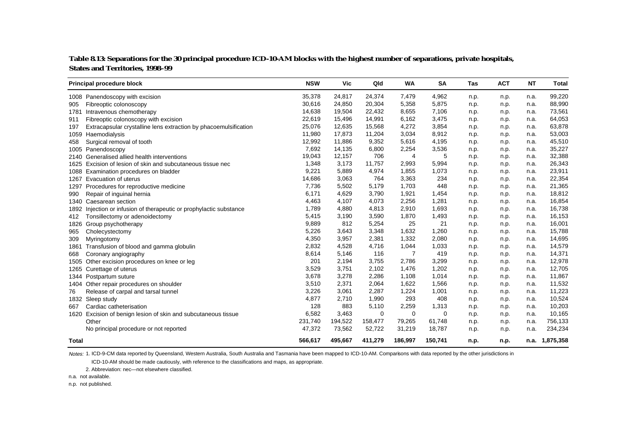| Table 8.13: Separations for the 30 principal procedure ICD-10-AM blocks with the highest number of separations, private hospitals, |
|------------------------------------------------------------------------------------------------------------------------------------|
| <b>States and Territories, 1998–99</b>                                                                                             |

|              | Principal procedure block                                        | <b>NSW</b> | Vic     | Qld     | <b>WA</b> | <b>SA</b> | <b>Tas</b> | <b>ACT</b> | <b>NT</b> | <b>Total</b> |
|--------------|------------------------------------------------------------------|------------|---------|---------|-----------|-----------|------------|------------|-----------|--------------|
|              | 1008 Panendoscopy with excision                                  | 35,378     | 24,817  | 24,374  | 7,479     | 4,962     | n.p.       | n.p.       | n.a.      | 99,220       |
| 905          | Fibreoptic colonoscopy                                           | 30,616     | 24,850  | 20,304  | 5,358     | 5,875     | n.p.       | n.p.       | n.a.      | 88,990       |
| 1781         | Intravenous chemotherapy                                         | 14,638     | 19,504  | 22,432  | 8,655     | 7,106     | n.p.       | n.p.       | n.a.      | 73,561       |
| 911          | Fibreoptic colonoscopy with excision                             | 22,619     | 15,496  | 14,991  | 6,162     | 3,475     | n.p.       | n.p.       | n.a.      | 64,053       |
| 197          | Extracapsular crystalline lens extraction by phacoemulsification | 25,076     | 12,635  | 15,568  | 4,272     | 3,854     | n.p.       | n.p.       | n.a.      | 63,878       |
| 1059         | Haemodialysis                                                    | 11,980     | 17,873  | 11,204  | 3,034     | 8,912     | n.p.       | n.p.       | n.a.      | 53,003       |
| 458          | Surgical removal of tooth                                        | 12,992     | 11,886  | 9,352   | 5,616     | 4,195     | n.p.       | n.p.       | n.a.      | 45,510       |
| 1005         | Panendoscopy                                                     | 7,692      | 14,135  | 6,800   | 2,254     | 3,536     | n.p.       | n.p.       | n.a.      | 35,227       |
| 2140         | Generalised allied health interventions                          | 19,043     | 12,157  | 706     | 4         | 5         | n.p.       | n.p.       | n.a.      | 32,388       |
| 1625         | Excision of lesion of skin and subcutaneous tissue nec           | 1,348      | 3,173   | 11,757  | 2,993     | 5,994     | n.p.       | n.p.       | n.a.      | 26,343       |
| 1088         | Examination procedures on bladder                                | 9,221      | 5,889   | 4,974   | 1,855     | 1,073     | n.p.       | n.p.       | n.a.      | 23,911       |
| 1267         | Evacuation of uterus                                             | 14,686     | 3,063   | 764     | 3,363     | 234       | n.p.       | n.p.       | n.a.      | 22,354       |
| 1297         | Procedures for reproductive medicine                             | 7,736      | 5,502   | 5,179   | 1,703     | 448       | n.p.       | n.p.       | n.a.      | 21,365       |
| 990          | Repair of inguinal hernia                                        | 6,171      | 4,629   | 3,790   | 1,921     | 1,454     | n.p.       | n.p.       | n.a.      | 18,812       |
|              | 1340 Caesarean section                                           | 4,463      | 4,107   | 4,073   | 2,256     | 1,281     | n.p.       | n.p.       | n.a.      | 16,854       |
| 1892         | Injection or infusion of therapeutic or prophylactic substance   | 1,789      | 4,880   | 4,813   | 2,910     | 1,693     | n.p.       | n.p.       | n.a.      | 16,738       |
| 412          | Tonsillectomy or adenoidectomy                                   | 5,415      | 3,190   | 3,590   | 1,870     | 1,493     | n.p.       | n.p.       | n.a.      | 16,153       |
| 1826         | Group psychotherapy                                              | 9,889      | 812     | 5,254   | 25        | 21        | n.p.       | n.p.       | n.a.      | 16,001       |
| 965          | Cholecystectomy                                                  | 5,226      | 3,643   | 3,348   | 1,632     | 1,260     | n.p.       | n.p.       | n.a.      | 15,788       |
| 309          | Myringotomy                                                      | 4,350      | 3,957   | 2,381   | 1,332     | 2,080     | n.p.       | n.p.       | n.a.      | 14,695       |
| 1861         | Transfusion of blood and gamma globulin                          | 2,832      | 4,528   | 4,716   | 1,044     | 1,033     | n.p.       | n.p.       | n.a.      | 14,579       |
| 668          | Coronary angiography                                             | 8,614      | 5,146   | 116     | 7         | 419       | n.p.       | n.p.       | n.a.      | 14,371       |
| 1505         | Other excision procedures on knee or leg                         | 201        | 2,194   | 3,755   | 2,786     | 3,299     | n.p.       | n.p.       | n.a.      | 12,978       |
| 1265         | Curettage of uterus                                              | 3,529      | 3,751   | 2,102   | 1,476     | 1,202     | n.p.       | n.p.       | n.a.      | 12,705       |
| 1344         | Postpartum suture                                                | 3,678      | 3,278   | 2,286   | 1,108     | 1,014     | n.p.       | n.p.       | n.a.      | 11,867       |
| 1404         | Other repair procedures on shoulder                              | 3,510      | 2,371   | 2,064   | 1,622     | 1,566     | n.p.       | n.p.       | n.a.      | 11,532       |
| 76           | Release of carpal and tarsal tunnel                              | 3,226      | 3,061   | 2,287   | 1,224     | 1,001     | n.p.       | n.p.       | n.a.      | 11,223       |
| 1832         | Sleep study                                                      | 4,877      | 2,710   | 1,990   | 293       | 408       | n.p.       | n.p.       | n.a.      | 10,524       |
| 667          | Cardiac catheterisation                                          | 128        | 883     | 5,110   | 2,259     | 1,313     | n.p.       | n.p.       | n.a.      | 10,203       |
|              | 1620 Excision of benign lesion of skin and subcutaneous tissue   | 6,582      | 3,463   | 0       | 0         | 0         | n.p.       | n.p.       | n.a.      | 10,165       |
|              | Other                                                            | 231,740    | 194,522 | 158,477 | 79,265    | 61,748    | n.p.       | n.p.       | n.a.      | 756,133      |
|              | No principal procedure or not reported                           | 47,372     | 73,562  | 52,722  | 31,219    | 18,787    | n.p.       | n.p.       | n.a.      | 234,234      |
| <b>Total</b> |                                                                  | 566,617    | 495,667 | 411,279 | 186,997   | 150,741   | n.p.       | n.p.       | n.a.      | 1,875,358    |

Notes: 1. ICD-9-CM data reported by Queensland, Western Australia, South Australia and Tasmania have been mapped to ICD-10-AM. Comparisons with data reported by the other jurisdictions in

ICD-10-AM should be made cautiously, with reference to the classifications and maps, as appropriate.

2. Abbreviation: nec—not elsewhere classified.

n.a. not available.

n.p. not published.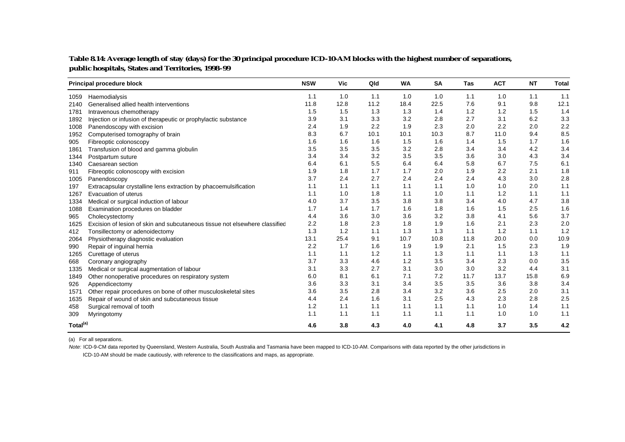| Table 8.14: Average length of stay (days) for the 30 principal procedure ICD-10-AM blocks with the highest number of separations, |  |
|-----------------------------------------------------------------------------------------------------------------------------------|--|
| public hospitals, States and Territories, 1998-99                                                                                 |  |

|                      | Principal procedure block                                                   | <b>NSW</b> | <b>Vic</b> | Qld  | <b>WA</b> | <b>SA</b> | <b>Tas</b> | <b>ACT</b> | <b>NT</b> | <b>Total</b> |
|----------------------|-----------------------------------------------------------------------------|------------|------------|------|-----------|-----------|------------|------------|-----------|--------------|
| 1059                 | Haemodialysis                                                               | 1.1        | 1.0        | 1.1  | 1.0       | 1.0       | 1.1        | 1.0        | 1.1       | 1.1          |
| 2140                 | Generalised allied health interventions                                     | 11.8       | 12.8       | 11.2 | 18.4      | 22.5      | 7.6        | 9.1        | 9.8       | 12.1         |
| 1781                 | Intravenous chemotherapy                                                    | 1.5        | 1.5        | 1.3  | 1.3       | 1.4       | 1.2        | 1.2        | 1.5       | 1.4          |
| 1892                 | Injection or infusion of therapeutic or prophylactic substance              | 3.9        | 3.1        | 3.3  | 3.2       | 2.8       | 2.7        | 3.1        | 6.2       | 3.3          |
| 1008                 | Panendoscopy with excision                                                  | 2.4        | 1.9        | 2.2  | 1.9       | 2.3       | 2.0        | 2.2        | 2.0       | 2.2          |
| 1952                 | Computerised tomography of brain                                            | 8.3        | 6.7        | 10.1 | 10.1      | 10.3      | 8.7        | 11.0       | 9.4       | 8.5          |
| 905                  | Fibreoptic colonoscopy                                                      | 1.6        | 1.6        | 1.6  | 1.5       | 1.6       | 1.4        | 1.5        | 1.7       | 1.6          |
| 1861                 | Transfusion of blood and gamma globulin                                     | 3.5        | 3.5        | 3.5  | 3.2       | 2.8       | 3.4        | 3.4        | 4.2       | 3.4          |
| 1344                 | Postpartum suture                                                           | 3.4        | 3.4        | 3.2  | 3.5       | 3.5       | 3.6        | 3.0        | 4.3       | 3.4          |
| 1340                 | Caesarean section                                                           | 6.4        | 6.1        | 5.5  | 6.4       | 6.4       | 5.8        | 6.7        | 7.5       | 6.1          |
| 911                  | Fibreoptic colonoscopy with excision                                        | 1.9        | 1.8        | 1.7  | 1.7       | 2.0       | 1.9        | 2.2        | 2.1       | 1.8          |
| 1005                 | Panendoscopy                                                                | 3.7        | 2.4        | 2.7  | 2.4       | 2.4       | 2.4        | 4.3        | 3.0       | 2.8          |
| 197                  | Extracapsular crystalline lens extraction by phacoemulsification            | 1.1        | 1.1        | 1.1  | 1.1       | 1.1       | 1.0        | 1.0        | 2.0       | 1.1          |
| 1267                 | Evacuation of uterus                                                        | 1.1        | 1.0        | 1.8  | 1.1       | 1.0       | 1.1        | 1.2        | 1.1       | 1.1          |
| 1334                 | Medical or surgical induction of labour                                     | 4.0        | 3.7        | 3.5  | 3.8       | 3.8       | 3.4        | 4.0        | 4.7       | 3.8          |
| 1088                 | Examination procedures on bladder                                           | 1.7        | 1.4        | 1.7  | 1.6       | 1.8       | 1.6        | 1.5        | 2.5       | 1.6          |
| 965                  | Cholecystectomy                                                             | 4.4        | 3.6        | 3.0  | 3.6       | 3.2       | 3.8        | 4.1        | 5.6       | 3.7          |
| 1625                 | Excision of lesion of skin and subcutaneous tissue not elsewhere classified | 2.2        | 1.8        | 2.3  | 1.8       | 1.9       | 1.6        | 2.1        | 2.3       | 2.0          |
| 412                  | Tonsillectomy or adenoidectomy                                              | 1.3        | 1.2        | 1.1  | 1.3       | 1.3       | 1.1        | 1.2        | 1.1       | 1.2          |
| 2064                 | Physiotherapy diagnostic evaluation                                         | 13.1       | 25.4       | 9.1  | 10.7      | 10.8      | 11.8       | 20.0       | 0.0       | 10.9         |
| 990                  | Repair of inguinal hernia                                                   | 2.2        | 1.7        | 1.6  | 1.9       | 1.9       | 2.1        | 1.5        | 2.3       | 1.9          |
| 1265                 | Curettage of uterus                                                         | 1.1        | 1.1        | 1.2  | 1.1       | 1.3       | 1.1        | 1.1        | 1.3       | 1.1          |
| 668                  | Coronary angiography                                                        | 3.7        | 3.3        | 4.6  | 1.2       | 3.5       | 3.4        | 2.3        | 0.0       | 3.5          |
| 1335                 | Medical or surgical augmentation of labour                                  | 3.1        | 3.3        | 2.7  | 3.1       | 3.0       | 3.0        | 3.2        | 4.4       | 3.1          |
| 1849                 | Other nonoperative procedures on respiratory system                         | 6.0        | 8.1        | 6.1  | 7.1       | 7.2       | 11.7       | 13.7       | 15.8      | 6.9          |
| 926                  | Appendicectomy                                                              | 3.6        | 3.3        | 3.1  | 3.4       | 3.5       | 3.5        | 3.6        | 3.8       | 3.4          |
| 1571                 | Other repair procedures on bone of other musculoskeletal sites              | 3.6        | 3.5        | 2.8  | 3.4       | 3.2       | 3.6        | 2.5        | 2.0       | 3.1          |
| 1635                 | Repair of wound of skin and subcutaneous tissue                             | 4.4        | 2.4        | 1.6  | 3.1       | 2.5       | 4.3        | 2.3        | 2.8       | 2.5          |
| 458                  | Surgical removal of tooth                                                   | 1.2        | 1.1        | 1.1  | 1.1       | 1.1       | 1.1        | 1.0        | 1.4       | 1.1          |
| 309                  | Myringotomy                                                                 | 1.1        | 1.1        | 1.1  | 1.1       | 1.1       | 1.1        | 1.0        | 1.0       | 1.1          |
| Total <sup>(a)</sup> |                                                                             | 4.6        | 3.8        | 4.3  | 4.0       | 4.1       | 4.8        | 3.7        | 3.5       | 4.2          |

(a) For all separations.

Note: ICD-9-CM data reported by Queensland, Western Australia, South Australia and Tasmania have been mapped to ICD-10-AM. Comparisons with data reported by the other jurisdictions in

ICD-10-AM should be made cautiously, with reference to the classifications and maps, as appropriate.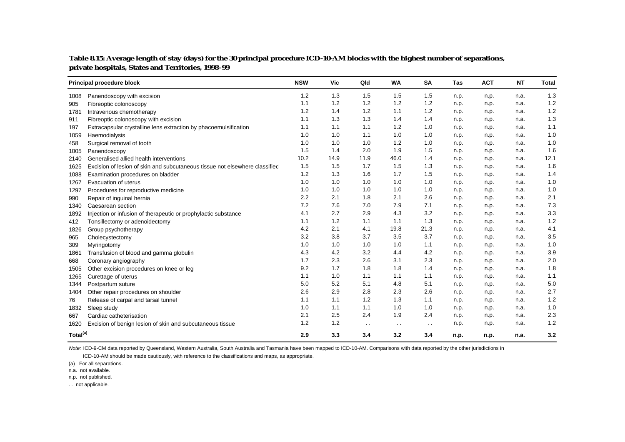|                      | Principal procedure block                                                   | <b>NSW</b> | Vic  | Qld                  | <b>WA</b> | <b>SA</b>     | Tas  | <b>ACT</b> | <b>NT</b> | <b>Total</b> |
|----------------------|-----------------------------------------------------------------------------|------------|------|----------------------|-----------|---------------|------|------------|-----------|--------------|
| 1008                 | Panendoscopy with excision                                                  | 1.2        | 1.3  | 1.5                  | 1.5       | 1.5           | n.p. | n.p.       | n.a.      | 1.3          |
| 905                  | Fibreoptic colonoscopy                                                      | 1.1        | 1.2  | 1.2                  | 1.2       | 1.2           | n.p. | n.p.       | n.a.      | 1.2          |
| 1781                 | Intravenous chemotherapy                                                    | 1.2        | 1.4  | 1.2                  | 1.1       | 1.2           | n.p. | n.p.       | n.a.      | 1.2          |
| 911                  | Fibreoptic colonoscopy with excision                                        | 1.1        | 1.3  | 1.3                  | 1.4       | 1.4           | n.p. | n.p.       | n.a.      | 1.3          |
| 197                  | Extracapsular crystalline lens extraction by phacoemulsification            | 1.1        | 1.1  | 1.1                  | 1.2       | 1.0           | n.p. | n.p.       | n.a.      | 1.1          |
| 1059                 | Haemodialysis                                                               | 1.0        | 1.0  | 1.1                  | 1.0       | 1.0           | n.p. | n.p.       | n.a.      | 1.0          |
| 458                  | Surgical removal of tooth                                                   | 1.0        | 1.0  | 1.0                  | 1.2       | 1.0           | n.p. | n.p.       | n.a.      | 1.0          |
| 1005                 | Panendoscopy                                                                | 1.5        | 1.4  | 2.0                  | 1.9       | 1.5           | n.p. | n.p.       | n.a.      | 1.6          |
| 2140                 | Generalised allied health interventions                                     | 10.2       | 14.9 | 11.9                 | 46.0      | 1.4           | n.p. | n.p.       | n.a.      | 12.1         |
| 1625                 | Excision of lesion of skin and subcutaneous tissue not elsewhere classified | 1.5        | 1.5  | 1.7                  | 1.5       | 1.3           | n.p. | n.p.       | n.a.      | 1.6          |
| 1088                 | Examination procedures on bladder                                           | 1.2        | 1.3  | 1.6                  | 1.7       | 1.5           | n.p. | n.p.       | n.a.      | 1.4          |
| 1267                 | Evacuation of uterus                                                        | 1.0        | 1.0  | 1.0                  | 1.0       | 1.0           | n.p. | n.p.       | n.a.      | 1.0          |
| 1297                 | Procedures for reproductive medicine                                        | 1.0        | 1.0  | 1.0                  | 1.0       | 1.0           | n.p. | n.p.       | n.a.      | 1.0          |
| 990                  | Repair of inguinal hernia                                                   | 2.2        | 2.1  | 1.8                  | 2.1       | 2.6           | n.p. | n.p.       | n.a.      | 2.1          |
| 1340                 | Caesarean section                                                           | 7.2        | 7.6  | 7.0                  | 7.9       | 7.1           | n.p. | n.p.       | n.a.      | 7.3          |
| 1892                 | Injection or infusion of therapeutic or prophylactic substance              | 4.1        | 2.7  | 2.9                  | 4.3       | 3.2           | n.p. | n.p.       | n.a.      | 3.3          |
| 412                  | Tonsillectomy or adenoidectomy                                              | 1.1        | 1.2  | 1.1                  | 1.1       | 1.3           | n.p. | n.p.       | n.a.      | 1.2          |
| 1826                 | Group psychotherapy                                                         | 4.2        | 2.1  | 4.1                  | 19.8      | 21.3          | n.p. | n.p.       | n.a.      | 4.1          |
| 965                  | Cholecystectomy                                                             | 3.2        | 3.8  | 3.7                  | 3.5       | 3.7           | n.p. | n.p.       | n.a.      | 3.5          |
| 309                  | Myringotomy                                                                 | 1.0        | 1.0  | 1.0                  | 1.0       | 1.1           | n.p. | n.p.       | n.a.      | 1.0          |
| 1861                 | Transfusion of blood and gamma globulin                                     | 4.3        | 4.2  | 3.2                  | 4.4       | 4.2           | n.p. | n.p.       | n.a.      | 3.9          |
| 668                  | Coronary angiography                                                        | 1.7        | 2.3  | 2.6                  | 3.1       | 2.3           | n.p. | n.p.       | n.a.      | 2.0          |
| 1505                 | Other excision procedures on knee or leg                                    | 9.2        | 1.7  | 1.8                  | 1.8       | 1.4           | n.p. | n.p.       | n.a.      | 1.8          |
| 1265                 | Curettage of uterus                                                         | 1.1        | 1.0  | 1.1                  | 1.1       | 1.1           | n.p. | n.p.       | n.a.      | 1.1          |
| 1344                 | Postpartum suture                                                           | 5.0        | 5.2  | 5.1                  | 4.8       | 5.1           | n.p. | n.p.       | n.a.      | 5.0          |
| 1404                 | Other repair procedures on shoulder                                         | 2.6        | 2.9  | 2.8                  | 2.3       | 2.6           | n.p. | n.p.       | n.a.      | 2.7          |
| 76                   | Release of carpal and tarsal tunnel                                         | 1.1        | 1.1  | 1.2                  | 1.3       | 1.1           | n.p. | n.p.       | n.a.      | 1.2          |
| 1832                 | Sleep study                                                                 | 1.0        | 1.1  | 1.1                  | 1.0       | 1.0           | n.p. | n.p.       | n.a.      | 1.0          |
| 667                  | Cardiac catheterisation                                                     | 2.1        | 2.5  | 2.4                  | 1.9       | 2.4           | n.p. | n.p.       | n.a.      | 2.3          |
| 1620                 | Excision of benign lesion of skin and subcutaneous tissue                   | 1.2        | 1.2  | $\ddot{\phantom{0}}$ | $\sim$    | $\sim$ $\sim$ | n.p. | n.p.       | n.a.      | 1.2          |
| Total <sup>(a)</sup> |                                                                             | 2.9        | 3.3  | 3.4                  | 3.2       | 3.4           | n.p. | n.p.       | n.a.      | 3.2          |

**Table 8.15: Average length of stay (days) for the 30 principal procedure ICD-10-AM blocks with the highest number of separations, private hospitals, States and Territories, 1998–99**

Note: ICD-9-CM data reported by Queensland, Western Australia, South Australia and Tasmania have been mapped to ICD-10-AM. Comparisons with data reported by the other jurisdictions in

ICD-10-AM should be made cautiously, with reference to the classifications and maps, as appropriate.

(a) For all separations.

n.a. not available.

n.p. not published.

. . not applicable.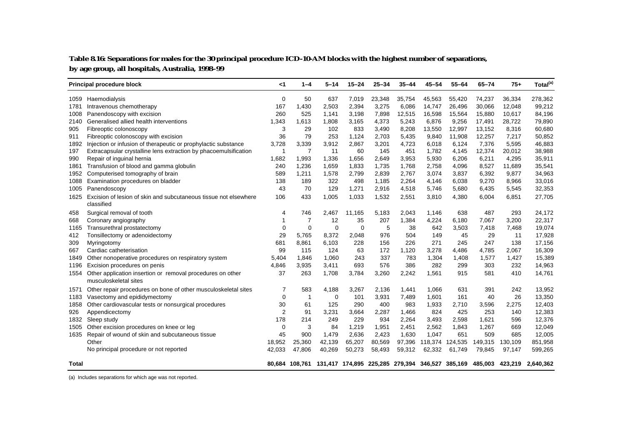#### **Table 8.16: Separations for males for the 30 principal procedure ICD-10-AM blocks with the highest number of separations, by age group, all hospitals, Australia, 1998–99**

|              | Principal procedure block                                                           | $<$ 1        | $1 - 4$        | $5 - 14$    | $15 - 24$   | $25 - 34$ | $35 - 44$ | $45 - 54$ | $55 - 64$ | $65 - 74$                                                                      | $75+$   | Total <sup>(a)</sup> |
|--------------|-------------------------------------------------------------------------------------|--------------|----------------|-------------|-------------|-----------|-----------|-----------|-----------|--------------------------------------------------------------------------------|---------|----------------------|
| 1059         | Haemodialysis                                                                       | $\mathbf 0$  | 50             | 637         | 7,019       | 23,348    | 35,754    | 45,563    | 55,420    | 74,237                                                                         | 36,334  | 278,362              |
| 1781         | Intravenous chemotherapy                                                            | 167          | 1,430          | 2,503       | 2,394       | 3,275     | 6,086     | 14,747    | 26,496    | 30,066                                                                         | 12,048  | 99,212               |
| 1008         | Panendoscopy with excision                                                          | 260          | 525            | 1,141       | 3,198       | 7,898     | 12,515    | 16,598    | 15,564    | 15,880                                                                         | 10.617  | 84,196               |
| 2140         | Generalised allied health interventions                                             | 1,343        | 1,613          | 1,808       | 3,165       | 4,373     | 5,243     | 6,876     | 9,256     | 17,491                                                                         | 28,722  | 79,890               |
| 905          | Fibreoptic colonoscopy                                                              | 3            | 29             | 102         | 833         | 3,490     | 8,208     | 13,550    | 12,997    | 13,152                                                                         | 8,316   | 60,680               |
| 911          | Fibreoptic colonoscopy with excision                                                | 36           | 79             | 253         | 1,124       | 2,703     | 5,435     | 9,840     | 11,908    | 12,257                                                                         | 7,217   | 50,852               |
| 1892         | Injection or infusion of therapeutic or prophylactic substance                      | 3,728        | 3,339          | 3,912       | 2,867       | 3,201     | 4,723     | 6,018     | 6,124     | 7,376                                                                          | 5,595   | 46,883               |
| 197          | Extracapsular crystalline lens extraction by phacoemulsification                    | $\mathbf{1}$ | $\overline{7}$ | 11          | 60          | 145       | 451       | 1,782     | 4,145     | 12,374                                                                         | 20,012  | 38,988               |
| 990          | Repair of inguinal hernia                                                           | 1,682        | 1,993          | 1,336       | 1,656       | 2,649     | 3,953     | 5,930     | 6,206     | 6,211                                                                          | 4,295   | 35,911               |
| 1861         | Transfusion of blood and gamma globulin                                             | 240          | 1,236          | 1,659       | 1,833       | 1,735     | 1,768     | 2,758     | 4,096     | 8,527                                                                          | 11,689  | 35,541               |
| 1952         | Computerised tomography of brain                                                    | 589          | 1,211          | 1,578       | 2,799       | 2,839     | 2,767     | 3,074     | 3,837     | 6,392                                                                          | 9,877   | 34,963               |
| 1088         | Examination procedures on bladder                                                   | 138          | 189            | 322         | 498         | 1,185     | 2,264     | 4,146     | 6,038     | 9,270                                                                          | 8,966   | 33,016               |
| 1005         | Panendoscopy                                                                        | 43           | 70             | 129         | 1,271       | 2,916     | 4,518     | 5,746     | 5,680     | 6,435                                                                          | 5,545   | 32,353               |
| 1625         | Excision of lesion of skin and subcutaneous tissue not elsewhere<br>classified      | 106          | 433            | 1,005       | 1,033       | 1,532     | 2,551     | 3,810     | 4,380     | 6,004                                                                          | 6,851   | 27,705               |
| 458          | Surgical removal of tooth                                                           | 4            | 746            | 2,467       | 11,165      | 5,183     | 2,043     | 1,146     | 638       | 487                                                                            | 293     | 24,172               |
| 668          | Coronary angiography                                                                | $\mathbf 1$  | $\overline{7}$ | 12          | 35          | 207       | 1,384     | 4,224     | 6,180     | 7,067                                                                          | 3,200   | 22,317               |
| 1165         | Transurethral prostatectomy                                                         | $\mathbf 0$  | $\mathbf 0$    | $\mathbf 0$ | $\mathbf 0$ | 5         | 38        | 642       | 3,503     | 7,418                                                                          | 7,468   | 19,074               |
| 412          | Tonsillectomy or adenoidectomy                                                      | 29           | 5,765          | 8,372       | 2,048       | 976       | 504       | 149       | 45        | 29                                                                             | 11      | 17,928               |
| 309          | Myringotomy                                                                         | 681          | 8,861          | 6,103       | 228         | 156       | 226       | 271       | 245       | 247                                                                            | 138     | 17,156               |
| 667          | Cardiac catheterisation                                                             | 99           | 115            | 124         | 63          | 172       | 1,120     | 3,278     | 4,486     | 4,785                                                                          | 2,067   | 16,309               |
| 1849         | Other nonoperative procedures on respiratory system                                 | 5,404        | 1,846          | 1,060       | 243         | 337       | 783       | 1,304     | 1,408     | 1,577                                                                          | 1,427   | 15,389               |
| 1196         | Excision procedures on penis                                                        | 4,846        | 3,935          | 3,411       | 693         | 576       | 386       | 282       | 299       | 303                                                                            | 232     | 14,963               |
| 1554         | Other application insertion or removal procedures on other<br>musculoskeletal sites | 37           | 263            | 1,708       | 3,784       | 3,260     | 2,242     | 1,561     | 915       | 581                                                                            | 410     | 14,761               |
| 1571         | Other repair procedures on bone of other musculoskeletal sites                      | 7            | 583            | 4,188       | 3,267       | 2,136     | 1,441     | 1,066     | 631       | 391                                                                            | 242     | 13,952               |
| 1183         | Vasectomy and epididymectomy                                                        | $\mathbf 0$  | $\mathbf{1}$   | $\mathbf 0$ | 101         | 3,931     | 7,489     | 1,601     | 161       | 40                                                                             | 26      | 13,350               |
| 1858         | Other cardiovascular tests or nonsurgical procedures                                | 30           | 61             | 125         | 290         | 400       | 983       | 1,933     | 2,710     | 3,596                                                                          | 2,275   | 12,403               |
| 926          | Appendicectomy                                                                      | 2            | 91             | 3,231       | 3,664       | 2,287     | 1,466     | 824       | 425       | 253                                                                            | 140     | 12,383               |
| 1832         | Sleep study                                                                         | 178          | 214            | 249         | 229         | 934       | 2,264     | 3,493     | 2,598     | 1,621                                                                          | 596     | 12,376               |
| 1505         | Other excision procedures on knee or leg                                            | $\mathbf 0$  | 3              | 84          | 1,219       | 1,951     | 2,451     | 2,562     | 1,843     | 1,267                                                                          | 669     | 12,049               |
| 1635         | Repair of wound of skin and subcutaneous tissue                                     | 45           | 900            | 1,479       | 2,636       | 2,423     | 1,630     | 1,047     | 651       | 509                                                                            | 685     | 12,005               |
|              | Other                                                                               | 18,952       | 25,360         | 42,139      | 65,207      | 80,569    | 97,396    | 118,374   | 124,535   | 149,315                                                                        | 130,109 | 851,958              |
|              | No principal procedure or not reported                                              | 42,033       | 47,806         | 40,269      | 50,273      | 58,493    | 59,312    | 62,332    | 61,749    | 79,845                                                                         | 97,147  | 599,265              |
| <b>Total</b> |                                                                                     |              |                |             |             |           |           |           |           | 80,684 108,761 131,417 174,895 225,285 279,394 346,527 385,169 485,003 423,219 |         | 2,640,362            |

(a) Includes separations for which age was not reported.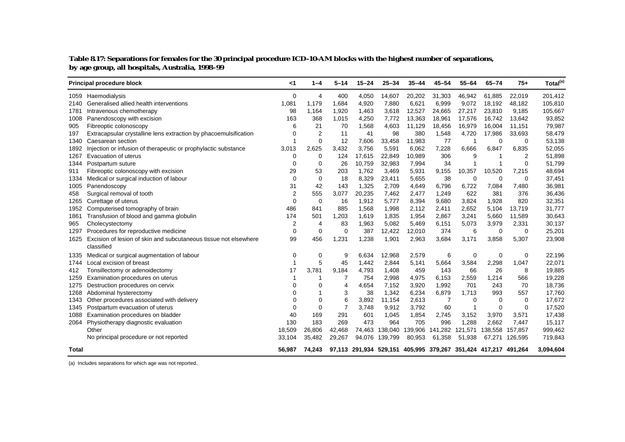| Table 8.17: Separations for females for the 30 principal procedure ICD-10-AM blocks with the highest number of separations, |
|-----------------------------------------------------------------------------------------------------------------------------|
| by age group, all hospitals, Australia, 1998-99                                                                             |

|       | <b>Principal procedure block</b>                                 | ا>             | $1 - 4$        | $5 - 14$       | $15 - 24$ | $25 - 34$                                                      | $35 - 44$ | $45 - 54$      | $55 - 64$ | $65 - 74$   | $75+$    | Total <sup>(a)</sup> |
|-------|------------------------------------------------------------------|----------------|----------------|----------------|-----------|----------------------------------------------------------------|-----------|----------------|-----------|-------------|----------|----------------------|
|       | 1059 Haemodialysis                                               | 0              | 4              | 400            | 4,050     | 14,607                                                         | 20,202    | 31,303         | 46,942    | 61,885      | 22,019   | 201,412              |
| 2140  | Generalised allied health interventions                          | 1,081          | 1,179          | 1,684          | 4,920     | 7,880                                                          | 6,621     | 6,999          | 9,072     | 18,192      | 48,182   | 105,810              |
| 1781  | Intravenous chemotherapy                                         | 98             | 1,164          | 1,920          | 1,463     | 3,618                                                          | 12,527    | 24,665         | 27,217    | 23,810      | 9,185    | 105,667              |
| 1008  | Panendoscopy with excision                                       | 163            | 368            | 1,015          | 4,250     | 7,772                                                          | 13,363    | 18,961         | 17,576    | 16.742      | 13,642   | 93,852               |
| 905   | Fibreoptic colonoscopy                                           | 6              | 21             | 70             | 1,568     | 4,603                                                          | 11,129    | 18,456         | 16,979    | 16,004      | 11,151   | 79,987               |
| 197   | Extracapsular crystalline lens extraction by phacoemulsification | $\Omega$       | $\overline{2}$ | 11             | 41        | 98                                                             | 380       | 1,548          | 4,720     | 17,986      | 33,693   | 58,479               |
| 1340  | Caesarean section                                                | $\mathbf{1}$   | $\Omega$       | 12             | 7,606     | 33,458                                                         | 11,983    | 77             | 1         | $\Omega$    | $\Omega$ | 53,138               |
| 1892  | Injection or infusion of therapeutic or prophylactic substance   | 3,013          | 2,625          | 3,432          | 3,756     | 5,591                                                          | 6,062     | 7,228          | 6,666     | 6,847       | 6,835    | 52,055               |
| 1267  | Evacuation of uterus                                             | $\Omega$       | $\Omega$       | 124            | 17,615    | 22,849                                                         | 10,989    | 306            | 9         |             | 2        | 51,898               |
| 1344  | Postpartum suture                                                | $\Omega$       | $\Omega$       | 26             | 10,759    | 32,983                                                         | 7,994     | 34             | 1         |             | $\Omega$ | 51,799               |
| 911   | Fibreoptic colonoscopy with excision                             | 29             | 53             | 203            | 1,762     | 3,469                                                          | 5,931     | 9,155          | 10,357    | 10,520      | 7,215    | 48,694               |
| 1334  | Medical or surgical induction of labour                          | $\Omega$       | 0              | 18             | 8,329     | 23,411                                                         | 5,655     | 38             | 0         | $\Omega$    | 0        | 37,451               |
| 1005  | Panendoscopy                                                     | 31             | 42             | 143            | 1,325     | 2,709                                                          | 4,649     | 6,796          | 6,722     | 7,084       | 7,480    | 36,981               |
| 458   | Surgical removal of tooth                                        | $\overline{2}$ | 555            | 3,077          | 20,235    | 7,462                                                          | 2,477     | 1,249          | 622       | 381         | 376      | 36,436               |
| 1265  | Curettage of uterus                                              | $\mathbf 0$    | $\mathbf 0$    | 16             | 1,912     | 5,777                                                          | 8,394     | 9,680          | 3,824     | 1,928       | 820      | 32,351               |
| 1952  | Computerised tomography of brain                                 | 486            | 841            | 885            | 1,568     | 1,998                                                          | 2,112     | 2,411          | 2,652     | 5,104       | 13,719   | 31,777               |
| 1861  | Transfusion of blood and gamma globulin                          | 174            | 501            | 1,203          | 1,619     | 1,835                                                          | 1,954     | 2,867          | 3,241     | 5,660       | 11,589   | 30,643               |
| 965   | Cholecystectomy                                                  | 2              | $\overline{4}$ | 83             | 1,963     | 5,082                                                          | 5,469     | 6,151          | 5,073     | 3,979       | 2,331    | 30,137               |
| 1297  | Procedures for reproductive medicine                             | $\mathbf 0$    | 0              | $\mathbf 0$    | 387       | 12,422                                                         | 12,010    | 374            | 6         | $\mathbf 0$ | 0        | 25,201               |
| 1625  | Excision of lesion of skin and subcutaneous tissue not elsewhere | 99             | 456            | 1,231          | 1,238     | 1,901                                                          | 2,963     | 3,684          | 3,171     | 3,858       | 5,307    | 23,908               |
|       | classified                                                       |                |                |                |           |                                                                |           |                |           |             |          |                      |
| 1335  | Medical or surgical augmentation of labour                       | 0              | 0              | 9              | 6,634     | 12,968                                                         | 2,579     | 6              | 0         | 0           | 0        | 22,196               |
| 1744  | Local excision of breast                                         |                | 5              | 45             | 1,442     | 2,844                                                          | 5,141     | 5,664          | 3,584     | 2,298       | 1,047    | 22,071               |
| 412   | Tonsillectomy or adenoidectomy                                   | 17             | 3,781          | 9,184          | 4,793     | 1,408                                                          | 459       | 143            | 66        | 26          | 8        | 19,885               |
| 1259  | Examination procedures on uterus                                 |                |                | 7              | 754       | 2,998                                                          | 4,975     | 6,153          | 2,559     | 1,214       | 566      | 19,228               |
| 1275  | Destruction procedures on cervix                                 | $\Omega$       | $\Omega$       | 4              | 4,654     | 7,152                                                          | 3,920     | 1,992          | 701       | 243         | 70       | 18,736               |
| 1268  | Abdominal hysterectomy                                           | $\Omega$       |                | 3              | 38        | 1,342                                                          | 6,234     | 6,879          | 1,713     | 993         | 557      | 17,760               |
| 1343  | Other procedures associated with delivery                        | $\Omega$       | 0              | 6              | 3,892     | 11,154                                                         | 2,613     | $\overline{7}$ | 0         | 0           | 0        | 17,672               |
| 1345  | Postpartum evacuation of uterus                                  | $\Omega$       | 0              | $\overline{7}$ | 3,748     | 9,912                                                          | 3,792     | 60             | 1         | 0           | 0        | 17,520               |
| 1088  | Examination procedures on bladder                                | 40             | 169            | 291            | 601       | 1,045                                                          | 1,854     | 2,745          | 3,152     | 3,970       | 3,571    | 17,438               |
| 2064  | Physiotherapy diagnostic evaluation                              | 130            | 183            | 269            | 473       | 964                                                            | 705       | 996            | 1,288     | 2,662       | 7,447    | 15,117               |
|       | Other                                                            | 18,509         | 26,806         | 42,468         | 74,463    | 138,040                                                        | 139,906   | 141,282        | 121,571   | 138,558     | 157,857  | 999,462              |
|       | No principal procedure or not reported                           | 33,104         | 35,482         | 29,267         | 94,076    | 139,799                                                        | 80,953    | 61,358         | 51,938    | 67,271      | 126,595  | 719,843              |
| Total |                                                                  | 56.987         | 74.243         |                |           | 97,113 291,934 529,151 405,995 379,267 351,424 417,217 491,264 |           |                |           |             |          | 3,094,604            |

(a) Includes separations for which age was not reported.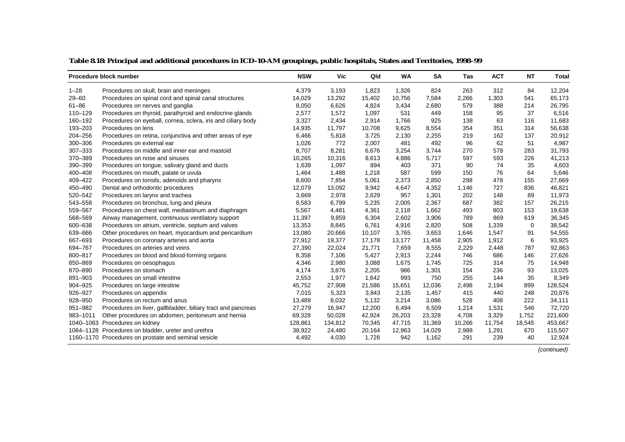|           | Procedure block number                                       | <b>NSW</b> | <b>Vic</b> | Qld    | <b>WA</b> | <b>SA</b> | Tas    | <b>ACT</b> | NT     | Total   |
|-----------|--------------------------------------------------------------|------------|------------|--------|-----------|-----------|--------|------------|--------|---------|
| $1 - 28$  | Procedures on skull, brain and meninges                      | 4,379      | 3,193      | 1,823  | 1,326     | 824       | 263    | 312        | 84     | 12,204  |
| $29 - 60$ | Procedures on spinal cord and spinal canal structures        | 14,029     | 13,292     | 15,402 | 10,756    | 7,584     | 2,266  | 1,303      | 541    | 65,173  |
| $61 - 86$ | Procedures on nerves and ganglia                             | 8,050      | 6,626      | 4,824  | 3,434     | 2,680     | 579    | 388        | 214    | 26,795  |
| 110-129   | Procedures on thyroid, parathyroid and endocrine glands      | 2,577      | 1,572      | 1,097  | 531       | 449       | 158    | 95         | 37     | 6,516   |
| 160-192   | Procedures on eyeball, cornea, sclera, iris and ciliary body | 3,327      | 2,434      | 2,914  | 1,766     | 925       | 138    | 63         | 116    | 11,683  |
| 193-203   | Procedures on lens                                           | 14,935     | 11,797     | 10,708 | 9,625     | 8,554     | 354    | 351        | 314    | 56,638  |
| 204-256   | Procedures on retina, conjunctiva and other areas of eye     | 6,466      | 5,818      | 3,725  | 2,130     | 2,255     | 219    | 162        | 137    | 20,912  |
| 300-306   | Procedures on external ear                                   | 1,026      | 772        | 2,007  | 481       | 492       | 96     | 62         | 51     | 4,987   |
| 307-333   | Procedures on middle and inner ear and mastoid               | 8,707      | 8,281      | 6,676  | 3,254     | 3,744     | 270    | 578        | 283    | 31,793  |
| 370-389   | Procedures on nose and sinuses                               | 10,265     | 10,316     | 8,613  | 4,886     | 5,717     | 597    | 593        | 226    | 41,213  |
| 390-399   | Procedures on tongue, salivary gland and ducts               | 1,639      | 1,097      | 894    | 403       | 371       | 90     | 74         | 35     | 4,603   |
| 400-408   | Procedures on mouth, palate or uvula                         | 1,464      | 1,488      | 1,218  | 587       | 599       | 150    | 76         | 64     | 5,646   |
| 409-422   | Procedures on tonsils, adenoids and pharynx                  | 8,600      | 7,854      | 5,061  | 2,373     | 2,850     | 298    | 478        | 155    | 27,669  |
| 450-490   | Dental and orthodontic procedures                            | 12,079     | 13,092     | 9,942  | 4,647     | 4,352     | 1,146  | 727        | 836    | 46,821  |
| 520-542   | Procedures on larynx and trachea                             | 3,669      | 2,978      | 2,629  | 957       | 1,301     | 202    | 148        | 89     | 11,973  |
| 543-558   | Procedures on bronchus, lung and pleura                      | 8,583      | 6,799      | 5,235  | 2,005     | 2,367     | 687    | 382        | 157    | 26,215  |
| 559-567   | Procedures on chest wall, mediastinum and diaphragm          | 5,567      | 4,481      | 4,361  | 2,118     | 1,662     | 493    | 803        | 153    | 19,638  |
| 568-569   | Airway management, continuous ventilatory support            | 11,397     | 9,859      | 6,304  | 2,602     | 3,906     | 789    | 869        | 619    | 36,345  |
| 600-638   | Procedures on atrium, ventricle, septum and valves           | 13,353     | 8,845      | 6,761  | 4,916     | 2,820     | 508    | 1,339      | 0      | 38,542  |
| 639-666   | Other procedures on heart, myocardium and pericardium        | 13,080     | 20,666     | 10,107 | 3,765     | 3,653     | 1,646  | 1,547      | 91     | 54,555  |
| 667-693   | Procedures on coronary arteries and aorta                    | 27,912     | 19,377     | 17,178 | 13,177    | 11,458    | 2,905  | 1,912      | 6      | 93,925  |
| 694-767   | Procedures on arteries and veins                             | 27,390     | 22,024     | 21,771 | 7,659     | 8,555     | 2,229  | 2,448      | 787    | 92,863  |
| 800-817   | Procedures on blood and blood-forming organs                 | 8,358      | 7,106      | 5,427  | 2,913     | 2,244     | 746    | 686        | 146    | 27,626  |
| 850-869   | Procedures on oesophagus                                     | 4,346      | 2,980      | 3,088  | 1,675     | 1,745     | 725    | 314        | 75     | 14,948  |
| 870-890   | Procedures on stomach                                        | 4,174      | 3,876      | 2,205  | 986       | 1,301     | 154    | 236        | 93     | 13,025  |
| 891-903   | Procedures on small intestine                                | 2,553      | 1,977      | 1,642  | 993       | 750       | 255    | 144        | 35     | 8,349   |
| 904-925   | Procedures on large intestine                                | 45,752     | 27,908     | 21,586 | 15,651    | 12,036    | 2,498  | 2,194      | 899    | 128,524 |
| 926-927   | Procedures on appendix                                       | 7,015      | 5,323      | 3,843  | 2,135     | 1,457     | 415    | 440        | 248    | 20,876  |
| 928-950   | Procedures on rectum and anus                                | 13,489     | 8,032      | 5,132  | 3,214     | 3,086     | 528    | 408        | 222    | 34,111  |
| 951-982   | Procedures on liver, gallbladder, biliary tract and pancreas | 27,279     | 16,947     | 12,200 | 6,494     | 6,509     | 1,214  | 1,531      | 546    | 72,720  |
| 983-1011  | Other procedures on abdomen, peritoneum and hernia           | 69,328     | 50,028     | 42,924 | 26,203    | 23,328    | 4,708  | 3,329      | 1,752  | 221,600 |
|           | 1040-1063 Procedures on kidney                               | 128,861    | 134,812    | 70,345 | 47,715    | 31,369    | 10,266 | 11,754     | 18,545 | 453,667 |
|           | 1064-1128 Procedures on bladder, ureter and urethra          | 38,922     | 24,480     | 20,164 | 12,963    | 14,029    | 2,988  | 1,291      | 670    | 115,507 |
|           | 1160–1170 Procedures on prostate and seminal vesicle         | 4,492      | 4,030      | 1,728  | 942       | 1,162     | 291    | 239        | 40     | 12,924  |

**Table 8.18: Principal and additional procedures in ICD-10-AM groupings, public hospitals, States and Territories, 1998–99**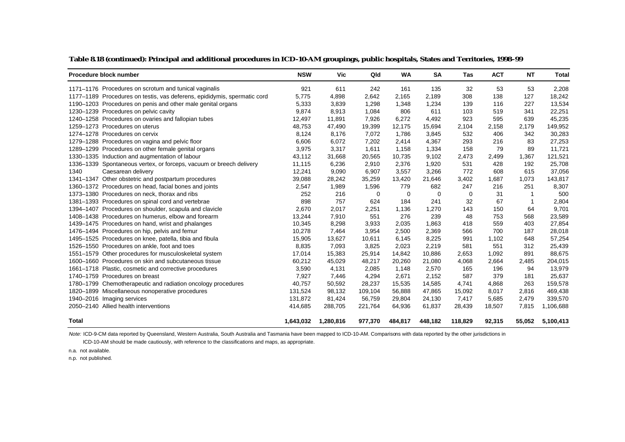| Procedure block number                                                   | <b>NSW</b> | <b>Vic</b> | Qld      | <b>WA</b> | <b>SA</b> | Tas     | <b>ACT</b> | <b>NT</b> | <b>Total</b> |
|--------------------------------------------------------------------------|------------|------------|----------|-----------|-----------|---------|------------|-----------|--------------|
| 1171–1176 Procedures on scrotum and tunical vaginalis                    | 921        | 611        | 242      | 161       | 135       | 32      | 53         | 53        | 2,208        |
| 1177–1189 Procedures on testis, vas deferens, epididymis, spermatic cord | 5,775      | 4,898      | 2,642    | 2,165     | 2,189     | 308     | 138        | 127       | 18,242       |
| 1190-1203 Procedures on penis and other male genital organs              | 5,333      | 3,839      | 1,298    | 1,348     | 1,234     | 139     | 116        | 227       | 13,534       |
| 1230-1239 Procedures on pelvic cavity                                    | 9,874      | 8,913      | 1,084    | 806       | 611       | 103     | 519        | 341       | 22,251       |
| 1240-1258 Procedures on ovaries and fallopian tubes                      | 12,497     | 11,891     | 7,926    | 6.272     | 4,492     | 923     | 595        | 639       | 45,235       |
| 1259-1273 Procedures on uterus                                           | 48,753     | 47,490     | 19,399   | 12,175    | 15,694    | 2,104   | 2,158      | 2,179     | 149,952      |
| 1274-1278 Procedures on cervix                                           | 8,124      | 8,176      | 7,072    | 1,786     | 3,845     | 532     | 406        | 342       | 30,283       |
| 1279-1288 Procedures on vagina and pelvic floor                          | 6,606      | 6,072      | 7,202    | 2,414     | 4,367     | 293     | 216        | 83        | 27,253       |
| 1289-1299 Procedures on other female genital organs                      | 3,975      | 3,317      | 1,611    | 1,158     | 1,334     | 158     | 79         | 89        | 11,721       |
| 1330-1335 Induction and augmentation of labour                           | 43,112     | 31,668     | 20,565   | 10,735    | 9,102     | 2,473   | 2,499      | 1,367     | 121,521      |
| 1336-1339 Spontaneous vertex, or forceps, vacuum or breech delivery      | 11,115     | 6,236      | 2,910    | 2,376     | 1,920     | 531     | 428        | 192       | 25,708       |
| 1340<br>Caesarean delivery                                               | 12,241     | 9,090      | 6,907    | 3,557     | 3,266     | 772     | 608        | 615       | 37,056       |
| 1341-1347 Other obstetric and postpartum procedures                      | 39,088     | 28,242     | 35,259   | 13,420    | 21,646    | 3,402   | 1,687      | 1,073     | 143,817      |
| 1360-1372 Procedures on head, facial bones and joints                    | 2,547      | 1,989      | 1,596    | 779       | 682       | 247     | 216        | 251       | 8,307        |
| 1373-1380 Procedures on neck, thorax and ribs                            | 252        | 216        | $\Omega$ | 0         | $\Omega$  | 0       | 31         | 1         | 500          |
| 1381-1393 Procedures on spinal cord and vertebrae                        | 898        | 757        | 624      | 184       | 241       | 32      | 67         | 1         | 2,804        |
| 1394-1407 Procedures on shoulder, scapula and clavicle                   | 2,670      | 2,017      | 2,251    | 1,136     | 1,270     | 143     | 150        | 64        | 9,701        |
| 1408-1438 Procedures on humerus, elbow and forearm                       | 13,244     | 7,910      | 551      | 276       | 239       | 48      | 753        | 568       | 23,589       |
| 1439–1475 Procedures on hand, wrist and phalanges                        | 10,345     | 8,298      | 3,933    | 2,035     | 1,863     | 418     | 559        | 403       | 27,854       |
| 1476-1494 Procedures on hip, pelvis and femur                            | 10,278     | 7,464      | 3,954    | 2,500     | 2,369     | 566     | 700        | 187       | 28,018       |
| 1495-1525 Procedures on knee, patella, tibia and fibula                  | 15,905     | 13,627     | 10,611   | 6,145     | 8,225     | 991     | 1,102      | 648       | 57,254       |
| 1526-1550 Procedures on ankle, foot and toes                             | 8,835      | 7,093      | 3,825    | 2,023     | 2,219     | 581     | 551        | 312       | 25,439       |
| 1551-1579 Other procedures for musculoskeletal system                    | 17,014     | 15,383     | 25,914   | 14,842    | 10,886    | 2,653   | 1,092      | 891       | 88,675       |
| 1600–1660 Procedures on skin and subcutaneous tissue                     | 60,212     | 45,029     | 48,217   | 20,260    | 21,080    | 4,068   | 2,664      | 2,485     | 204,015      |
| 1661-1718 Plastic, cosmetic and corrective procedures                    | 3,590      | 4,131      | 2,085    | 1,148     | 2,570     | 165     | 196        | 94        | 13,979       |
| 1740-1759 Procedures on breast                                           | 7,927      | 7,446      | 4,294    | 2,671     | 2,152     | 587     | 379        | 181       | 25,637       |
| 1780-1799 Chemotherapeutic and radiation oncology procedures             | 40,757     | 50,592     | 28,237   | 15,535    | 14,585    | 4,741   | 4,868      | 263       | 159,578      |
| 1820-1899 Miscellaneous nonoperative procedures                          | 131,524    | 98,132     | 109,104  | 56,888    | 47,865    | 15,092  | 8,017      | 2,816     | 469,438      |
| 1940-2016 Imaging services                                               | 131,872    | 81,424     | 56,759   | 29,804    | 24,130    | 7,417   | 5,685      | 2,479     | 339,570      |
| 2050-2140 Allied health interventions                                    | 414,685    | 288,705    | 221,764  | 64,936    | 61,837    | 28,439  | 18,507     | 7,815     | 1,106,688    |
| <b>Total</b>                                                             | 1,643,032  | 1,280,816  | 977,370  | 484,817   | 448,182   | 118,829 | 92,315     | 55,052    | 5,100,413    |

**Table 8.18 (continued): Principal and additional procedures in ICD-10-AM groupings, public hospitals, States and Territories, 1998–99**

Note: ICD-9-CM data reported by Queensland, Western Australia, South Australia and Tasmania have been mapped to ICD-10-AM. Comparisons with data reported by the other jurisdictions in

ICD-10-AM should be made cautiously, with reference to the classifications and maps, as appropriate.

n.a. not available.

n.p. not published.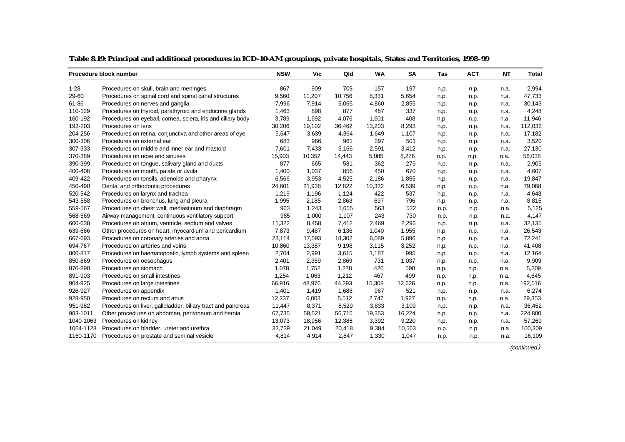|           | Procedure block number                                       | <b>NSW</b> | <b>Vic</b> | Qld    | <b>WA</b> | <b>SA</b> | Tas  | <b>ACT</b> | <b>NT</b> | <b>Total</b> |
|-----------|--------------------------------------------------------------|------------|------------|--------|-----------|-----------|------|------------|-----------|--------------|
| $1 - 28$  | Procedures on skull, brain and meninges                      | 867        | 909        | 709    | 157       | 197       | n.p. | n.p.       | n.a.      | 2,994        |
| 29-60     | Procedures on spinal cord and spinal canal structures        | 9,560      | 11,207     | 10,756 | 8,331     | 5,654     | n.p. | n.p.       | n.a.      | 47,733       |
| 61-86     | Procedures on nerves and ganglia                             | 7,996      | 7,914      | 5,065  | 4,860     | 2,855     | n.p. | n.p.       | n.a.      | 30,143       |
| 110-129   | Procedures on thyroid, parathyroid and endocrine glands      | 1,463      | 898        | 877    | 487       | 337       | n.p. | n.p.       | n.a.      | 4,248        |
| 160-192   | Procedures on eyeball, cornea, sclera, iris and ciliary body | 3,789      | 1,692      | 4,076  | 1,601     | 408       | n.p. | n.p.       | n.a.      | 11,946       |
| 193-203   | Procedures on lens                                           | 30,206     | 19,102     | 36,462 | 13,203    | 8,293     | n.p. | n.p.       | n.a.      | 112,032      |
| 204-256   | Procedures on retina, conjunctiva and other areas of eye     | 5,647      | 3,639      | 4,364  | 1,649     | 1,107     | n.p. | n.p.       | n.a.      | 17,182       |
| 300-306   | Procedures on external ear                                   | 683        | 966        | 961    | 297       | 501       | n.p. | n.p.       | n.a.      | 3,520        |
| 307-333   | Procedures on middle and inner ear and mastoid               | 7,601      | 7,433      | 5,166  | 2,591     | 3,412     | n.p. | n.p.       | n.a.      | 27,130       |
| 370-389   | Procedures on nose and sinuses                               | 15,903     | 10,352     | 14,443 | 5,085     | 8,276     | n.p. | n.p.       | n.a.      | 56,038       |
| 390-399   | Procedures on tongue, salivary gland and ducts               | 877        | 665        | 581    | 362       | 276       | n.p. | n.p.       | n.a.      | 2,905        |
| 400-408   | Procedures on mouth, palate or uvula                         | 1,400      | 1,037      | 856    | 450       | 670       | n.p. | n.p.       | n.a.      | 4,607        |
| 409-422   | Procedures on tonsils, adenoids and pharynx                  | 6,566      | 3,953      | 4,525  | 2,186     | 1,855     | n.p. | n.p.       | n.a.      | 19,847       |
| 450-490   | Dental and orthodontic procedures                            | 24,601     | 21,938     | 12,822 | 10,332    | 6,539     | n.p. | n.p.       | n.a.      | 79,068       |
| 520-542   | Procedures on larynx and trachea                             | 1,219      | 1,196      | 1.124  | 422       | 537       | n.p. | n.p.       | n.a.      | 4,643        |
| 543-558   | Procedures on bronchus, lung and pleura                      | 1,995      | 2,185      | 2,863  | 697       | 796       | n.p. | n.p.       | n.a.      | 8,815        |
| 559-567   | Procedures on chest wall, mediastinum and diaphragm          | 963        | 1,243      | 1,655  | 563       | 522       | n.p. | n.p.       | n.a.      | 5,125        |
| 568-569   | Airway management, continuous ventilatory support            | 985        | 1,000      | 1,107  | 243       | 730       | n.p. | n.p.       | n.a.      | 4,147        |
| 600-638   | Procedures on atrium, ventricle, septum and valves           | 11,322     | 8,458      | 7,412  | 2,469     | 2,296     | n.p. | n.p.       | n.a.      | 32,135       |
| 639-666   | Other procedures on heart, myocardium and pericardium        | 7,873      | 9,487      | 6,136  | 1,040     | 1,955     | n.p. | n.p.       | n.a.      | 26,543       |
| 667-693   | Procedures on coronary arteries and aorta                    | 23,114     | 17,593     | 18,302 | 6,089     | 5,896     | n.p. | n.p.       | n.a.      | 72,241       |
| 694-767   | Procedures on arteries and veins                             | 10,860     | 13,387     | 9,198  | 3,115     | 3,252     | n.p. | n.p.       | n.a.      | 41,408       |
| 800-817   | Procedures on haematopoetic, lymph systems and spleen        | 2,704      | 2,991      | 3,615  | 1,187     | 995       | n.p. | n.p.       | n.a.      | 12,164       |
| 850-869   | Procedures on oesophagus                                     | 2,401      | 2,359      | 2,869  | 731       | 1,037     | n.p. | n.p.       | n.a.      | 9,909        |
| 870-890   | Procedures on stomach                                        | 1,078      | 1,752      | 1,278  | 420       | 590       | n.p. | n.p.       | n.a.      | 5,309        |
| 891-903   | Procedures on small intestines                               | 1,254      | 1,063      | 1,212  | 467       | 499       | n.p. | n.p.       | n.a.      | 4,645        |
| 904-925   | Procedures on large intestines                               | 66,916     | 48,976     | 44,293 | 15,308    | 12,626    | n.p. | n.p.       | n.a.      | 192,516      |
| 926-927   | Procedures on appendix                                       | 1,401      | 1,419      | 1,688  | 967       | 521       | n.p. | n.p.       | n.a.      | 6,274        |
| 928-950   | Procedures on rectum and anus                                | 12,237     | 6,003      | 5,512  | 2,747     | 1,927     | n.p. | n.p.       | n.a.      | 29,353       |
| 951-982   | Procedures on liver, gallbladder, biliary tract and pancreas | 11,447     | 8,371      | 8,529  | 3,833     | 3,109     | n.p. | n.p.       | n.a.      | 36,452       |
| 983-1011  | Other procedures on abdomen, peritoneum and hernia           | 67,735     | 58,521     | 56,715 | 19,353    | 16,224    | n.p. | n.p.       | n.a.      | 224,800      |
| 1040-1063 | Procedures on kidney                                         | 13,073     | 18,956     | 12,386 | 3,392     | 9,220     | n.p. | n.p.       | n.a.      | 57,269       |
| 1064-1128 | Procedures on bladder, ureter and urethra                    | 33,739     | 21,049     | 20,418 | 9,384     | 10,563    | n.p. | n.p.       | n.a.      | 100,309      |
|           | 1160-1170 Procedures on prostate and seminal vesicle         | 4,814      | 4,914      | 2,847  | 1,330     | 1,047     | n.p. | n.p.       | n.a.      | 16,109       |

**Table 8.19: Principal and additional procedures in ICD-10-AM groupings, private hospitals, States and Territories, 1998–99**